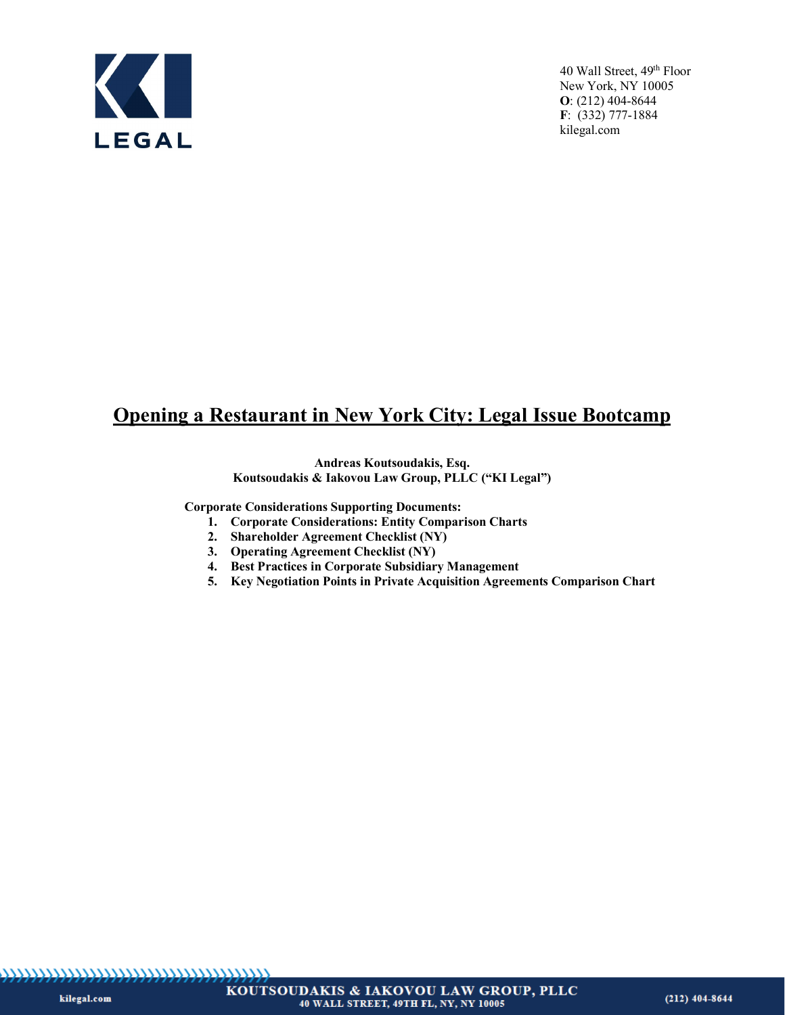

# **Opening a Restaurant in New York City: Legal Issue Bootcamp**

### **Andreas Koutsoudakis, Esq. Koutsoudakis & Iakovou Law Group, PLLC ("KI Legal")**

**Corporate Considerations Supporting Documents:**

- **1. Corporate Considerations: Entity Comparison Charts**
- **2. Shareholder Agreement Checklist (NY)**
- **3. Operating Agreement Checklist (NY)**
- **4. Best Practices in Corporate Subsidiary Management**
- **5. Key Negotiation Points in Private Acquisition Agreements Comparison Chart**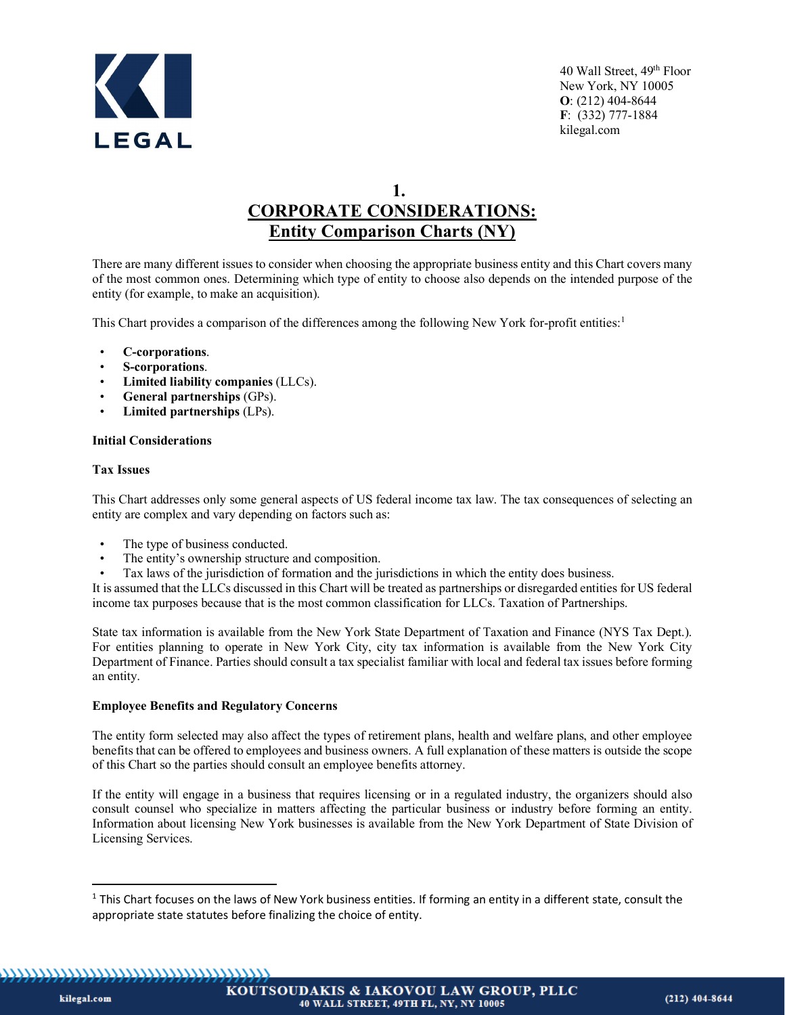

**1.**

# **CORPORATE CONSIDERATIONS: Entity Comparison Charts (NY)**

There are many different issues to consider when choosing the appropriate business entity and this Chart covers many of the most common ones. Determining which type of entity to choose also depends on the intended purpose of the entity (for example, to make an acquisition).

This Chart provides a comparison of the differences among the following New York for-profit entities:<sup>[1](#page-1-0)</sup>

- **C-corporations**.
- **S-corporations**.
- **Limited liability companies** (LLCs).
- **General partnerships** (GPs).
- **Limited partnerships** (LPs).

# **Initial Considerations**

# **Tax Issues**

This Chart addresses only some general aspects of US federal income tax law. The tax consequences of selecting an entity are complex and vary depending on factors such as:

- The type of business conducted.
- The entity's ownership structure and composition.
- Tax laws of the jurisdiction of formation and the jurisdictions in which the entity does business.

It is assumed that the LLCs discussed in this Chart will be treated as partnerships or disregarded entities for US federal income tax purposes because that is the most common classification for LLCs. Taxation of Partnerships.

State tax information is available from the New York State Department of Taxation and Finance (NYS Tax Dept.). For entities planning to operate in New York City, city tax information is available from the New York City Department of Finance. Parties should consult a tax specialist familiar with local and federal tax issues before forming an entity.

# **Employee Benefits and Regulatory Concerns**

The entity form selected may also affect the types of retirement plans, health and welfare plans, and other employee benefits that can be offered to employees and business owners. A full explanation of these matters is outside the scope of this Chart so the parties should consult an employee benefits attorney.

If the entity will engage in a business that requires licensing or in a regulated industry, the organizers should also consult counsel who specialize in matters affecting the particular business or industry before forming an entity. Information about licensing New York businesses is available from the New York Department of State Division of Licensing Services.

<span id="page-1-0"></span>,,,,,,,,,,,,,,,,,,,,,,,,,,,,,,,,,,,,,,

kilegal.com

 $1$  This Chart focuses on the laws of New York business entities. If forming an entity in a different state, consult the appropriate state statutes before finalizing the choice of entity.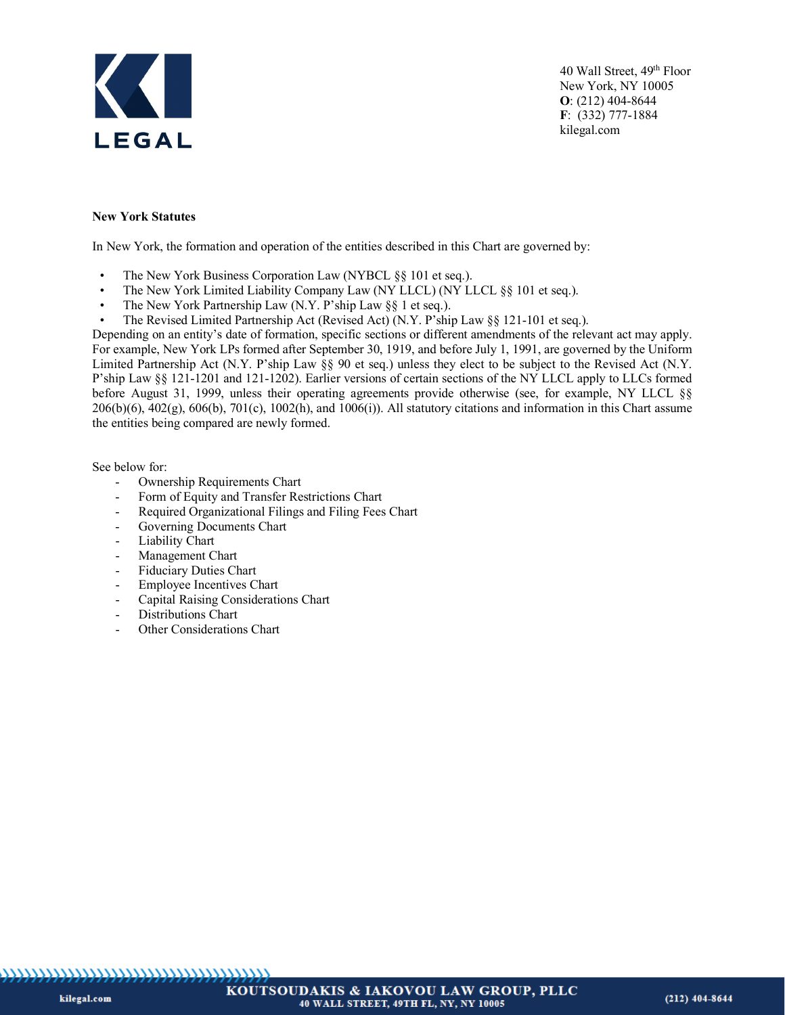

#### **New York Statutes**

In New York, the formation and operation of the entities described in this Chart are governed by:

- The New York Business Corporation Law (NYBCL §§ 101 et seq.).
- The New York Limited Liability Company Law (NY LLCL) (NY LLCL §§ 101 et seq.).
- The New York Partnership Law (N.Y. P'ship Law §§ 1 et seq.).
- The Revised Limited Partnership Act (Revised Act) (N.Y. P'ship Law §§ 121-101 et seq.).

Depending on an entity's date of formation, specific sections or different amendments of the relevant act may apply. For example, New York LPs formed after September 30, 1919, and before July 1, 1991, are governed by the Uniform Limited Partnership Act (N.Y. P'ship Law §§ 90 et seq.) unless they elect to be subject to the Revised Act (N.Y. P'ship Law §§ 121-1201 and 121-1202). Earlier versions of certain sections of the NY LLCL apply to LLCs formed before August 31, 1999, unless their operating agreements provide otherwise (see, for example, NY LLCL §§  $206(b)(6)$ ,  $402(g)$ ,  $606(b)$ ,  $701(c)$ ,  $1002(h)$ , and  $1006(i)$ ). All statutory citations and information in this Chart assume the entities being compared are newly formed.

See below for:

- Ownership Requirements Chart
- Form of Equity and Transfer Restrictions Chart
- Required Organizational Filings and Filing Fees Chart
- Governing Documents Chart
- Liability Chart
- Management Chart
- Fiduciary Duties Chart
- Employee Incentives Chart
- Capital Raising Considerations Chart
- Distributions Chart
- Other Considerations Chart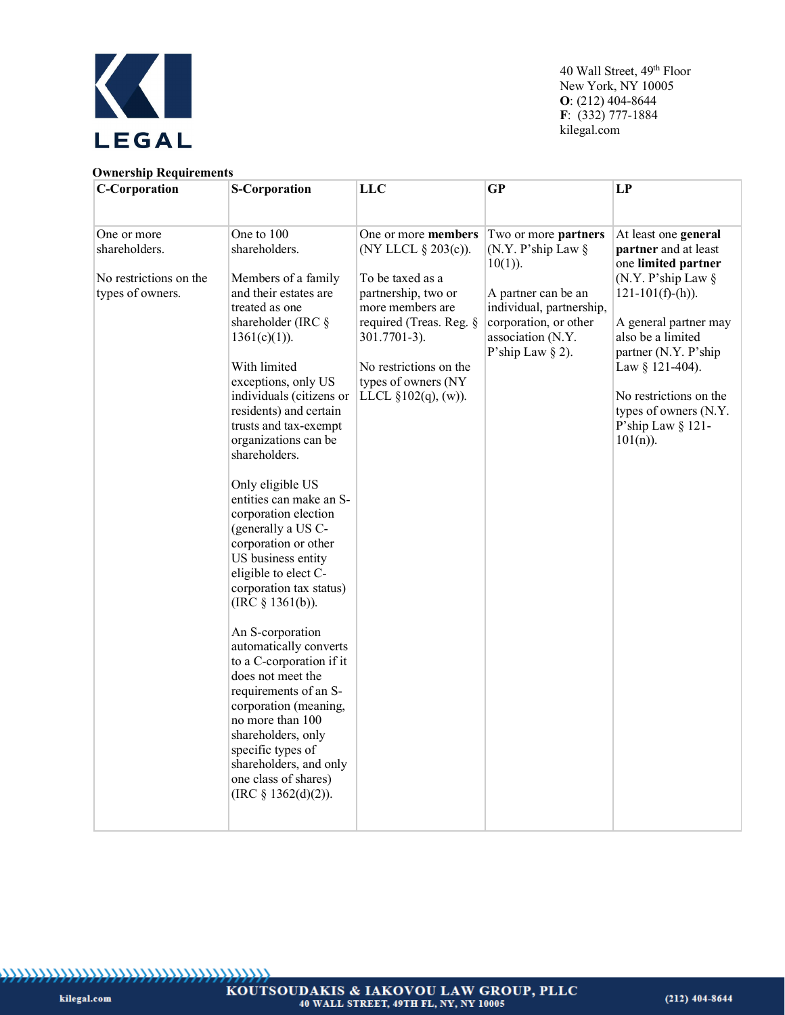

#### **Ownership Requirements**

| <b>C-Corporation</b>   | <b>S-Corporation</b>                                                                                                                                                                                                                                                                                          | <b>LLC</b>                                    | <b>GP</b>                                                         | LP                                                                                  |
|------------------------|---------------------------------------------------------------------------------------------------------------------------------------------------------------------------------------------------------------------------------------------------------------------------------------------------------------|-----------------------------------------------|-------------------------------------------------------------------|-------------------------------------------------------------------------------------|
|                        |                                                                                                                                                                                                                                                                                                               |                                               |                                                                   |                                                                                     |
| One or more            | One to 100                                                                                                                                                                                                                                                                                                    | One or more members                           | Two or more partners                                              | At least one general                                                                |
| shareholders.          | shareholders.                                                                                                                                                                                                                                                                                                 | (NY LLCL § 203(c)).                           | (N.Y. P'ship Law $\S$<br>$10(1)$ ).                               | partner and at least<br>one limited partner                                         |
| No restrictions on the | Members of a family                                                                                                                                                                                                                                                                                           | To be taxed as a                              |                                                                   | (N.Y. P'ship Law $\S$                                                               |
| types of owners.       | and their estates are<br>treated as one                                                                                                                                                                                                                                                                       | partnership, two or<br>more members are       | A partner can be an<br>individual, partnership,                   | $121-101(f)-(h)$ ).                                                                 |
|                        | shareholder (IRC $\S$<br>$1361(c)(1)$ ).                                                                                                                                                                                                                                                                      | required (Treas. Reg. §<br>301.7701-3).       | corporation, or other<br>association (N.Y.<br>P'ship Law $\S$ 2). | A general partner may<br>also be a limited<br>partner (N.Y. P'ship                  |
|                        | With limited<br>exceptions, only US                                                                                                                                                                                                                                                                           | No restrictions on the<br>types of owners (NY |                                                                   | Law § 121-404).                                                                     |
|                        | individuals (citizens or<br>residents) and certain<br>trusts and tax-exempt<br>organizations can be<br>shareholders.                                                                                                                                                                                          | LLCL $\S 102(q)$ , (w)).                      |                                                                   | No restrictions on the<br>types of owners (N.Y.<br>P'ship Law § 121-<br>$101(n)$ ). |
|                        | Only eligible US<br>entities can make an S-<br>corporation election<br>(generally a US C-<br>corporation or other<br>US business entity<br>eligible to elect C-<br>corporation tax status)                                                                                                                    |                                               |                                                                   |                                                                                     |
|                        | (IRC $§$ 1361(b)).<br>An S-corporation<br>automatically converts<br>to a C-corporation if it<br>does not meet the<br>requirements of an S-<br>corporation (meaning,<br>no more than 100<br>shareholders, only<br>specific types of<br>shareholders, and only<br>one class of shares)<br>(IRC $§$ 1362(d)(2)). |                                               |                                                                   |                                                                                     |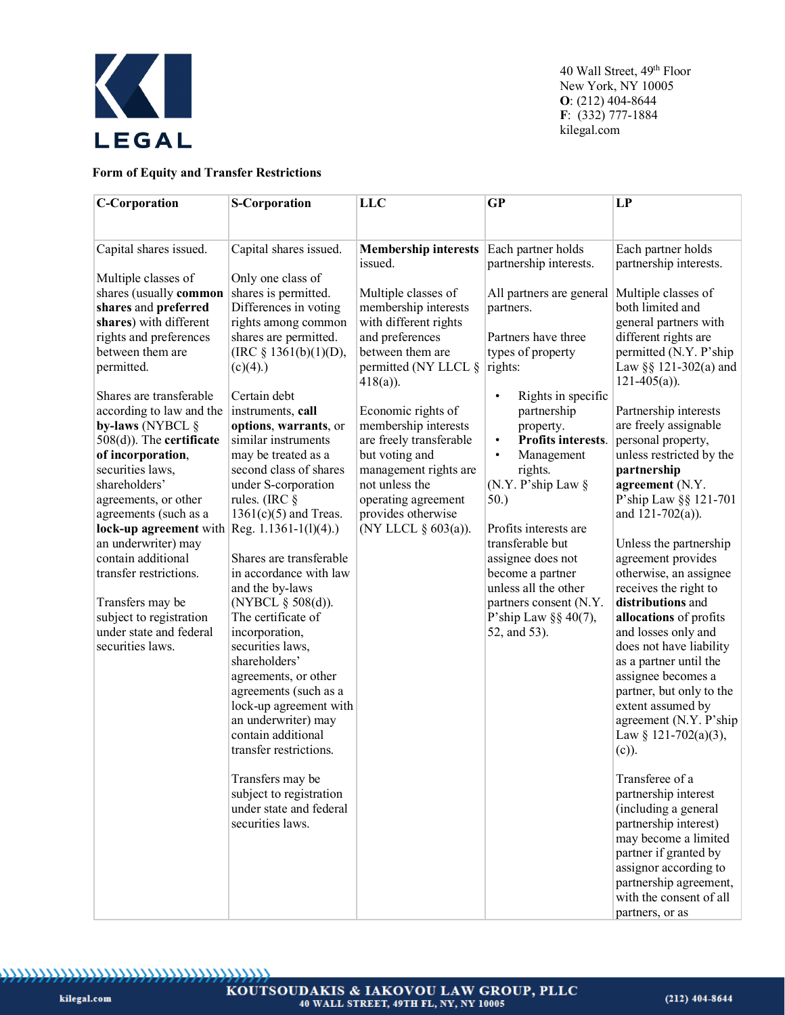

# **Form of Equity and Transfer Restrictions**

| <b>C-Corporation</b>                           | <b>S-Corporation</b>                       | LLC                                    | <b>GP</b>                                          | LP                                             |
|------------------------------------------------|--------------------------------------------|----------------------------------------|----------------------------------------------------|------------------------------------------------|
|                                                |                                            |                                        |                                                    |                                                |
| Capital shares issued.                         | Capital shares issued.                     | <b>Membership interests</b><br>issued. | Each partner holds<br>partnership interests.       | Each partner holds                             |
| Multiple classes of                            | Only one class of                          |                                        |                                                    | partnership interests.                         |
| shares (usually common                         | shares is permitted.                       | Multiple classes of                    | All partners are general                           | Multiple classes of                            |
| shares and preferred                           | Differences in voting                      | membership interests                   | partners.                                          | both limited and                               |
| shares) with different                         | rights among common                        | with different rights                  |                                                    | general partners with                          |
| rights and preferences                         | shares are permitted.                      | and preferences                        | Partners have three                                | different rights are                           |
| between them are                               | (IRC $§$ 1361(b)(1)(D),                    | between them are                       | types of property                                  | permitted (N.Y. P'ship                         |
| permitted.                                     | $(c)(4)$ .)                                | permitted (NY LLCL §<br>$418(a)$ ).    | rights:                                            | Law §§ 121-302(a) and<br>$121-405(a)$ ).       |
| Shares are transferable                        | Certain debt                               |                                        | Rights in specific<br>$\bullet$                    |                                                |
| according to law and the                       | instruments, call                          | Economic rights of                     | partnership                                        | Partnership interests                          |
| by-laws (NYBCL §                               | options, warrants, or                      | membership interests                   | property.                                          | are freely assignable                          |
| $508(d)$ ). The certificate                    | similar instruments                        | are freely transferable                | Profits interests.<br>$\bullet$                    | personal property,                             |
| of incorporation,                              | may be treated as a                        | but voting and                         | Management<br>$\bullet$                            | unless restricted by the                       |
| securities laws,                               | second class of shares                     | management rights are                  | rights.                                            | partnership                                    |
| shareholders'<br>agreements, or other          | under S-corporation<br>rules. (IRC $\S$    | not unless the<br>operating agreement  | (N.Y. P'ship Law §<br>50.)                         | agreement (N.Y.<br>P'ship Law §§ 121-701       |
| agreements (such as a                          | $1361(c)(5)$ and Treas.                    | provides otherwise                     |                                                    | and $121 - 702(a)$ ).                          |
| lock-up agreement with $Reg. 1.1361-1(1)(4)$ . |                                            | (NY LLCL § 603(a)).                    | Profits interests are                              |                                                |
| an underwriter) may                            |                                            |                                        | transferable but                                   | Unless the partnership                         |
| contain additional                             | Shares are transferable                    |                                        | assignee does not                                  | agreement provides                             |
| transfer restrictions.                         | in accordance with law                     |                                        | become a partner                                   | otherwise, an assignee                         |
|                                                | and the by-laws                            |                                        | unless all the other                               | receives the right to                          |
| Transfers may be<br>subject to registration    | (NYBCL $\S$ 508(d)).<br>The certificate of |                                        | partners consent (N.Y.<br>P'ship Law $\S$ § 40(7), | distributions and<br>allocations of profits    |
| under state and federal                        | incorporation,                             |                                        | 52, and 53).                                       | and losses only and                            |
| securities laws.                               | securities laws,                           |                                        |                                                    | does not have liability                        |
|                                                | shareholders'                              |                                        |                                                    | as a partner until the                         |
|                                                | agreements, or other                       |                                        |                                                    | assignee becomes a                             |
|                                                | agreements (such as a                      |                                        |                                                    | partner, but only to the                       |
|                                                | lock-up agreement with                     |                                        |                                                    | extent assumed by                              |
|                                                | an underwriter) may<br>contain additional  |                                        |                                                    | agreement (N.Y. P'ship                         |
|                                                | transfer restrictions.                     |                                        |                                                    | Law § 121-702(a)(3),<br>$(c)$ ).               |
|                                                |                                            |                                        |                                                    |                                                |
|                                                | Transfers may be                           |                                        |                                                    | Transferee of a                                |
|                                                | subject to registration                    |                                        |                                                    | partnership interest                           |
|                                                | under state and federal                    |                                        |                                                    | (including a general                           |
|                                                | securities laws.                           |                                        |                                                    | partnership interest)                          |
|                                                |                                            |                                        |                                                    | may become a limited                           |
|                                                |                                            |                                        |                                                    | partner if granted by<br>assignor according to |
|                                                |                                            |                                        |                                                    | partnership agreement,                         |
|                                                |                                            |                                        |                                                    | with the consent of all                        |
|                                                |                                            |                                        |                                                    | partners, or as                                |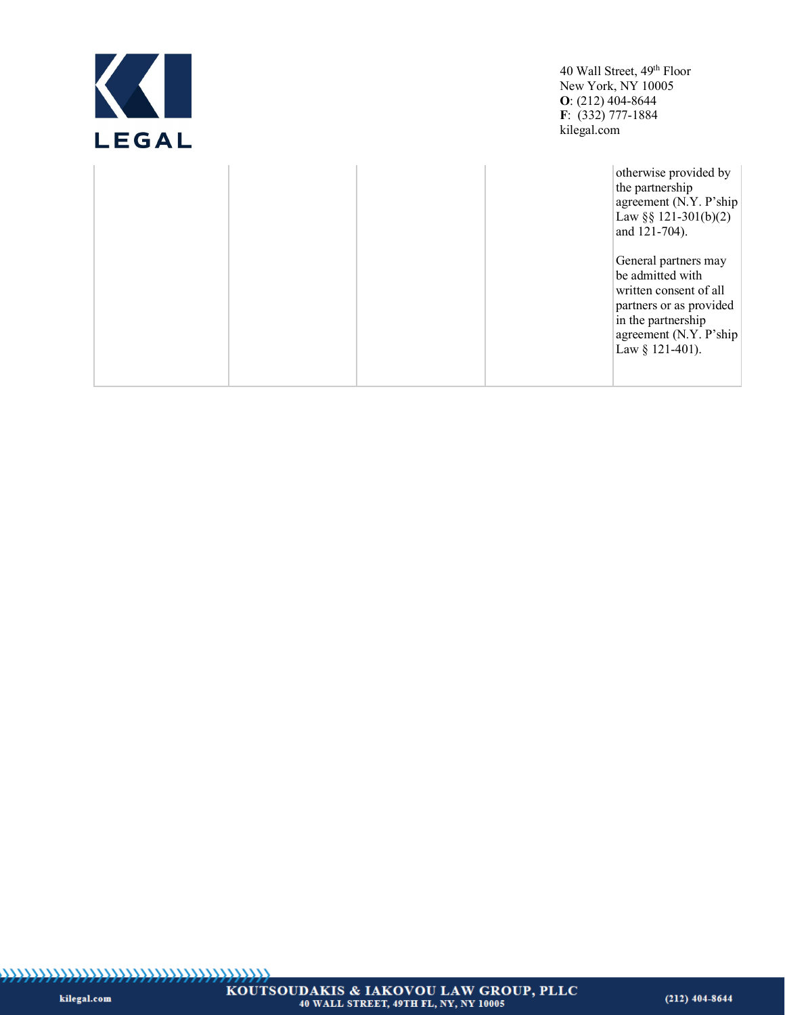| <b>LEGAL</b> | 40 Wall Street, 49 <sup>th</sup> Floor<br>New York, NY 10005<br>$O: (212)$ 404-8644<br>$F: (332) 777-1884$<br>kilegal.com                                                                                                                                                       |
|--------------|---------------------------------------------------------------------------------------------------------------------------------------------------------------------------------------------------------------------------------------------------------------------------------|
|              | otherwise provided by<br>the partnership<br>agreement (N.Y. P'ship<br>Law §§ 121-301(b)(2)<br>and 121-704).<br>General partners may<br>be admitted with<br>written consent of all<br>partners or as provided<br>in the partnership<br>agreement (N.Y. P'ship<br>Law § 121-401). |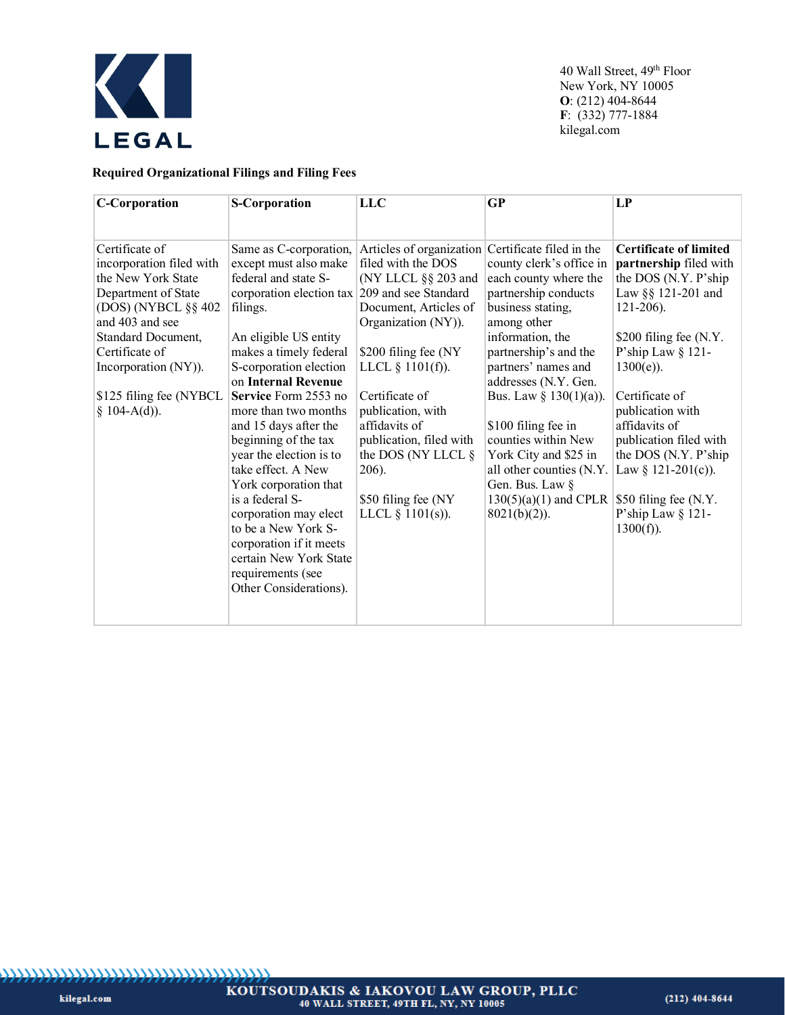

# **Required Organizational Filings and Filing Fees**

| <b>C-Corporation</b>     | <b>S-Corporation</b>                          | <b>LLC</b>               | <b>GP</b>                 | LP                            |
|--------------------------|-----------------------------------------------|--------------------------|---------------------------|-------------------------------|
|                          |                                               |                          |                           |                               |
|                          |                                               |                          |                           |                               |
| Certificate of           | Same as C-corporation,                        | Articles of organization | Certificate filed in the  | <b>Certificate of limited</b> |
| incorporation filed with | except must also make                         | filed with the DOS       | county clerk's office in  | partnership filed with        |
| the New York State       | federal and state S-                          | (NY LLCL §§ 203 and      | each county where the     | the DOS (N.Y. P'ship          |
| Department of State      | corporation election tax 209 and see Standard |                          | partnership conducts      | Law §§ 121-201 and            |
| $(DOS)$ (NYBCL §§ 402)   | filings.                                      | Document, Articles of    | business stating,         | $121-206$ ).                  |
| and 403 and see          |                                               | Organization (NY)).      | among other               |                               |
| Standard Document,       | An eligible US entity                         |                          | information, the          | \$200 filing fee (N.Y.        |
| Certificate of           | makes a timely federal                        | \$200 filing fee (NY     | partnership's and the     | P'ship Law § 121-             |
| Incorporation (NY)).     | S-corporation election                        | LLCL $\S$ 1101(f)).      | partners' names and       | $1300(e)$ ).                  |
|                          | on Internal Revenue                           |                          | addresses (N.Y. Gen.      |                               |
| \$125 filing fee (NYBCL) | Service Form 2553 no                          | Certificate of           | Bus. Law § $130(1)(a)$ ). | Certificate of                |
| § 104-A(d)).             | more than two months                          | publication, with        |                           | publication with              |
|                          | and 15 days after the                         | affidavits of            | \$100 filing fee in       | affidavits of                 |
|                          | beginning of the tax                          | publication, filed with  | counties within New       | publication filed with        |
|                          | year the election is to                       | the DOS (NY LLCL $\S$    | York City and \$25 in     | the DOS (N.Y. P'ship          |
|                          | take effect. A New                            | 206).                    | all other counties (N.Y.  | Law § 121-201(c)).            |
|                          | York corporation that                         |                          | Gen. Bus. Law §           |                               |
|                          | is a federal S-                               | \$50 filing fee (NY      | $130(5)(a)(1)$ and CPLR   | \$50 filing fee (N.Y.         |
|                          | corporation may elect                         | LLCL $\S$ 1101(s)).      | $8021(b)(2)$ ).           | P'ship Law § 121-             |
|                          | to be a New York S-                           |                          |                           | $1300(f)$ ).                  |
|                          | corporation if it meets                       |                          |                           |                               |
|                          | certain New York State                        |                          |                           |                               |
|                          | requirements (see                             |                          |                           |                               |
|                          | Other Considerations).                        |                          |                           |                               |
|                          |                                               |                          |                           |                               |
|                          |                                               |                          |                           |                               |
|                          |                                               |                          |                           |                               |

kilegal.com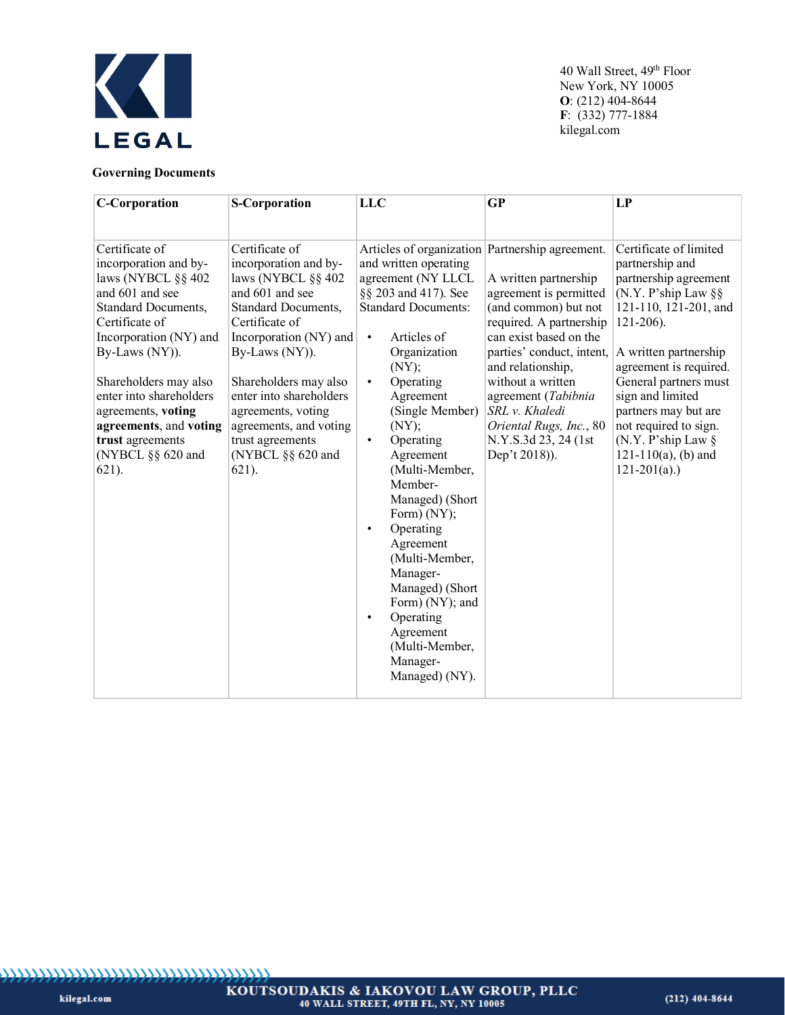

# **Governing Documents**

| <b>C-Corporation</b>                                                                                                                                                                                                                                   | <b>S-Corporation</b>                                                                                                                                                                                                                            | <b>LLC</b>                                                                                                                                                                                                                                                                                                    | <b>GP</b>                                                                                                                                                                                                                                    | LP                                                                                                                                                                                                                                                             |
|--------------------------------------------------------------------------------------------------------------------------------------------------------------------------------------------------------------------------------------------------------|-------------------------------------------------------------------------------------------------------------------------------------------------------------------------------------------------------------------------------------------------|---------------------------------------------------------------------------------------------------------------------------------------------------------------------------------------------------------------------------------------------------------------------------------------------------------------|----------------------------------------------------------------------------------------------------------------------------------------------------------------------------------------------------------------------------------------------|----------------------------------------------------------------------------------------------------------------------------------------------------------------------------------------------------------------------------------------------------------------|
| Certificate of<br>incorporation and by-<br>laws (NYBCL §§ 402<br>and 601 and see<br><b>Standard Documents,</b><br>Certificate of<br>Incorporation (NY) and<br>By-Laws (NY)).<br>Shareholders may also<br>enter into shareholders<br>agreements, voting | Certificate of<br>incorporation and by-<br>laws (NYBCL §§ 402<br>and 601 and see<br>Standard Documents,<br>Certificate of<br>Incorporation (NY) and<br>By-Laws (NY)).<br>Shareholders may also<br>enter into shareholders<br>agreements, voting | Articles of organization Partnership agreement.<br>and written operating<br>agreement (NY LLCL<br>§§ 203 and 417). See<br><b>Standard Documents:</b><br>Articles of<br>$\bullet$<br>Organization<br>(NY);<br>Operating<br>$\bullet$<br>Agreement<br>(Single Member)                                           | A written partnership<br>agreement is permitted<br>(and common) but not<br>required. A partnership<br>can exist based on the<br>parties' conduct, intent,<br>and relationship,<br>without a written<br>agreement (Tabibnia<br>SRL v. Khaledi | Certificate of limited<br>partnership and<br>partnership agreement<br>(N.Y. P'ship Law $\S$ §<br>121-110, 121-201, and<br>$121-206$ ).<br>A written partnership<br>agreement is required.<br>General partners must<br>sign and limited<br>partners may but are |
| agreements, and voting<br>trust agreements<br>(NYBCL §§ 620 and<br>$621$ ).                                                                                                                                                                            | agreements, and voting<br>trust agreements<br>(NYBCL §§ 620 and<br>$621$ ).                                                                                                                                                                     | (NY);<br>Operating<br>$\bullet$<br>Agreement<br>(Multi-Member,<br>Member-<br>Managed) (Short<br>Form) (NY);<br>Operating<br>$\bullet$<br>Agreement<br>(Multi-Member,<br>Manager-<br>Managed) (Short<br>Form) (NY); and<br>Operating<br>$\bullet$<br>Agreement<br>(Multi-Member,<br>Manager-<br>Managed) (NY). | Oriental Rugs, Inc., 80<br>N.Y.S.3d 23, 24 (1st)<br>Dep't 2018)).                                                                                                                                                                            | not required to sign.<br>(N.Y. P'ship Law §<br>$121-110(a)$ , (b) and<br>$121-201(a)$ .)                                                                                                                                                                       |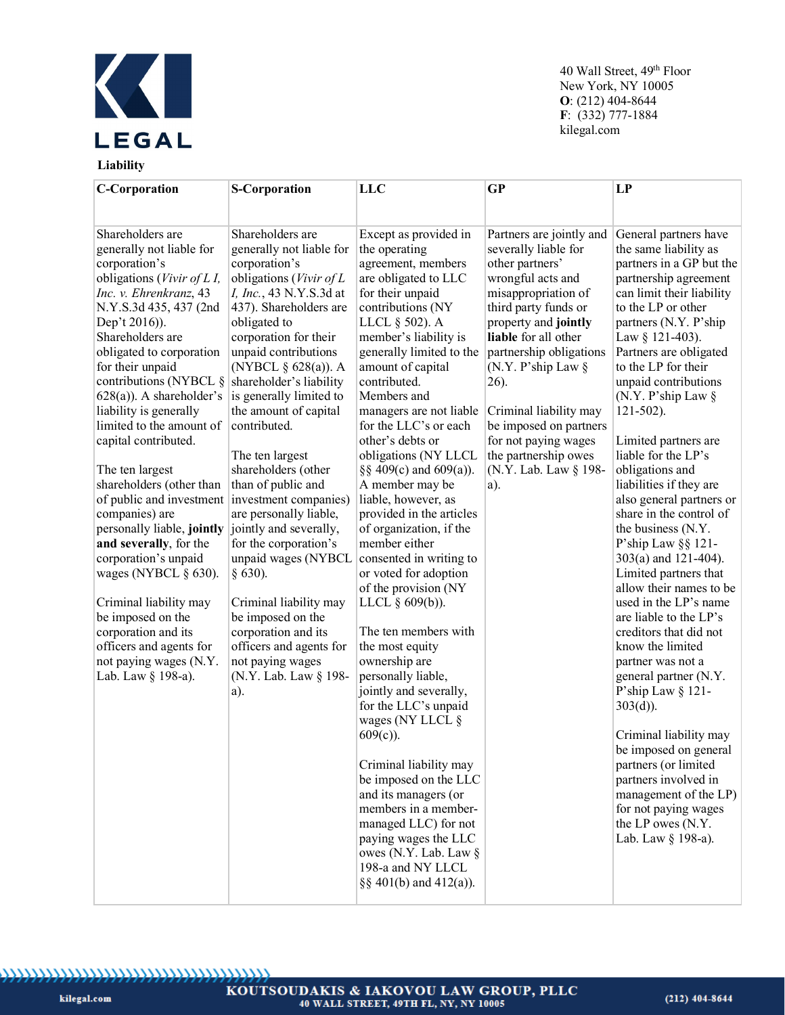

# **Liability**

40 Wall Street, 49<sup>th</sup> Floor New York, NY 10005 **O**: (212) 404-8644 **F**: (332) 777-1884 kilegal.com

| <b>C-Corporation</b>                                 | <b>S-Corporation</b>                               | <b>LLC</b>                                    | <b>GP</b>                                | LP                                                 |
|------------------------------------------------------|----------------------------------------------------|-----------------------------------------------|------------------------------------------|----------------------------------------------------|
|                                                      |                                                    |                                               |                                          |                                                    |
|                                                      |                                                    |                                               |                                          |                                                    |
| Shareholders are                                     | Shareholders are                                   | Except as provided in                         | Partners are jointly and                 | General partners have                              |
| generally not liable for                             | generally not liable for                           | the operating                                 | severally liable for                     | the same liability as                              |
| corporation's                                        | corporation's                                      | agreement, members                            | other partners'                          | partners in a GP but the                           |
| obligations (Vivir of L I,<br>Inc. v. Ehrenkranz, 43 | obligations (Vivir of L<br>I, Inc., 43 N.Y.S.3d at | are obligated to LLC<br>for their unpaid      | wrongful acts and<br>misappropriation of | partnership agreement<br>can limit their liability |
| N.Y.S.3d 435, 437 (2nd                               | 437). Shareholders are                             | contributions (NY                             | third party funds or                     | to the LP or other                                 |
| Dep't 2016)).                                        | obligated to                                       | LLCL § 502). A                                | property and jointly                     | partners (N.Y. P'ship                              |
| Shareholders are                                     | corporation for their                              | member's liability is                         | liable for all other                     | Law § 121-403).                                    |
| obligated to corporation                             | unpaid contributions                               | generally limited to the                      | partnership obligations                  | Partners are obligated                             |
| for their unpaid                                     | (NYBCL § 628(a)). A                                | amount of capital                             | (N.Y. P'ship Law $\S$                    | to the LP for their                                |
| contributions (NYBCL $\S$ shareholder's liability    |                                                    | contributed.                                  | 26).                                     | unpaid contributions                               |
| $628(a)$ ). A shareholder's                          | is generally limited to                            | Members and                                   |                                          | (N.Y. P'ship Law $\S$                              |
| liability is generally                               | the amount of capital                              | managers are not liable                       | Criminal liability may                   | $121 - 502$ ).                                     |
| limited to the amount of                             | contributed.                                       | for the LLC's or each                         | be imposed on partners                   |                                                    |
| capital contributed.                                 |                                                    | other's debts or                              | for not paying wages                     | Limited partners are                               |
|                                                      | The ten largest                                    | obligations (NY LLCL                          | the partnership owes                     | liable for the LP's                                |
| The ten largest                                      | shareholders (other                                | §§ 409(c) and 609(a)).                        | (N.Y. Lab. Law § 198-                    | obligations and                                    |
| shareholders (other than                             | than of public and                                 | A member may be                               | a).                                      | liabilities if they are                            |
| of public and investment investment companies)       |                                                    | liable, however, as                           |                                          | also general partners or                           |
| companies) are                                       | are personally liable,                             | provided in the articles                      |                                          | share in the control of                            |
| personally liable, jointly                           | jointly and severally,                             | of organization, if the                       |                                          | the business (N.Y.                                 |
| and severally, for the                               | for the corporation's                              | member either                                 |                                          | P'ship Law §§ 121-                                 |
| corporation's unpaid<br>wages (NYBCL $\S$ 630).      | unpaid wages (NYBCL                                | consented in writing to                       |                                          | 303(a) and 121-404).                               |
|                                                      | $§$ 630).                                          | or voted for adoption<br>of the provision (NY |                                          | Limited partners that<br>allow their names to be   |
| Criminal liability may                               | Criminal liability may                             | LLCL $\S$ 609(b)).                            |                                          | used in the LP's name                              |
| be imposed on the                                    | be imposed on the                                  |                                               |                                          | are liable to the LP's                             |
| corporation and its                                  | corporation and its                                | The ten members with                          |                                          | creditors that did not                             |
| officers and agents for                              | officers and agents for                            | the most equity                               |                                          | know the limited                                   |
| not paying wages (N.Y.                               | not paying wages                                   | ownership are                                 |                                          | partner was not a                                  |
| Lab. Law § 198-a).                                   | (N.Y. Lab. Law § 198-                              | personally liable,                            |                                          | general partner (N.Y.                              |
|                                                      | a).                                                | jointly and severally,                        |                                          | P'ship Law § 121-                                  |
|                                                      |                                                    | for the LLC's unpaid                          |                                          | $303(d)$ ).                                        |
|                                                      |                                                    | wages (NY LLCL §                              |                                          |                                                    |
|                                                      |                                                    | $609(c)$ ).                                   |                                          | Criminal liability may                             |
|                                                      |                                                    |                                               |                                          | be imposed on general                              |
|                                                      |                                                    | Criminal liability may                        |                                          | partners (or limited                               |
|                                                      |                                                    | be imposed on the LLC                         |                                          | partners involved in                               |
|                                                      |                                                    | and its managers (or                          |                                          | management of the LP)                              |
|                                                      |                                                    | members in a member-                          |                                          | for not paying wages                               |
|                                                      |                                                    | managed LLC) for not                          |                                          | the LP owes (N.Y.                                  |
|                                                      |                                                    | paying wages the LLC<br>owes (N.Y. Lab. Law § |                                          | Lab. Law § 198-a).                                 |
|                                                      |                                                    | 198-a and NY LLCL                             |                                          |                                                    |
|                                                      |                                                    | $\S\S 401(b)$ and $412(a)$ ).                 |                                          |                                                    |
|                                                      |                                                    |                                               |                                          |                                                    |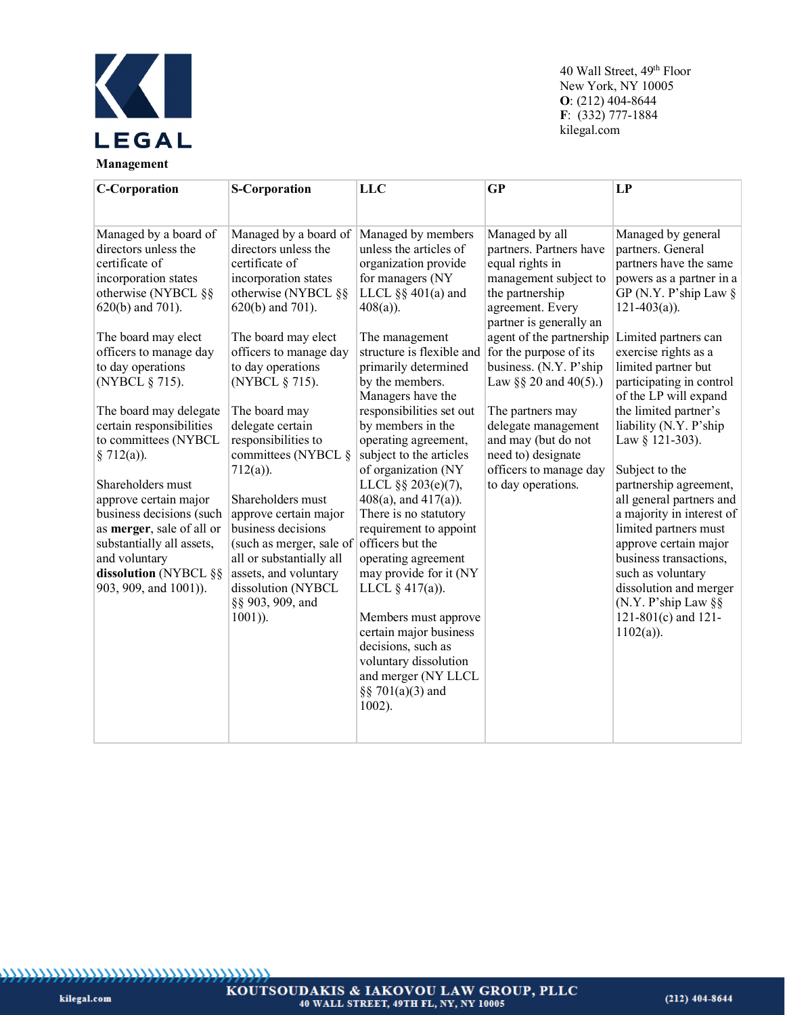

| <b>C-Corporation</b>                                                                                                                                                                                                                                                                                                                                                                                                                                                                                                               | <b>S-Corporation</b>                                                                                                                                                                                                                                                                                                                                                                                                                                                                                                                                            | <b>LLC</b>                                                                                                                                                                                                                                                                                                                                                                                                                                                                                                                                                                                                                                                                                                         | $\overline{\text{GP}}$                                                                                                                                                                                                                                                                                                                                                                                      | LP                                                                                                                                                                                                                                                                                                                                                                                                                                                                                                                                                                                                                                                   |
|------------------------------------------------------------------------------------------------------------------------------------------------------------------------------------------------------------------------------------------------------------------------------------------------------------------------------------------------------------------------------------------------------------------------------------------------------------------------------------------------------------------------------------|-----------------------------------------------------------------------------------------------------------------------------------------------------------------------------------------------------------------------------------------------------------------------------------------------------------------------------------------------------------------------------------------------------------------------------------------------------------------------------------------------------------------------------------------------------------------|--------------------------------------------------------------------------------------------------------------------------------------------------------------------------------------------------------------------------------------------------------------------------------------------------------------------------------------------------------------------------------------------------------------------------------------------------------------------------------------------------------------------------------------------------------------------------------------------------------------------------------------------------------------------------------------------------------------------|-------------------------------------------------------------------------------------------------------------------------------------------------------------------------------------------------------------------------------------------------------------------------------------------------------------------------------------------------------------------------------------------------------------|------------------------------------------------------------------------------------------------------------------------------------------------------------------------------------------------------------------------------------------------------------------------------------------------------------------------------------------------------------------------------------------------------------------------------------------------------------------------------------------------------------------------------------------------------------------------------------------------------------------------------------------------------|
| Managed by a board of<br>directors unless the<br>certificate of<br>incorporation states<br>otherwise (NYBCL §§<br>$620(b)$ and 701).<br>The board may elect<br>officers to manage day<br>to day operations<br>(NYBCL § 715).<br>The board may delegate<br>certain responsibilities<br>to committees (NYBCL<br>§ $712(a)$ ).<br>Shareholders must<br>approve certain major<br>business decisions (such<br>as merger, sale of all or<br>substantially all assets,<br>and voluntary<br>dissolution (NYBCL §§<br>903, 909, and 1001)). | Managed by a board of<br>directors unless the<br>certificate of<br>incorporation states<br>otherwise (NYBCL §§<br>$620(b)$ and $701$ ).<br>The board may elect<br>officers to manage day<br>to day operations<br>(NYBCL § 715).<br>The board may<br>delegate certain<br>responsibilities to<br>committees (NYBCL §<br>$712(a)$ ).<br>Shareholders must<br>approve certain major<br>business decisions<br>(such as merger, sale of officers but the<br>all or substantially all<br>assets, and voluntary<br>dissolution (NYBCL<br>§§ 903, 909, and<br>$1001$ )). | Managed by members<br>unless the articles of<br>organization provide<br>for managers (NY<br>LLCL $\S\S 401(a)$ and<br>$408(a)$ ).<br>The management<br>structure is flexible and<br>primarily determined<br>by the members.<br>Managers have the<br>responsibilities set out<br>by members in the<br>operating agreement,<br>subject to the articles<br>of organization (NY<br>LLCL §§ 203(e)(7),<br>$408(a)$ , and $417(a)$ ).<br>There is no statutory<br>requirement to appoint<br>operating agreement<br>may provide for it (NY<br>LLCL $\S$ 417(a)).<br>Members must approve<br>certain major business<br>decisions, such as<br>voluntary dissolution<br>and merger (NY LLCL<br>§§ 701(a)(3) and<br>$1002$ ). | Managed by all<br>partners. Partners have<br>equal rights in<br>management subject to<br>the partnership<br>agreement. Every<br>partner is generally an<br>agent of the partnership<br>for the purpose of its<br>business. (N.Y. P'ship<br>Law §§ 20 and $40(5)$ .)<br>The partners may<br>delegate management<br>and may (but do not<br>need to) designate<br>officers to manage day<br>to day operations. | Managed by general<br>partners. General<br>partners have the same<br>powers as a partner in a<br>GP (N.Y. P'ship Law $\S$<br>$121-403(a)$ ).<br>Limited partners can<br>exercise rights as a<br>limited partner but<br>participating in control<br>of the LP will expand<br>the limited partner's<br>liability (N.Y. P'ship<br>Law § 121-303).<br>Subject to the<br>partnership agreement,<br>all general partners and<br>a majority in interest of<br>limited partners must<br>approve certain major<br>business transactions,<br>such as voluntary<br>dissolution and merger<br>(N.Y. P'ship Law $\S$ §<br>$121-801(c)$ and $121-$<br>$1102(a)$ ). |

kilegal.com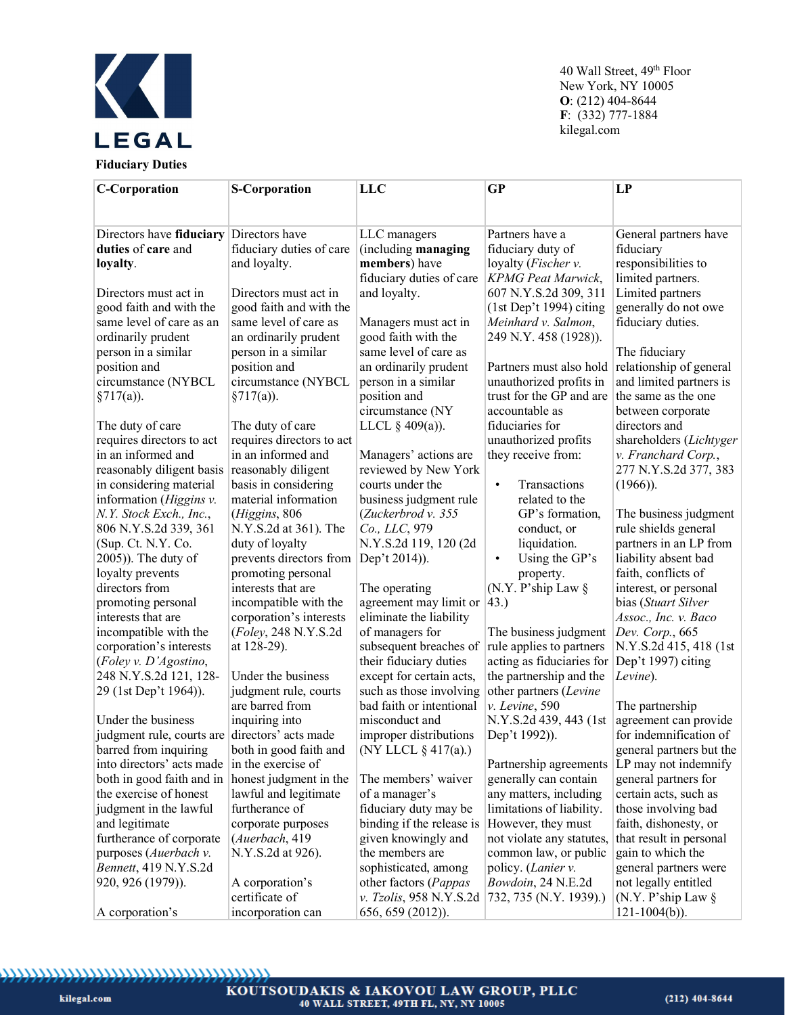

| <b>C-Corporation</b>                             | <b>S-Corporation</b>      | <b>LLC</b>                            | <b>GP</b>                 | <b>LP</b>                |
|--------------------------------------------------|---------------------------|---------------------------------------|---------------------------|--------------------------|
|                                                  |                           |                                       |                           |                          |
|                                                  |                           |                                       |                           |                          |
| Directors have fiduciary                         | Directors have            | LLC managers                          | Partners have a           | General partners have    |
| duties of care and                               | fiduciary duties of care  | (including managing                   | fiduciary duty of         | fiduciary                |
| loyalty.                                         | and loyalty.              | members) have                         | loyalty (Fischer v.       | responsibilities to      |
|                                                  |                           | fiduciary duties of care              | <b>KPMG</b> Peat Marwick, | limited partners.        |
| Directors must act in                            | Directors must act in     | and loyalty.                          | 607 N.Y.S.2d 309, 311     | Limited partners         |
| good faith and with the                          | good faith and with the   |                                       | $(1st Dep't 1994)$ citing | generally do not owe     |
| same level of care as an                         | same level of care as     | Managers must act in                  | Meinhard v. Salmon,       | fiduciary duties.        |
| ordinarily prudent                               | an ordinarily prudent     | good faith with the                   | 249 N.Y. 458 (1928)).     |                          |
| person in a similar                              | person in a similar       | same level of care as                 |                           | The fiduciary            |
| position and                                     | position and              | an ordinarily prudent                 | Partners must also hold   | relationship of general  |
| circumstance (NYBCL                              | circumstance (NYBCL       | person in a similar                   | unauthorized profits in   | and limited partners is  |
| $\S717(a)$ ).                                    | §717(a)).                 | position and                          | trust for the GP and are  | the same as the one      |
|                                                  |                           | circumstance (NY                      | accountable as            | between corporate        |
| The duty of care                                 | The duty of care          | LLCL $\S$ 409(a)).                    | fiduciaries for           | directors and            |
| requires directors to act                        | requires directors to act |                                       | unauthorized profits      | shareholders (Lichtyger  |
| in an informed and                               | in an informed and        | Managers' actions are                 | they receive from:        | v. Franchard Corp.,      |
| reasonably diligent basis                        | reasonably diligent       | reviewed by New York                  |                           | 277 N.Y.S.2d 377, 383    |
| in considering material                          | basis in considering      | courts under the                      | Transactions<br>$\bullet$ | $(1966)$ ).              |
| information (Higgins v.                          | material information      | business judgment rule                | related to the            |                          |
| N.Y. Stock Exch., Inc.,                          | (Higgins, 806             | (Zuckerbrod v. 355                    | GP's formation,           | The business judgment    |
| 806 N.Y.S.2d 339, 361                            | N.Y.S.2d at 361). The     | Co., LLC, 979                         | conduct, or               | rule shields general     |
| (Sup. Ct. N.Y. Co.                               | duty of loyalty           | N.Y.S.2d 119, 120 (2d                 | liquidation.              | partners in an LP from   |
| 2005)). The duty of                              | prevents directors from   | Dep't 2014)).                         | Using the GP's            | liability absent bad     |
| loyalty prevents                                 | promoting personal        |                                       | property.                 | faith, conflicts of      |
| directors from                                   | interests that are        | The operating                         | (N.Y. P'ship Law $\S$     | interest, or personal    |
| promoting personal                               | incompatible with the     | agreement may limit or $ 43\rangle$ . |                           | bias (Stuart Silver      |
| interests that are                               | corporation's interests   | eliminate the liability               |                           | Assoc., Inc. v. Baco     |
| incompatible with the                            | (Foley, 248 N.Y.S.2d      | of managers for                       | The business judgment     | Dev. Corp., 665          |
| corporation's interests                          | at 128-29).               | subsequent breaches of                | rule applies to partners  | N.Y.S.2d 415, 418 (1st   |
| (Foley v. D'Agostino,                            |                           | their fiduciary duties                | acting as fiduciaries for | Dep't 1997) citing       |
| 248 N.Y.S.2d 121, 128-                           | Under the business        | except for certain acts,              | the partnership and the   | Levine).                 |
| 29 (1st Dep't 1964)).                            | judgment rule, courts     | such as those involving               | other partners (Levine    |                          |
|                                                  | are barred from           | bad faith or intentional              | v. Levine, 590            | The partnership          |
| Under the business                               | inquiring into            | misconduct and                        | N.Y.S.2d 439, 443 (1st    | agreement can provide    |
| judgment rule, courts are directors' acts made   |                           | improper distributions                | Dep't 1992)).             | for indemnification of   |
| barred from inquiring                            | both in good faith and    | (NY LLCL § 417(a).)                   |                           | general partners but the |
| into directors' acts made                        | in the exercise of        |                                       | Partnership agreements    | LP may not indemnify     |
| both in good faith and in honest judgment in the |                           | The members' waiver                   | generally can contain     | general partners for     |
| the exercise of honest                           | lawful and legitimate     | of a manager's                        | any matters, including    | certain acts, such as    |
| judgment in the lawful                           | furtherance of            | fiduciary duty may be                 | limitations of liability. | those involving bad      |
| and legitimate                                   | corporate purposes        | binding if the release is             | However, they must        | faith, dishonesty, or    |
| furtherance of corporate                         | (Auerbach, 419            | given knowingly and                   | not violate any statutes, | that result in personal  |
| purposes (Auerbach v.                            | N.Y.S.2d at 926).         | the members are                       | common law, or public     | gain to which the        |
| Bennett, 419 N.Y.S.2d                            |                           | sophisticated, among                  | policy. (Lanier v.        | general partners were    |
| 920, 926 (1979)).                                | A corporation's           | other factors (Pappas                 | Bowdoin, 24 N.E.2d        | not legally entitled     |
|                                                  | certificate of            | v. Tzolis, 958 N.Y.S.2d               | 732, 735 (N.Y. 1939).)    | (N.Y. P'ship Law $\S$    |
| A corporation's                                  | incorporation can         | 656, 659 (2012)).                     |                           | $121 - 1004(b)$ ).       |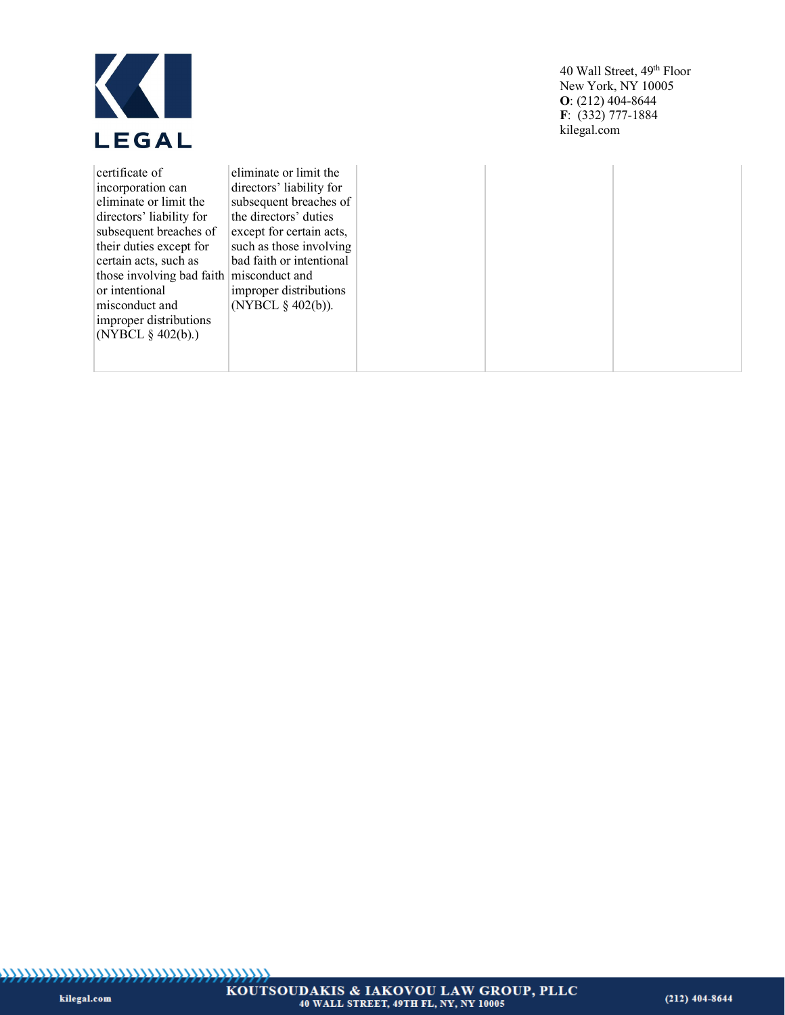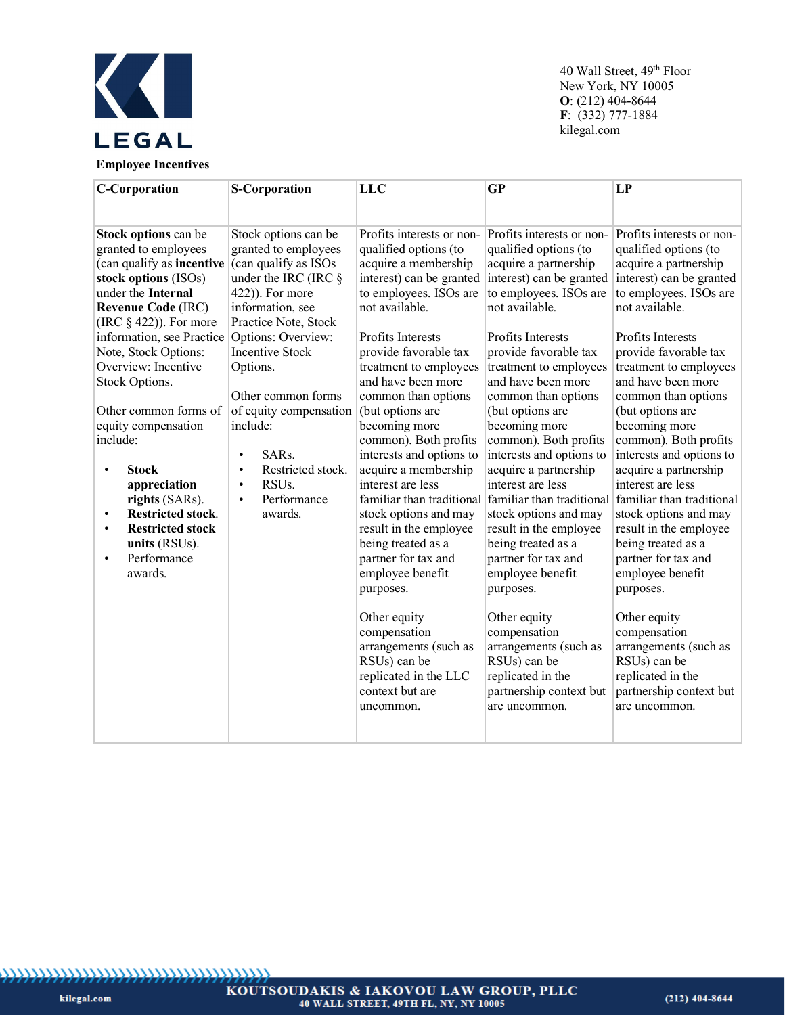

| <b>C-Corporation</b>                                                                                                                                                                                                                                                                                                                                                                                                                                                                                                                                | <b>S-Corporation</b>                                                                                                                                                                                                                                                                                                                                                                                                  | <b>LLC</b>                                                                                                                                                                                                                                                                                                                                                                                                                                                                                                                                                                                                                                                                        | $\overline{\text{GP}}$                                                                                                                                                                                                                                                                                                                                                                                                                                                                                                                                                                                                                                                                      | LP                                                                                                                                                                                                                                                                                                                                                                                                                                                                                                                                                                                                                                                                                                                                                                           |
|-----------------------------------------------------------------------------------------------------------------------------------------------------------------------------------------------------------------------------------------------------------------------------------------------------------------------------------------------------------------------------------------------------------------------------------------------------------------------------------------------------------------------------------------------------|-----------------------------------------------------------------------------------------------------------------------------------------------------------------------------------------------------------------------------------------------------------------------------------------------------------------------------------------------------------------------------------------------------------------------|-----------------------------------------------------------------------------------------------------------------------------------------------------------------------------------------------------------------------------------------------------------------------------------------------------------------------------------------------------------------------------------------------------------------------------------------------------------------------------------------------------------------------------------------------------------------------------------------------------------------------------------------------------------------------------------|---------------------------------------------------------------------------------------------------------------------------------------------------------------------------------------------------------------------------------------------------------------------------------------------------------------------------------------------------------------------------------------------------------------------------------------------------------------------------------------------------------------------------------------------------------------------------------------------------------------------------------------------------------------------------------------------|------------------------------------------------------------------------------------------------------------------------------------------------------------------------------------------------------------------------------------------------------------------------------------------------------------------------------------------------------------------------------------------------------------------------------------------------------------------------------------------------------------------------------------------------------------------------------------------------------------------------------------------------------------------------------------------------------------------------------------------------------------------------------|
| Stock options can be<br>granted to employees<br>(can qualify as incentive<br>stock options (ISOs)<br>under the Internal<br><b>Revenue Code (IRC)</b><br>(IRC $\S$ 422)). For more<br>information, see Practice<br>Note, Stock Options:<br>Overview: Incentive<br>Stock Options.<br>Other common forms of<br>equity compensation<br>include:<br><b>Stock</b><br>$\bullet$<br>appreciation<br>rights (SARs).<br><b>Restricted stock.</b><br>$\bullet$<br><b>Restricted stock</b><br>$\bullet$<br>units (RSUs).<br>Performance<br>$\bullet$<br>awards. | Stock options can be<br>granted to employees<br>(can qualify as ISOs<br>under the IRC (IRC §<br>422)). For more<br>information, see<br>Practice Note, Stock<br>Options: Overview:<br><b>Incentive Stock</b><br>Options.<br>Other common forms<br>of equity compensation<br>include:<br>SARs.<br>$\bullet$<br>Restricted stock.<br>$\bullet$<br>RSU <sub>s</sub> .<br>$\bullet$<br>Performance<br>$\bullet$<br>awards. | Profits interests or non-<br>qualified options (to<br>acquire a membership<br>interest) can be granted<br>to employees. ISOs are<br>not available.<br>Profits Interests<br>provide favorable tax<br>treatment to employees<br>and have been more<br>common than options<br>(but options are<br>becoming more<br>common). Both profits<br>interests and options to<br>acquire a membership<br>interest are less<br>stock options and may<br>result in the employee<br>being treated as a<br>partner for tax and<br>employee benefit<br>purposes.<br>Other equity<br>compensation<br>arrangements (such as<br>RSUs) can be<br>replicated in the LLC<br>context but are<br>uncommon. | Profits interests or non-<br>qualified options (to<br>acquire a partnership<br>interest) can be granted<br>to employees. ISOs are<br>not available.<br>Profits Interests<br>provide favorable tax<br>treatment to employees<br>and have been more<br>common than options<br>(but options are<br>becoming more<br>common). Both profits<br>interests and options to<br>acquire a partnership<br>interest are less<br>stock options and may<br>result in the employee<br>being treated as a<br>partner for tax and<br>employee benefit<br>purposes.<br>Other equity<br>compensation<br>arrangements (such as<br>RSUs) can be<br>replicated in the<br>partnership context but<br>are uncommon. | Profits interests or non-<br>qualified options (to<br>acquire a partnership<br>interest) can be granted<br>to employees. ISOs are<br>not available.<br>Profits Interests<br>provide favorable tax<br>treatment to employees<br>and have been more<br>common than options<br>(but options are<br>becoming more<br>common). Both profits<br>interests and options to<br>acquire a partnership<br>interest are less<br>familiar than traditional familiar than traditional familiar than traditional<br>stock options and may<br>result in the employee<br>being treated as a<br>partner for tax and<br>employee benefit<br>purposes.<br>Other equity<br>compensation<br>arrangements (such as<br>RSUs) can be<br>replicated in the<br>partnership context but<br>are uncommon. |
|                                                                                                                                                                                                                                                                                                                                                                                                                                                                                                                                                     |                                                                                                                                                                                                                                                                                                                                                                                                                       |                                                                                                                                                                                                                                                                                                                                                                                                                                                                                                                                                                                                                                                                                   |                                                                                                                                                                                                                                                                                                                                                                                                                                                                                                                                                                                                                                                                                             |                                                                                                                                                                                                                                                                                                                                                                                                                                                                                                                                                                                                                                                                                                                                                                              |

kilegal.com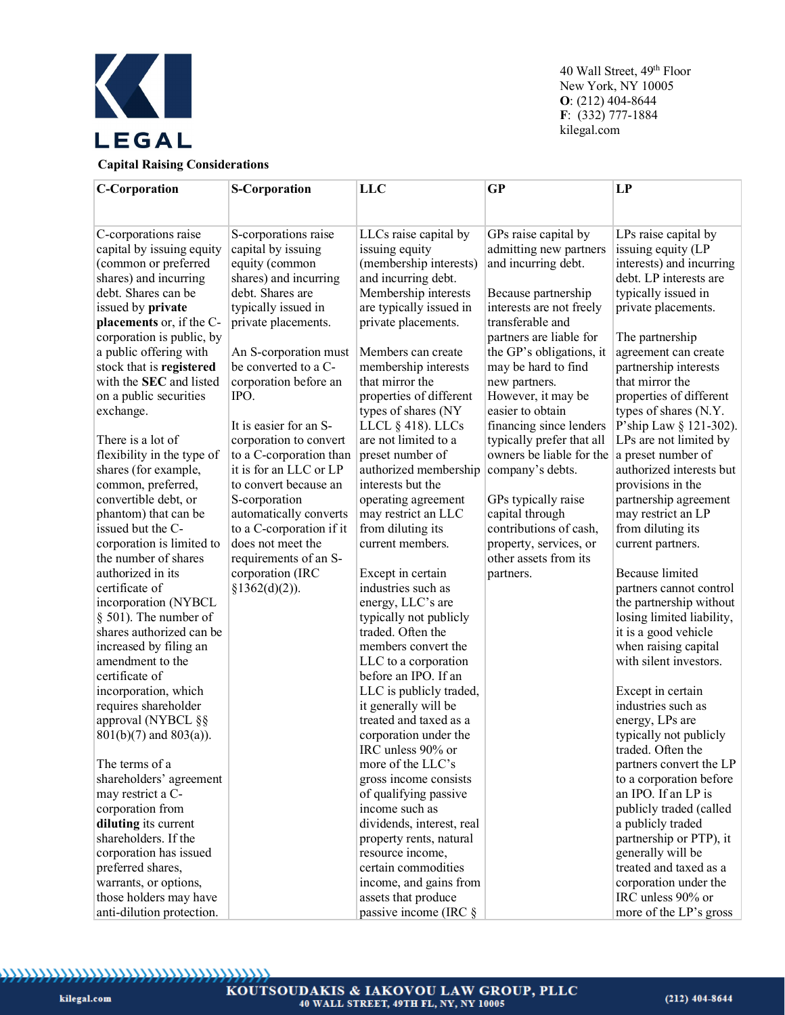

# **Capital Raising Considerations**

| <b>C-Corporation</b>        | <b>S-Corporation</b>     | LLC                       | <b>GP</b>                 | LP                        |
|-----------------------------|--------------------------|---------------------------|---------------------------|---------------------------|
|                             |                          |                           |                           |                           |
|                             |                          |                           |                           |                           |
| C-corporations raise        | S-corporations raise     | LLCs raise capital by     | GPs raise capital by      | LPs raise capital by      |
| capital by issuing equity   | capital by issuing       | issuing equity            | admitting new partners    | issuing equity (LP        |
| (common or preferred        | equity (common           | (membership interests)    | and incurring debt.       | interests) and incurring  |
| shares) and incurring       | shares) and incurring    | and incurring debt.       |                           | debt. LP interests are    |
| debt. Shares can be         | debt. Shares are         | Membership interests      | Because partnership       | typically issued in       |
| issued by private           | typically issued in      | are typically issued in   | interests are not freely  | private placements.       |
| placements or, if the C-    | private placements.      | private placements.       | transferable and          |                           |
| corporation is public, by   |                          |                           | partners are liable for   | The partnership           |
| a public offering with      | An S-corporation must    | Members can create        | the GP's obligations, it  | agreement can create      |
| stock that is registered    | be converted to a C-     | membership interests      | may be hard to find       | partnership interests     |
| with the SEC and listed     | corporation before an    | that mirror the           | new partners.             | that mirror the           |
| on a public securities      | IPO.                     | properties of different   | However, it may be        | properties of different   |
| exchange.                   |                          | types of shares (NY       | easier to obtain          | types of shares (N.Y.     |
|                             | It is easier for an S-   | LLCL § 418). LLCs         | financing since lenders   | P'ship Law § 121-302).    |
| There is a lot of           | corporation to convert   | are not limited to a      | typically prefer that all | LPs are not limited by    |
| flexibility in the type of  | to a C-corporation than  | preset number of          | owners be liable for the  | a preset number of        |
| shares (for example,        | it is for an LLC or LP   | authorized membership     | company's debts.          | authorized interests but  |
| common, preferred,          | to convert because an    | interests but the         |                           | provisions in the         |
| convertible debt, or        | S-corporation            | operating agreement       | GPs typically raise       | partnership agreement     |
| phantom) that can be        | automatically converts   | may restrict an LLC       | capital through           | may restrict an LP        |
| issued but the C-           | to a C-corporation if it | from diluting its         | contributions of cash,    | from diluting its         |
| corporation is limited to   | does not meet the        | current members.          | property, services, or    | current partners.         |
| the number of shares        | requirements of an S-    |                           | other assets from its     |                           |
| authorized in its           | corporation (IRC         | Except in certain         | partners.                 | <b>Because limited</b>    |
| certificate of              | §1362(d)(2)).            | industries such as        |                           | partners cannot control   |
| incorporation (NYBCL        |                          | energy, LLC's are         |                           | the partnership without   |
| $§$ 501). The number of     |                          | typically not publicly    |                           | losing limited liability, |
| shares authorized can be    |                          | traded. Often the         |                           | it is a good vehicle      |
| increased by filing an      |                          | members convert the       |                           | when raising capital      |
| amendment to the            |                          | LLC to a corporation      |                           | with silent investors.    |
| certificate of              |                          | before an IPO. If an      |                           |                           |
| incorporation, which        |                          | LLC is publicly traded,   |                           | Except in certain         |
| requires shareholder        |                          | it generally will be      |                           | industries such as        |
| approval (NYBCL §§          |                          | treated and taxed as a    |                           | energy, LPs are           |
| $801(b)(7)$ and $803(a)$ ). |                          | corporation under the     |                           | typically not publicly    |
|                             |                          | IRC unless 90% or         |                           | traded. Often the         |
| The terms of a              |                          | more of the LLC's         |                           | partners convert the LP   |
| shareholders' agreement     |                          | gross income consists     |                           | to a corporation before   |
| may restrict a C-           |                          | of qualifying passive     |                           | an IPO. If an LP is       |
| corporation from            |                          | income such as            |                           | publicly traded (called   |
| diluting its current        |                          | dividends, interest, real |                           | a publicly traded         |
| shareholders. If the        |                          | property rents, natural   |                           | partnership or PTP), it   |
| corporation has issued      |                          | resource income,          |                           | generally will be         |
| preferred shares,           |                          | certain commodities       |                           | treated and taxed as a    |
| warrants, or options,       |                          | income, and gains from    |                           | corporation under the     |
| those holders may have      |                          | assets that produce       |                           | IRC unless 90% or         |
| anti-dilution protection.   |                          | passive income (IRC §     |                           | more of the LP's gross    |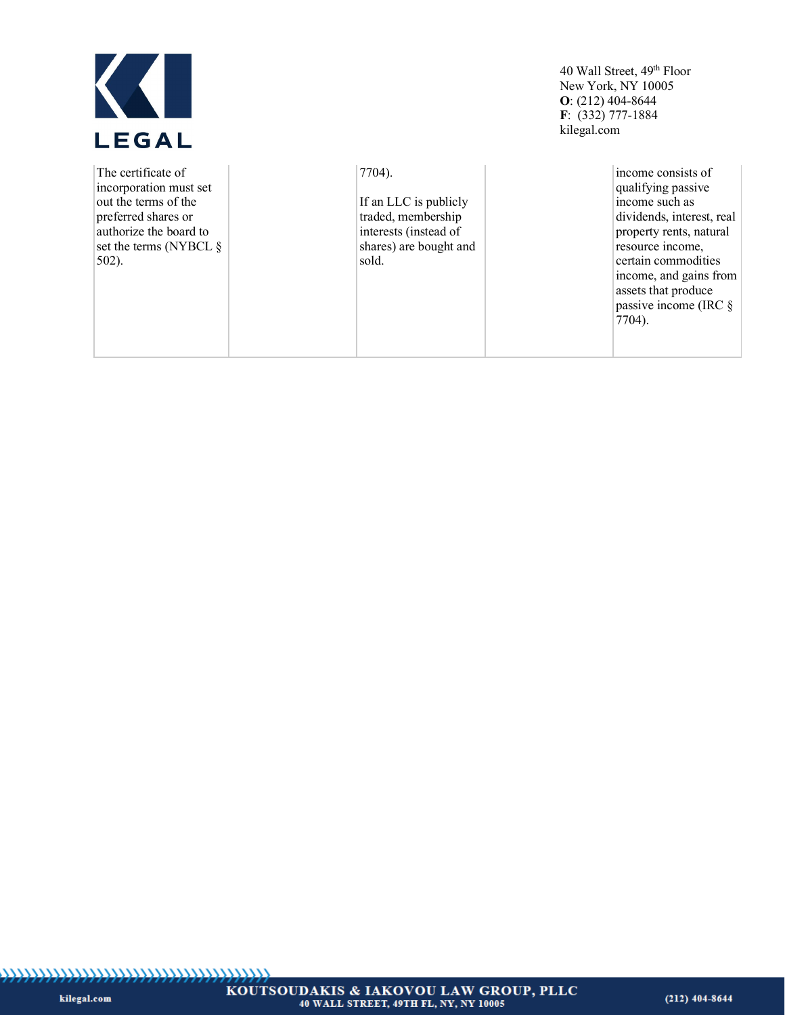

| The certificate of<br>incorporation must set<br>out the terms of the<br>preferred shares or<br>authorize the board to<br>set the terms (NYBCL $\S$<br>$502$ ). | 7704).<br>If an LLC is publicly<br>traded, membership<br>interests (instead of<br>shares) are bought and<br>sold. | income consists of<br>qualifying passive<br>income such as<br>dividends, interest, real<br>property rents, natural<br>resource income,<br>certain commodities<br>income, and gains from<br>assets that produce<br>passive income (IRC $\S$ |
|----------------------------------------------------------------------------------------------------------------------------------------------------------------|-------------------------------------------------------------------------------------------------------------------|--------------------------------------------------------------------------------------------------------------------------------------------------------------------------------------------------------------------------------------------|
|                                                                                                                                                                |                                                                                                                   | 7704).                                                                                                                                                                                                                                     |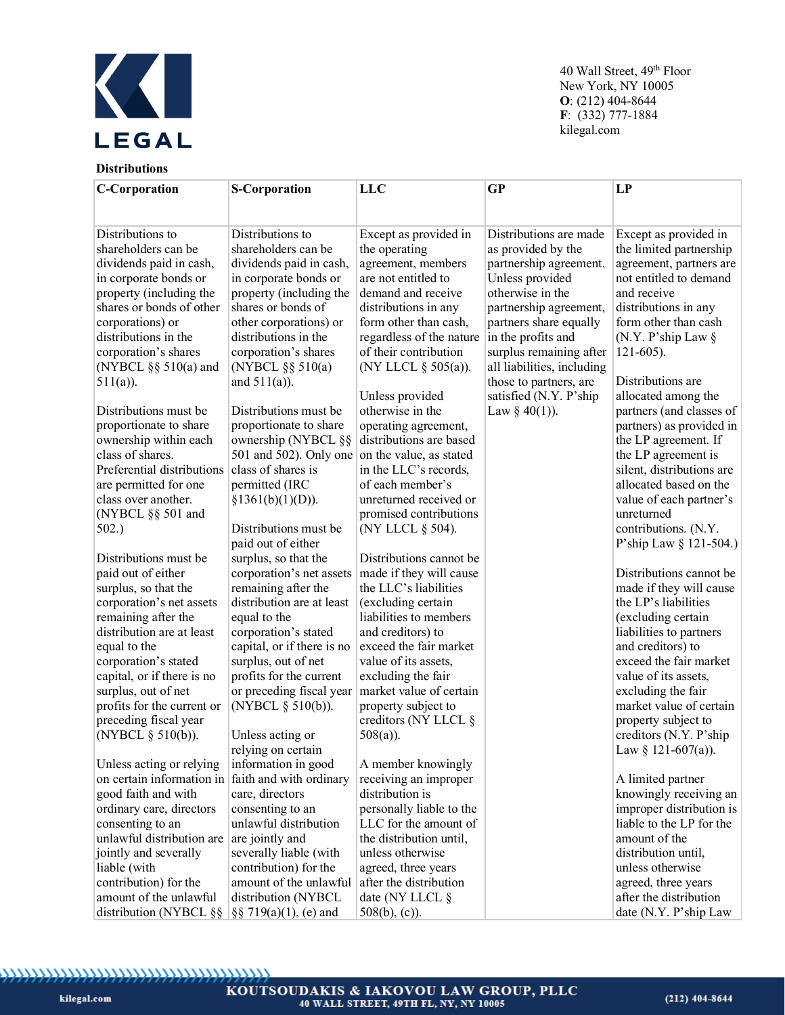

# **Distributions**

| <b>C-Corporation</b>                              | <b>S-Corporation</b>       | <b>LLC</b>               | <b>GP</b>                  | LP                        |
|---------------------------------------------------|----------------------------|--------------------------|----------------------------|---------------------------|
|                                                   |                            |                          |                            |                           |
|                                                   |                            |                          |                            |                           |
| Distributions to                                  | Distributions to           | Except as provided in    | Distributions are made     | Except as provided in     |
| shareholders can be                               | shareholders can be        | the operating            | as provided by the         | the limited partnership   |
| dividends paid in cash,                           | dividends paid in cash,    | agreement, members       | partnership agreement.     | agreement, partners are   |
| in corporate bonds or                             | in corporate bonds or      | are not entitled to      | Unless provided            | not entitled to demand    |
| property (including the                           | property (including the    | demand and receive       | otherwise in the           | and receive               |
| shares or bonds of other                          | shares or bonds of         | distributions in any     | partnership agreement,     | distributions in any      |
| corporations) or                                  | other corporations) or     | form other than cash,    | partners share equally     | form other than cash      |
| distributions in the                              | distributions in the       | regardless of the nature | in the profits and         | (N.Y. P'ship Law $\S$     |
| corporation's shares                              | corporation's shares       | of their contribution    | surplus remaining after    | $121-605$ ).              |
| (NYBCL $\S$ § 510(a) and                          | (NYBCL §§ 510(a)           | (NY LLCL § 505(a)).      | all liabilities, including |                           |
| $511(a)$ ).                                       | and $511(a)$ ).            |                          | those to partners, are     | Distributions are         |
|                                                   |                            | Unless provided          | satisfied (N.Y. P'ship     | allocated among the       |
| Distributions must be                             | Distributions must be      | otherwise in the         | Law § 40(1)).              | partners (and classes of  |
| proportionate to share                            | proportionate to share     | operating agreement,     |                            | partners) as provided in  |
| ownership within each                             | ownership (NYBCL §§        | distributions are based  |                            | the LP agreement. If      |
| class of shares.                                  | 501 and 502). Only one     | on the value, as stated  |                            | the LP agreement is       |
| Preferential distributions                        | class of shares is         | in the LLC's records,    |                            | silent, distributions are |
| are permitted for one                             | permitted (IRC             | of each member's         |                            | allocated based on the    |
| class over another.                               | §1361(b)(1)(D)).           | unreturned received or   |                            | value of each partner's   |
| (NYBCL §§ 501 and                                 |                            | promised contributions   |                            | unreturned                |
| 502.)                                             | Distributions must be      | (NY LLCL § 504).         |                            | contributions. (N.Y.      |
|                                                   | paid out of either         |                          |                            | P'ship Law § 121-504.)    |
| Distributions must be                             | surplus, so that the       | Distributions cannot be  |                            |                           |
| paid out of either                                | corporation's net assets   | made if they will cause  |                            | Distributions cannot be   |
| surplus, so that the                              | remaining after the        | the LLC's liabilities    |                            | made if they will cause   |
| corporation's net assets                          | distribution are at least  | (excluding certain       |                            | the LP's liabilities      |
| remaining after the                               | equal to the               | liabilities to members   |                            | (excluding certain        |
| distribution are at least                         | corporation's stated       | and creditors) to        |                            | liabilities to partners   |
| equal to the                                      | capital, or if there is no | exceed the fair market   |                            | and creditors) to         |
| corporation's stated                              | surplus, out of net        | value of its assets,     |                            | exceed the fair market    |
| capital, or if there is no                        | profits for the current    | excluding the fair       |                            | value of its assets,      |
| surplus, out of net                               | or preceding fiscal year   | market value of certain  |                            | excluding the fair        |
| profits for the current or                        | (NYBCL § 510(b)).          | property subject to      |                            | market value of certain   |
| preceding fiscal year                             |                            | creditors (NY LLCL §     |                            | property subject to       |
| (NYBCL § 510(b)).                                 | Unless acting or           | $508(a)$ ).              |                            | creditors (N.Y. P'ship    |
|                                                   | relying on certain         |                          |                            | Law § 121-607(a)).        |
| Unless acting or relying                          | information in good        | A member knowingly       |                            |                           |
| on certain information in faith and with ordinary |                            | receiving an improper    |                            | A limited partner         |
| good faith and with                               | care, directors            | distribution is          |                            | knowingly receiving an    |
| ordinary care, directors                          | consenting to an           | personally liable to the |                            | improper distribution is  |
| consenting to an                                  | unlawful distribution      | LLC for the amount of    |                            | liable to the LP for the  |
| unlawful distribution are                         | are jointly and            | the distribution until,  |                            | amount of the             |
| jointly and severally                             | severally liable (with     | unless otherwise         |                            | distribution until,       |
| liable (with                                      | contribution) for the      | agreed, three years      |                            | unless otherwise          |
| contribution) for the                             | amount of the unlawful     | after the distribution   |                            | agreed, three years       |
| amount of the unlawful                            | distribution (NYBCL        | date (NY LLCL §          |                            | after the distribution    |
| distribution (NYBCL §§                            | $\S$ § 719(a)(1), (e) and  | $508(b)$ , (c)).         |                            | date (N.Y. P'ship Law     |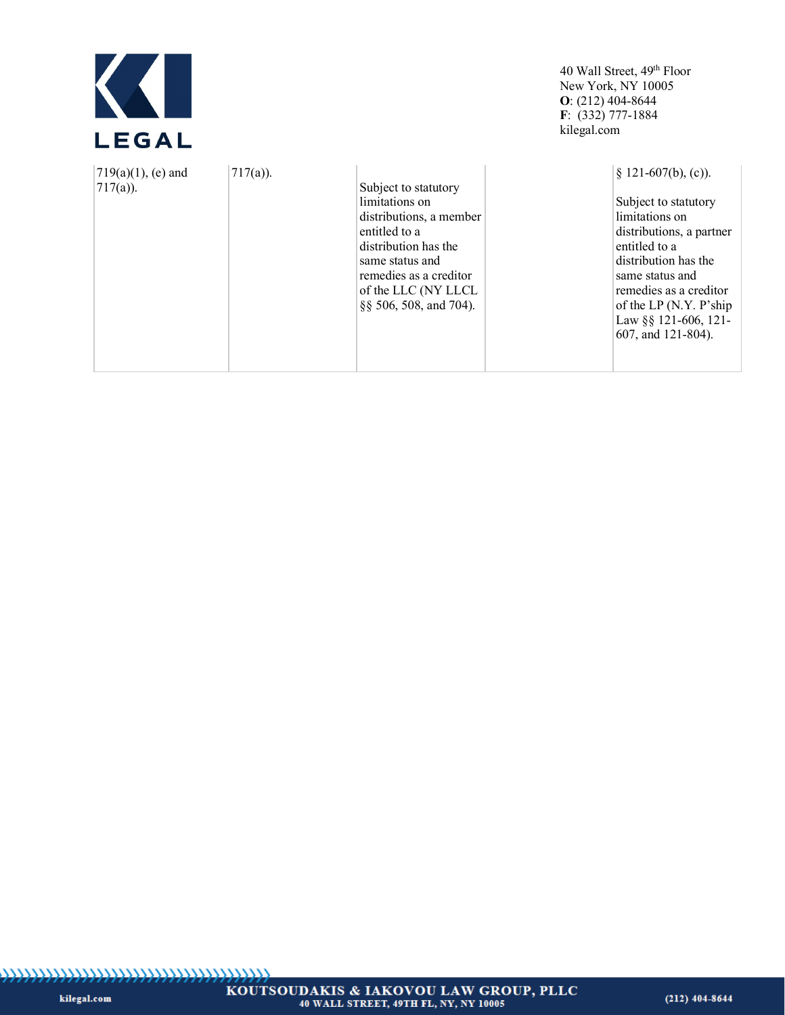

| $717(a)$ ).<br>$(719(a)(1), (e)$ and<br>$717(a)$ ). | Subject to statutory<br>limitations on<br>distributions, a member<br>entitled to a<br>distribution has the<br>same status and<br>remedies as a creditor<br>of the LLC (NY LLCL<br>§§ 506, 508, and 704). | $§$ 121-607(b), (c)).<br>Subject to statutory<br>limitations on<br>distributions, a partner<br>entitled to a<br>distribution has the<br>same status and<br>remedies as a creditor<br>of the LP (N.Y. P'ship<br>Law §§ 121-606, 121-<br>607, and 121-804). |
|-----------------------------------------------------|----------------------------------------------------------------------------------------------------------------------------------------------------------------------------------------------------------|-----------------------------------------------------------------------------------------------------------------------------------------------------------------------------------------------------------------------------------------------------------|
|-----------------------------------------------------|----------------------------------------------------------------------------------------------------------------------------------------------------------------------------------------------------------|-----------------------------------------------------------------------------------------------------------------------------------------------------------------------------------------------------------------------------------------------------------|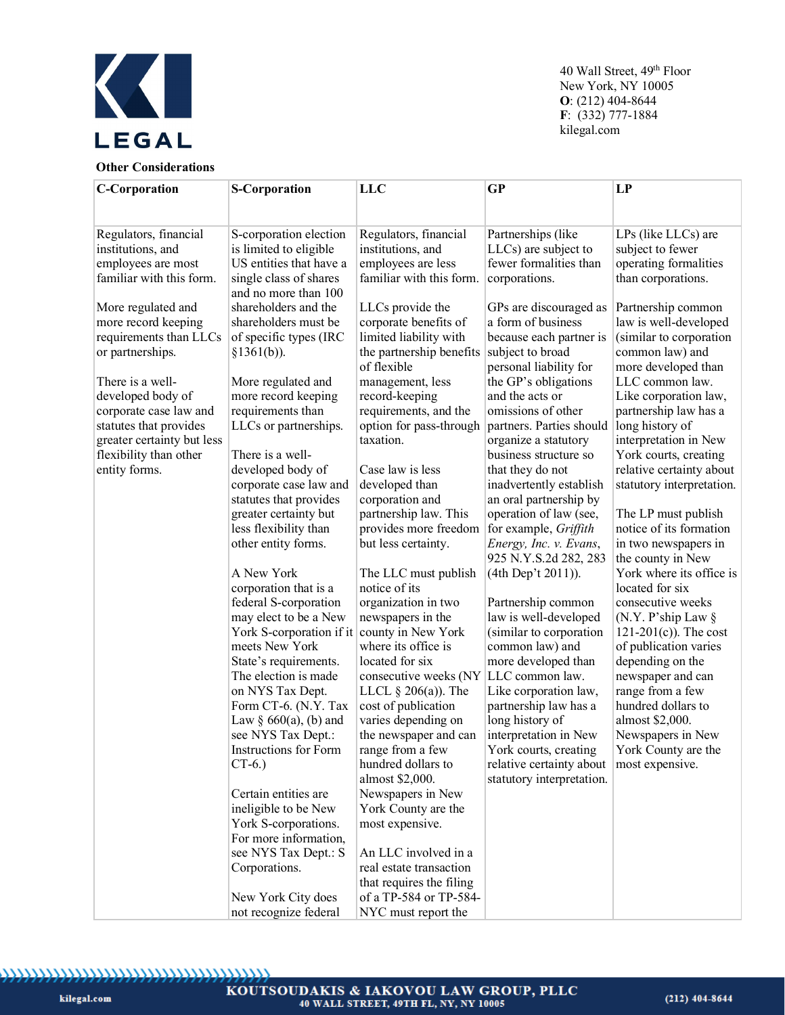

# **Other Considerations**

| <b>C-Corporation</b>       | <b>S-Corporation</b>                           | LLC                      | GP                                         | LP                                    |
|----------------------------|------------------------------------------------|--------------------------|--------------------------------------------|---------------------------------------|
|                            |                                                |                          |                                            |                                       |
|                            |                                                |                          |                                            |                                       |
| Regulators, financial      | S-corporation election                         | Regulators, financial    | Partnerships (like                         | LPs (like LLCs) are                   |
| institutions, and          | is limited to eligible                         | institutions, and        | LLCs) are subject to                       | subject to fewer                      |
| employees are most         | US entities that have a                        | employees are less       | fewer formalities than                     | operating formalities                 |
| familiar with this form.   | single class of shares<br>and no more than 100 | familiar with this form. | corporations.                              | than corporations.                    |
| More regulated and         | shareholders and the                           | LLCs provide the         | GPs are discouraged as                     | Partnership common                    |
| more record keeping        | shareholders must be                           | corporate benefits of    | a form of business                         | law is well-developed                 |
| requirements than LLCs     | of specific types (IRC                         | limited liability with   | because each partner is                    | (similar to corporation               |
| or partnerships.           | §1361(b)).                                     | the partnership benefits | subject to broad                           | common law) and                       |
|                            |                                                | of flexible              | personal liability for                     | more developed than                   |
| There is a well-           | More regulated and                             | management, less         | the GP's obligations                       | LLC common law.                       |
| developed body of          | more record keeping                            | record-keeping           | and the acts or                            | Like corporation law,                 |
| corporate case law and     | requirements than                              | requirements, and the    | omissions of other                         | partnership law has a                 |
| statutes that provides     | LLCs or partnerships.                          | option for pass-through  | partners. Parties should                   | long history of                       |
| greater certainty but less |                                                | taxation.                | organize a statutory                       | interpretation in New                 |
| flexibility than other     | There is a well-                               |                          | business structure so                      | York courts, creating                 |
| entity forms.              | developed body of                              | Case law is less         | that they do not                           | relative certainty about              |
|                            | corporate case law and                         | developed than           | inadvertently establish                    | statutory interpretation.             |
|                            | statutes that provides                         | corporation and          | an oral partnership by                     |                                       |
|                            | greater certainty but                          | partnership law. This    | operation of law (see,                     | The LP must publish                   |
|                            | less flexibility than                          | provides more freedom    | for example, Griffith                      | notice of its formation               |
|                            | other entity forms.                            | but less certainty.      | Energy, Inc. v. Evans,                     | in two newspapers in                  |
|                            |                                                |                          | 925 N.Y.S.2d 282, 283                      | the county in New                     |
|                            | A New York                                     | The LLC must publish     | (4th Dep't 2011)).                         | York where its office is              |
|                            | corporation that is a                          | notice of its            |                                            | located for six                       |
|                            | federal S-corporation                          | organization in two      | Partnership common                         | consecutive weeks                     |
|                            | may elect to be a New                          | newspapers in the        | law is well-developed                      | (N.Y. P'ship Law $\S$                 |
|                            | York S-corporation if it county in New York    | where its office is      | (similar to corporation                    | $121-201(c)$ ). The cost              |
|                            | meets New York                                 | located for six          | common law) and                            | of publication varies                 |
|                            | State's requirements.<br>The election is made  | consecutive weeks (NY    | more developed than<br>LLC common law.     | depending on the<br>newspaper and can |
|                            | on NYS Tax Dept.                               | LLCL $\S 206(a)$ ). The  | Like corporation law,                      | range from a few                      |
|                            | Form CT-6. (N.Y. Tax                           | cost of publication      | partnership law has a                      | hundred dollars to                    |
|                            | Law $\S 660(a)$ , (b) and                      | varies depending on      | long history of                            | almost \$2,000.                       |
|                            | see NYS Tax Dept.:                             | the newspaper and can    | interpretation in New                      | Newspapers in New                     |
|                            | Instructions for Form                          | range from a few         | York courts, creating                      | York County are the                   |
|                            | $CT-6.$                                        | hundred dollars to       | relative certainty about   most expensive. |                                       |
|                            |                                                | almost \$2,000.          | statutory interpretation.                  |                                       |
|                            | Certain entities are                           | Newspapers in New        |                                            |                                       |
|                            | ineligible to be New                           | York County are the      |                                            |                                       |
|                            | York S-corporations.                           | most expensive.          |                                            |                                       |
|                            | For more information,                          |                          |                                            |                                       |
|                            | see NYS Tax Dept.: S                           | An LLC involved in a     |                                            |                                       |
|                            | Corporations.                                  | real estate transaction  |                                            |                                       |
|                            |                                                | that requires the filing |                                            |                                       |
|                            | New York City does                             | of a TP-584 or TP-584-   |                                            |                                       |
|                            | not recognize federal                          | NYC must report the      |                                            |                                       |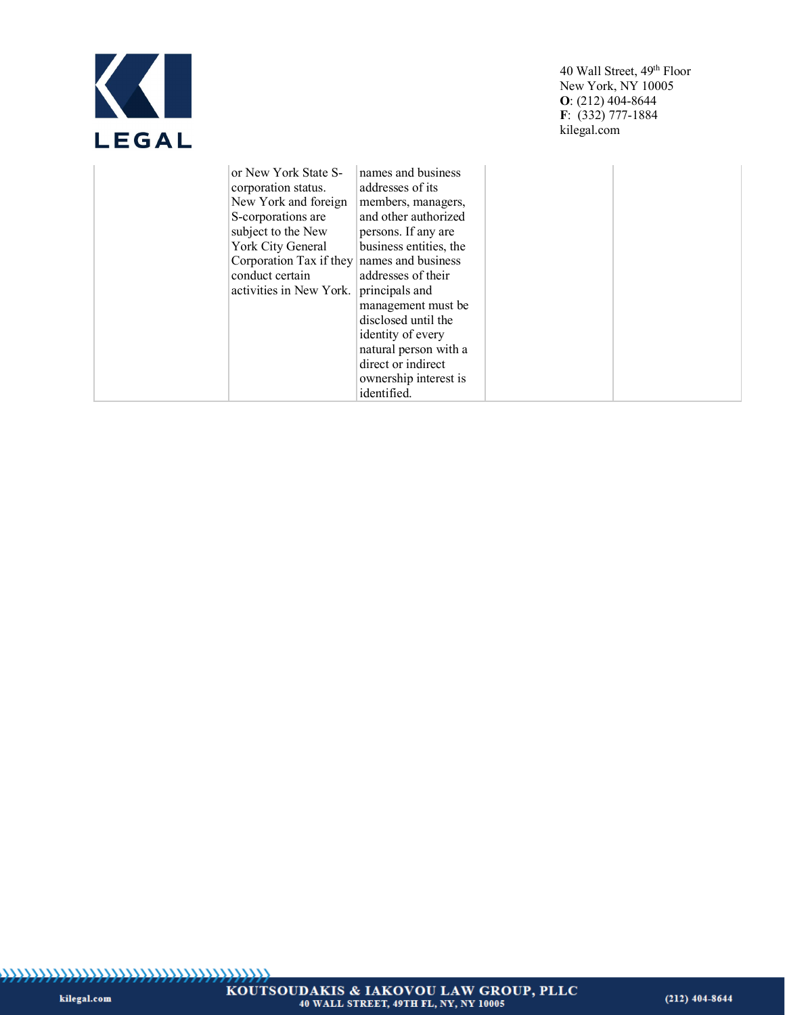| LEGA<br>Ш |
|-----------|

| or New York State S-                       | names and business     |  |
|--------------------------------------------|------------------------|--|
| corporation status.                        | addresses of its       |  |
| New York and foreign                       | members, managers,     |  |
| S-corporations are                         | and other authorized   |  |
| subject to the New                         | persons. If any are    |  |
| York City General                          | business entities, the |  |
| Corporation Tax if they names and business |                        |  |
| conduct certain                            | addresses of their     |  |
| activities in New York.                    | principals and         |  |
|                                            | management must be     |  |
|                                            | disclosed until the    |  |
|                                            | identity of every      |  |
|                                            | natural person with a  |  |
|                                            | direct or indirect     |  |
|                                            | ownership interest is  |  |
|                                            | identified.            |  |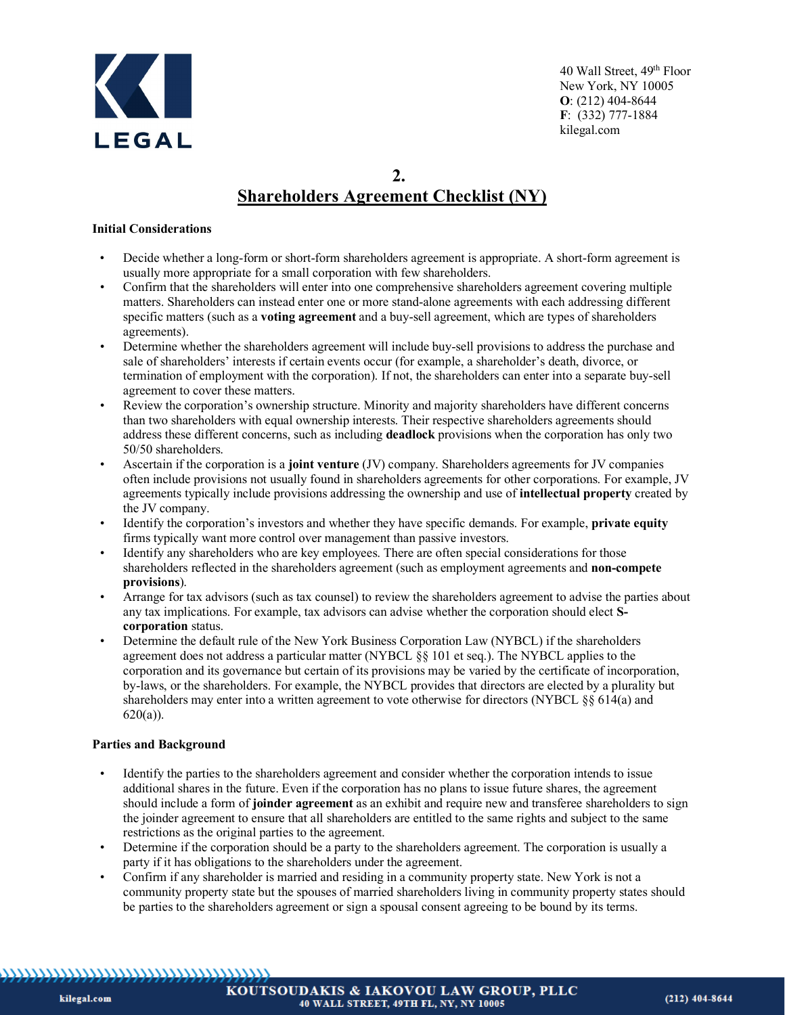

# **2. Shareholders Agreement Checklist (NY)**

#### **Initial Considerations**

- Decide whether a long-form or short-form shareholders agreement is appropriate. A short-form agreement is usually more appropriate for a small corporation with few shareholders.
- Confirm that the shareholders will enter into one comprehensive shareholders agreement covering multiple matters. Shareholders can instead enter one or more stand-alone agreements with each addressing different specific matters (such as a **voting agreement** and a buy-sell agreement, which are types of shareholders agreements).
- Determine whether the shareholders agreement will include buy-sell provisions to address the purchase and sale of shareholders' interests if certain events occur (for example, a shareholder's death, divorce, or termination of employment with the corporation). If not, the shareholders can enter into a separate buy-sell agreement to cover these matters.
- Review the corporation's ownership structure. Minority and majority shareholders have different concerns than two shareholders with equal ownership interests. Their respective shareholders agreements should address these different concerns, such as including **deadlock** provisions when the corporation has only two 50/50 shareholders.
- Ascertain if the corporation is a **joint venture** (JV) company. Shareholders agreements for JV companies often include provisions not usually found in shareholders agreements for other corporations. For example, JV agreements typically include provisions addressing the ownership and use of **intellectual property** created by the JV company.
- Identify the corporation's investors and whether they have specific demands. For example, **private equity** firms typically want more control over management than passive investors.
- Identify any shareholders who are key employees. There are often special considerations for those shareholders reflected in the shareholders agreement (such as employment agreements and **non-compete provisions**).
- Arrange for tax advisors (such as tax counsel) to review the shareholders agreement to advise the parties about any tax implications. For example, tax advisors can advise whether the corporation should elect **Scorporation** status.
- Determine the default rule of the New York Business Corporation Law (NYBCL) if the shareholders agreement does not address a particular matter (NYBCL §§ 101 et seq.). The NYBCL applies to the corporation and its governance but certain of its provisions may be varied by the certificate of incorporation, by-laws, or the shareholders. For example, the NYBCL provides that directors are elected by a plurality but shareholders may enter into a written agreement to vote otherwise for directors (NYBCL §§ 614(a) and  $620(a)$ ).

# **Parties and Background**

- Identify the parties to the shareholders agreement and consider whether the corporation intends to issue additional shares in the future. Even if the corporation has no plans to issue future shares, the agreement should include a form of **joinder agreement** as an exhibit and require new and transferee shareholders to sign the joinder agreement to ensure that all shareholders are entitled to the same rights and subject to the same restrictions as the original parties to the agreement.
- Determine if the corporation should be a party to the shareholders agreement. The corporation is usually a party if it has obligations to the shareholders under the agreement.
- Confirm if any shareholder is married and residing in a community property state. New York is not a community property state but the spouses of married shareholders living in community property states should be parties to the shareholders agreement or sign a spousal consent agreeing to be bound by its terms.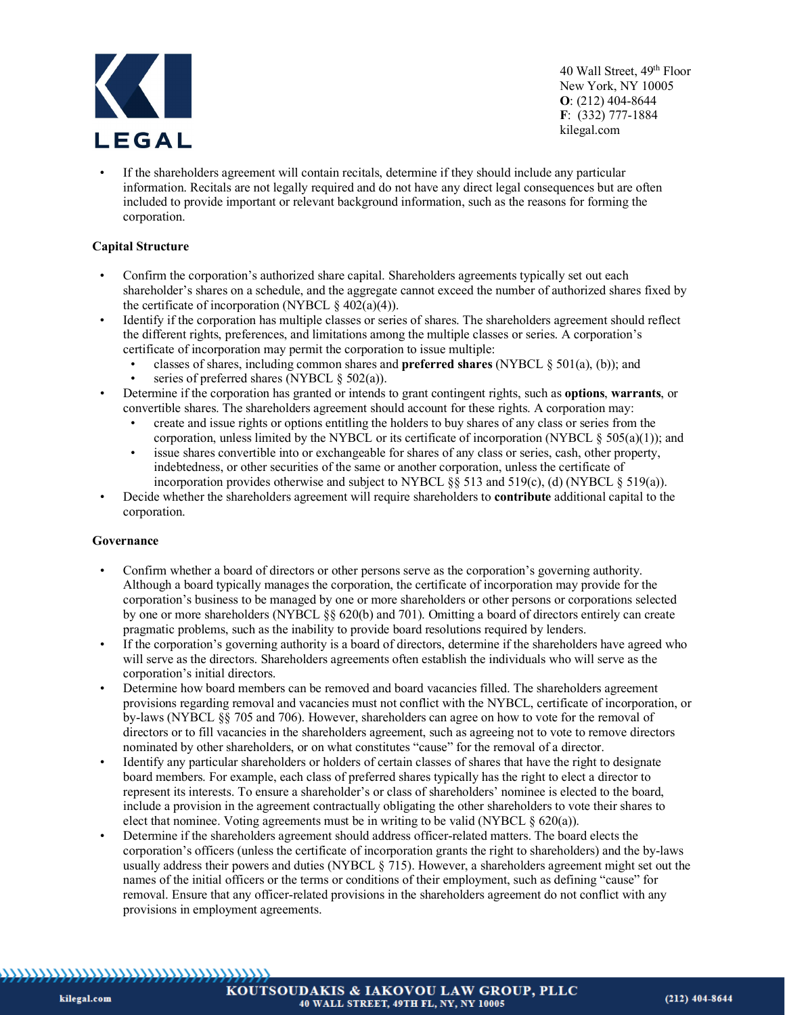

If the shareholders agreement will contain recitals, determine if they should include any particular information. Recitals are not legally required and do not have any direct legal consequences but are often included to provide important or relevant background information, such as the reasons for forming the corporation.

### **Capital Structure**

- Confirm the corporation's authorized share capital. Shareholders agreements typically set out each shareholder's shares on a schedule, and the aggregate cannot exceed the number of authorized shares fixed by the certificate of incorporation (NYBCL  $\S 402(a)(4)$ ).
- Identify if the corporation has multiple classes or series of shares. The shareholders agreement should reflect the different rights, preferences, and limitations among the multiple classes or series. A corporation's certificate of incorporation may permit the corporation to issue multiple:
	- classes of shares, including common shares and **preferred shares** (NYBCL § 501(a), (b)); and
		- series of preferred shares (NYBCL  $\S$  502(a)).
- Determine if the corporation has granted or intends to grant contingent rights, such as **options**, **warrants**, or convertible shares. The shareholders agreement should account for these rights. A corporation may:
	- create and issue rights or options entitling the holders to buy shares of any class or series from the corporation, unless limited by the NYBCL or its certificate of incorporation (NYBCL  $\S$  505(a)(1)); and
	- issue shares convertible into or exchangeable for shares of any class or series, cash, other property, indebtedness, or other securities of the same or another corporation, unless the certificate of incorporation provides otherwise and subject to NYBCL § 513 and 519(c), (d) (NYBCL § 519(a)).
- Decide whether the shareholders agreement will require shareholders to **contribute** additional capital to the corporation.

#### **Governance**

- Confirm whether a board of directors or other persons serve as the corporation's governing authority. Although a board typically manages the corporation, the certificate of incorporation may provide for the corporation's business to be managed by one or more shareholders or other persons or corporations selected by one or more shareholders (NYBCL §§ 620(b) and 701). Omitting a board of directors entirely can create pragmatic problems, such as the inability to provide board resolutions required by lenders.
- If the corporation's governing authority is a board of directors, determine if the shareholders have agreed who will serve as the directors. Shareholders agreements often establish the individuals who will serve as the corporation's initial directors.
- Determine how board members can be removed and board vacancies filled. The shareholders agreement provisions regarding removal and vacancies must not conflict with the NYBCL, certificate of incorporation, or by-laws (NYBCL §§ 705 and 706). However, shareholders can agree on how to vote for the removal of directors or to fill vacancies in the shareholders agreement, such as agreeing not to vote to remove directors nominated by other shareholders, or on what constitutes "cause" for the removal of a director.
- Identify any particular shareholders or holders of certain classes of shares that have the right to designate board members. For example, each class of preferred shares typically has the right to elect a director to represent its interests. To ensure a shareholder's or class of shareholders' nominee is elected to the board, include a provision in the agreement contractually obligating the other shareholders to vote their shares to elect that nominee. Voting agreements must be in writing to be valid (NYBCL  $\S$  620(a)).
- Determine if the shareholders agreement should address officer-related matters. The board elects the corporation's officers (unless the certificate of incorporation grants the right to shareholders) and the by-laws usually address their powers and duties (NYBCL § 715). However, a shareholders agreement might set out the names of the initial officers or the terms or conditions of their employment, such as defining "cause" for removal. Ensure that any officer-related provisions in the shareholders agreement do not conflict with any provisions in employment agreements.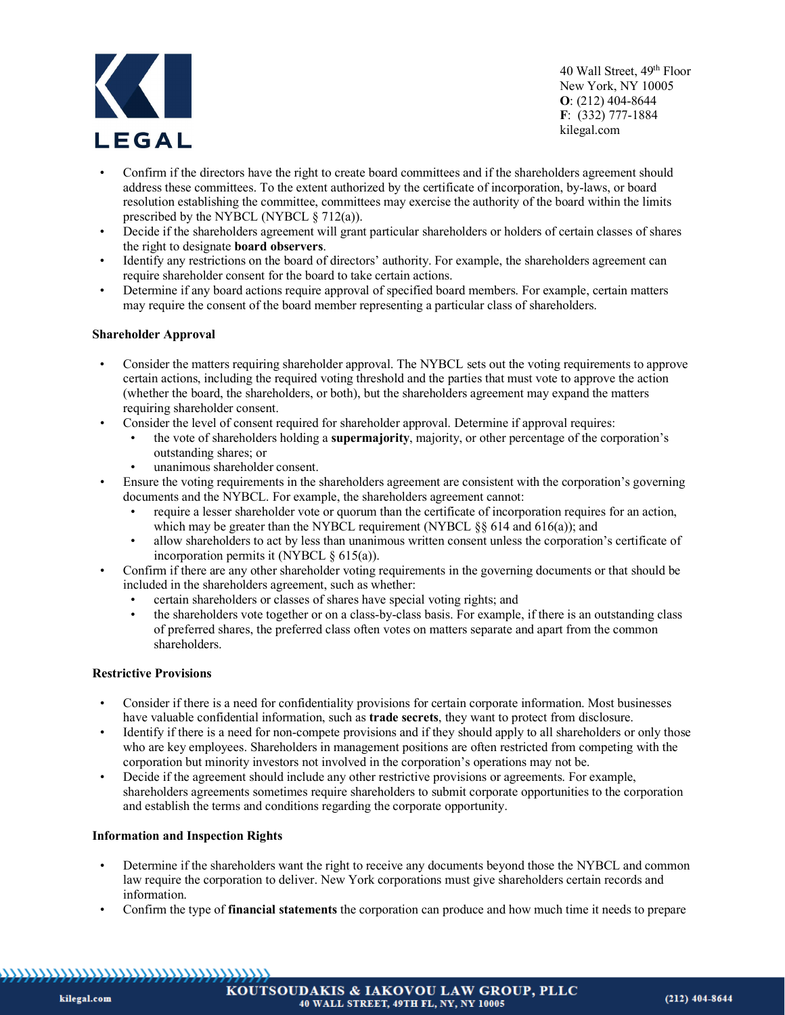

- Confirm if the directors have the right to create board committees and if the shareholders agreement should address these committees. To the extent authorized by the certificate of incorporation, by-laws, or board resolution establishing the committee, committees may exercise the authority of the board within the limits prescribed by the NYBCL (NYBCL  $\S$  712(a)).
- Decide if the shareholders agreement will grant particular shareholders or holders of certain classes of shares the right to designate **board observers**.
- Identify any restrictions on the board of directors' authority. For example, the shareholders agreement can require shareholder consent for the board to take certain actions.
- Determine if any board actions require approval of specified board members. For example, certain matters may require the consent of the board member representing a particular class of shareholders.

#### **Shareholder Approval**

- Consider the matters requiring shareholder approval. The NYBCL sets out the voting requirements to approve certain actions, including the required voting threshold and the parties that must vote to approve the action (whether the board, the shareholders, or both), but the shareholders agreement may expand the matters requiring shareholder consent.
- Consider the level of consent required for shareholder approval. Determine if approval requires:
	- the vote of shareholders holding a **supermajority**, majority, or other percentage of the corporation's outstanding shares; or
		- unanimous shareholder consent.
- Ensure the voting requirements in the shareholders agreement are consistent with the corporation's governing documents and the NYBCL. For example, the shareholders agreement cannot:
	- require a lesser shareholder vote or quorum than the certificate of incorporation requires for an action, which may be greater than the NYBCL requirement (NYBCL §§ 614 and 616(a)); and
	- allow shareholders to act by less than unanimous written consent unless the corporation's certificate of incorporation permits it (NYBCL  $\S$  615(a)).
- Confirm if there are any other shareholder voting requirements in the governing documents or that should be included in the shareholders agreement, such as whether:
	- certain shareholders or classes of shares have special voting rights; and
	- the shareholders vote together or on a class-by-class basis. For example, if there is an outstanding class of preferred shares, the preferred class often votes on matters separate and apart from the common shareholders.

#### **Restrictive Provisions**

- Consider if there is a need for confidentiality provisions for certain corporate information. Most businesses have valuable confidential information, such as **trade secrets**, they want to protect from disclosure.
- Identify if there is a need for non-compete provisions and if they should apply to all shareholders or only those who are key employees. Shareholders in management positions are often restricted from competing with the corporation but minority investors not involved in the corporation's operations may not be.
- Decide if the agreement should include any other restrictive provisions or agreements. For example, shareholders agreements sometimes require shareholders to submit corporate opportunities to the corporation and establish the terms and conditions regarding the corporate opportunity.

# **Information and Inspection Rights**

- Determine if the shareholders want the right to receive any documents beyond those the NYBCL and common law require the corporation to deliver. New York corporations must give shareholders certain records and information.
- Confirm the type of **financial statements** the corporation can produce and how much time it needs to prepare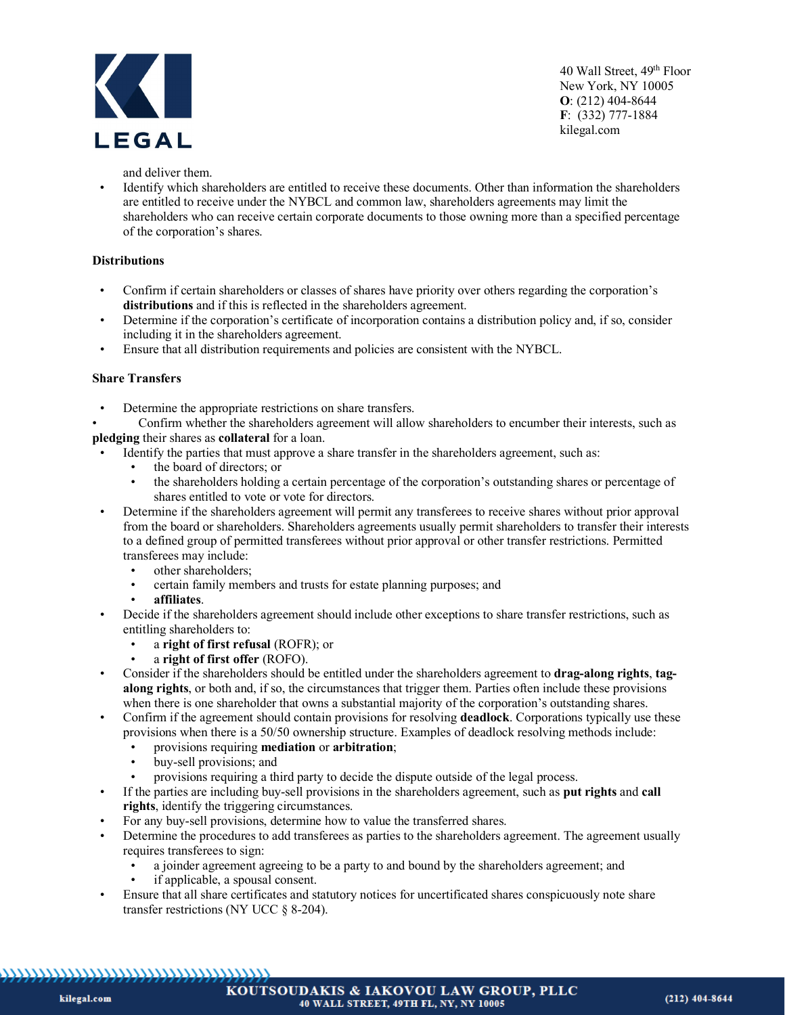

and deliver them.

• Identify which shareholders are entitled to receive these documents. Other than information the shareholders are entitled to receive under the NYBCL and common law, shareholders agreements may limit the shareholders who can receive certain corporate documents to those owning more than a specified percentage of the corporation's shares.

# **Distributions**

- Confirm if certain shareholders or classes of shares have priority over others regarding the corporation's **distributions** and if this is reflected in the shareholders agreement.
- Determine if the corporation's certificate of incorporation contains a distribution policy and, if so, consider including it in the shareholders agreement.
- Ensure that all distribution requirements and policies are consistent with the NYBCL.

#### **Share Transfers**

- Determine the appropriate restrictions on share transfers.
- Confirm whether the shareholders agreement will allow shareholders to encumber their interests, such as **pledging** their shares as **collateral** for a loan.
- Identify the parties that must approve a share transfer in the shareholders agreement, such as:
	- the board of directors; or
	- the shareholders holding a certain percentage of the corporation's outstanding shares or percentage of shares entitled to vote or vote for directors.
- Determine if the shareholders agreement will permit any transferees to receive shares without prior approval from the board or shareholders. Shareholders agreements usually permit shareholders to transfer their interests to a defined group of permitted transferees without prior approval or other transfer restrictions. Permitted transferees may include:
	- other shareholders;
	- certain family members and trusts for estate planning purposes; and
	- **affiliates**.
- Decide if the shareholders agreement should include other exceptions to share transfer restrictions, such as entitling shareholders to:
	- a **right of first refusal** (ROFR); or
		- a **right of first offer** (ROFO).
- Consider if the shareholders should be entitled under the shareholders agreement to **drag-along rights**, **tagalong rights**, or both and, if so, the circumstances that trigger them. Parties often include these provisions when there is one shareholder that owns a substantial majority of the corporation's outstanding shares.
- Confirm if the agreement should contain provisions for resolving **deadlock**. Corporations typically use these provisions when there is a 50/50 ownership structure. Examples of deadlock resolving methods include:
	- provisions requiring **mediation** or **arbitration**;<br>• buv-sell provisions: and
	- buy-sell provisions; and
	- provisions requiring a third party to decide the dispute outside of the legal process.
- If the parties are including buy-sell provisions in the shareholders agreement, such as **put rights** and **call rights**, identify the triggering circumstances.
- For any buy-sell provisions, determine how to value the transferred shares.
- Determine the procedures to add transferees as parties to the shareholders agreement. The agreement usually requires transferees to sign:
	- a joinder agreement agreeing to be a party to and bound by the shareholders agreement; and
	- if applicable, a spousal consent.
- Ensure that all share certificates and statutory notices for uncertificated shares conspicuously note share transfer restrictions (NY UCC § 8-204).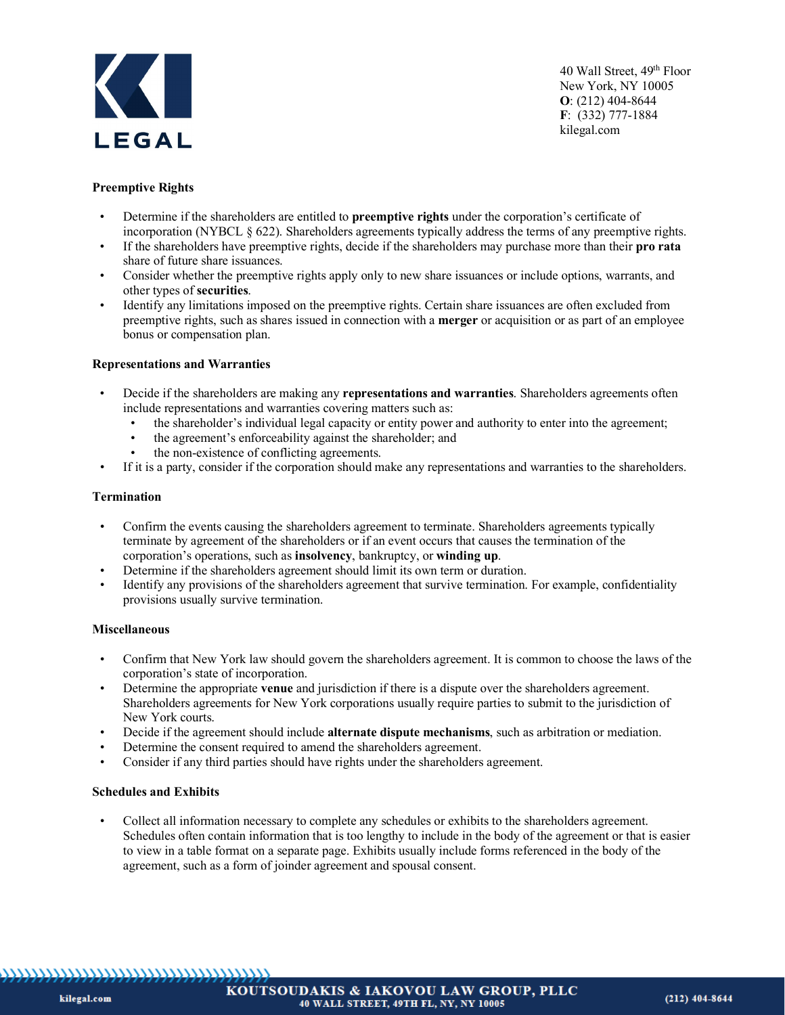

# **Preemptive Rights**

- Determine if the shareholders are entitled to **preemptive rights** under the corporation's certificate of incorporation (NYBCL § 622). Shareholders agreements typically address the terms of any preemptive rights.
- If the shareholders have preemptive rights, decide if the shareholders may purchase more than their **pro rata** share of future share issuances.
- Consider whether the preemptive rights apply only to new share issuances or include options, warrants, and other types of **securities**.
- Identify any limitations imposed on the preemptive rights. Certain share issuances are often excluded from preemptive rights, such as shares issued in connection with a **merger** or acquisition or as part of an employee bonus or compensation plan.

#### **Representations and Warranties**

- Decide if the shareholders are making any **representations and warranties**. Shareholders agreements often include representations and warranties covering matters such as:
	- the shareholder's individual legal capacity or entity power and authority to enter into the agreement;
	- the agreement's enforceability against the shareholder; and
	- the non-existence of conflicting agreements.
- If it is a party, consider if the corporation should make any representations and warranties to the shareholders.

#### **Termination**

- Confirm the events causing the shareholders agreement to terminate. Shareholders agreements typically terminate by agreement of the shareholders or if an event occurs that causes the termination of the corporation's operations, such as **insolvency**, bankruptcy, or **winding up**.
- Determine if the shareholders agreement should limit its own term or duration.
- Identify any provisions of the shareholders agreement that survive termination. For example, confidentiality provisions usually survive termination.

#### **Miscellaneous**

- Confirm that New York law should govern the shareholders agreement. It is common to choose the laws of the corporation's state of incorporation.
- Determine the appropriate **venue** and jurisdiction if there is a dispute over the shareholders agreement. Shareholders agreements for New York corporations usually require parties to submit to the jurisdiction of New York courts.
- Decide if the agreement should include **alternate dispute mechanisms**, such as arbitration or mediation.
- Determine the consent required to amend the shareholders agreement.
- Consider if any third parties should have rights under the shareholders agreement.

#### **Schedules and Exhibits**

• Collect all information necessary to complete any schedules or exhibits to the shareholders agreement. Schedules often contain information that is too lengthy to include in the body of the agreement or that is easier to view in a table format on a separate page. Exhibits usually include forms referenced in the body of the agreement, such as a form of joinder agreement and spousal consent.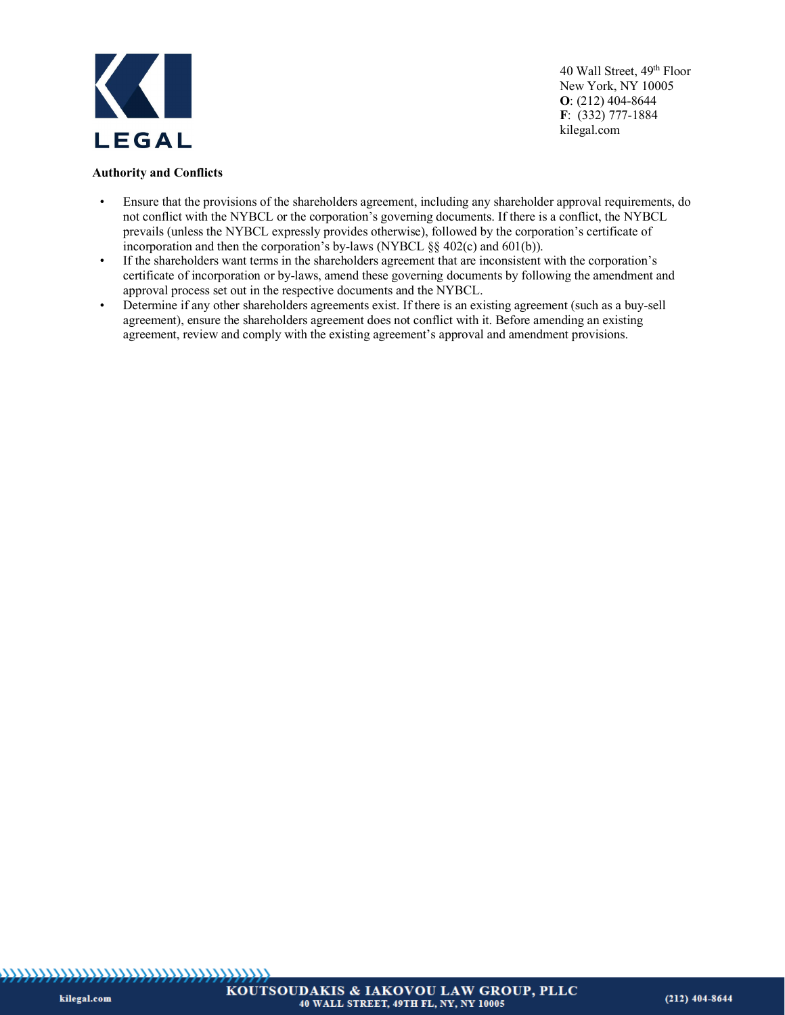

#### **Authority and Conflicts**

- Ensure that the provisions of the shareholders agreement, including any shareholder approval requirements, do not conflict with the NYBCL or the corporation's governing documents. If there is a conflict, the NYBCL prevails (unless the NYBCL expressly provides otherwise), followed by the corporation's certificate of incorporation and then the corporation's by-laws (NYBCL §§ 402(c) and 601(b)).
- If the shareholders want terms in the shareholders agreement that are inconsistent with the corporation's certificate of incorporation or by-laws, amend these governing documents by following the amendment and approval process set out in the respective documents and the NYBCL.
- Determine if any other shareholders agreements exist. If there is an existing agreement (such as a buy-sell agreement), ensure the shareholders agreement does not conflict with it. Before amending an existing agreement, review and comply with the existing agreement's approval and amendment provisions.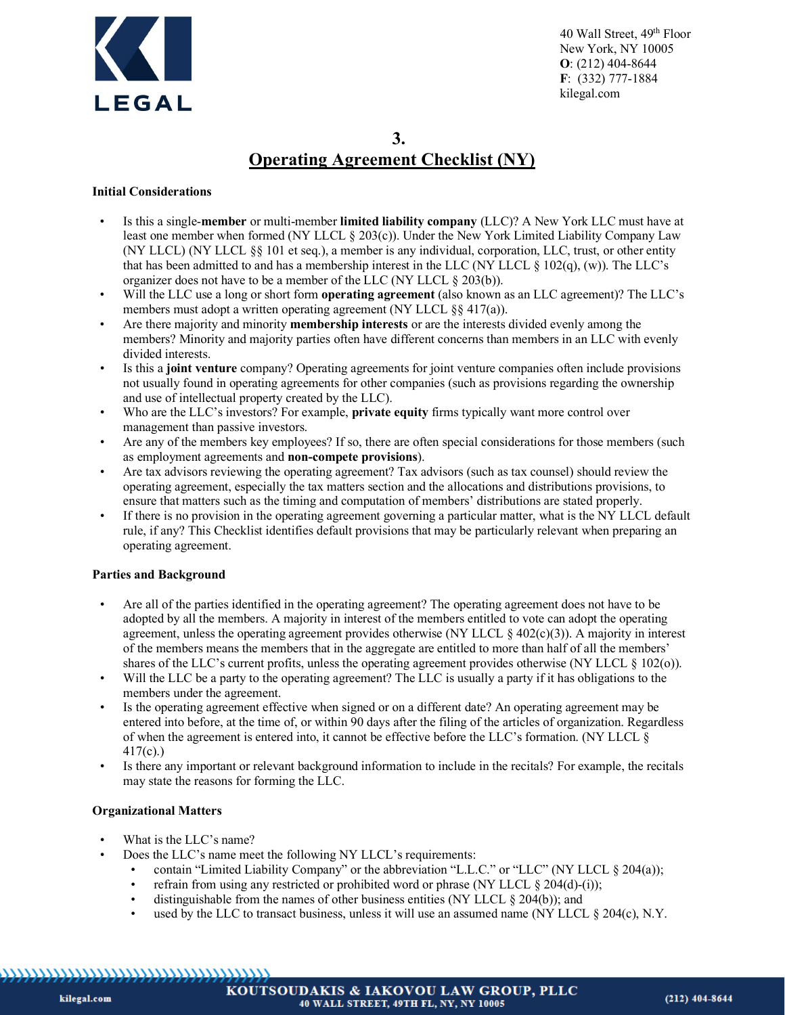

# **3. Operating Agreement Checklist (NY)**

# **Initial Considerations**

- Is this a single-**member** or multi-member **limited liability company** (LLC)? A New York LLC must have at least one member when formed (NY LLCL § 203(c)). Under the New York Limited Liability Company Law (NY LLCL) (NY LLCL §§ 101 et seq.), a member is any individual, corporation, LLC, trust, or other entity that has been admitted to and has a membership interest in the LLC (NY LLCL § 102(q), (w)). The LLC's organizer does not have to be a member of the LLC (NY LLCL § 203(b)).
- Will the LLC use a long or short form **operating agreement** (also known as an LLC agreement)? The LLC's members must adopt a written operating agreement (NY LLCL §§ 417(a)).
- Are there majority and minority **membership interests** or are the interests divided evenly among the members? Minority and majority parties often have different concerns than members in an LLC with evenly divided interests.
- Is this a **joint venture** company? Operating agreements for joint venture companies often include provisions not usually found in operating agreements for other companies (such as provisions regarding the ownership and use of intellectual property created by the LLC).
- Who are the LLC's investors? For example, **private equity** firms typically want more control over management than passive investors.
- Are any of the members key employees? If so, there are often special considerations for those members (such as employment agreements and **non-compete provisions**).
- Are tax advisors reviewing the operating agreement? Tax advisors (such as tax counsel) should review the operating agreement, especially the tax matters section and the allocations and distributions provisions, to ensure that matters such as the timing and computation of members' distributions are stated properly.
- If there is no provision in the operating agreement governing a particular matter, what is the NY LLCL default rule, if any? This Checklist identifies default provisions that may be particularly relevant when preparing an operating agreement.

# **Parties and Background**

- Are all of the parties identified in the operating agreement? The operating agreement does not have to be adopted by all the members. A majority in interest of the members entitled to vote can adopt the operating agreement, unless the operating agreement provides otherwise (NY LLCL  $\S$  402(c)(3)). A majority in interest of the members means the members that in the aggregate are entitled to more than half of all the members' shares of the LLC's current profits, unless the operating agreement provides otherwise (NY LLCL  $\S$  102(o)).
- Will the LLC be a party to the operating agreement? The LLC is usually a party if it has obligations to the members under the agreement.
- Is the operating agreement effective when signed or on a different date? An operating agreement may be entered into before, at the time of, or within 90 days after the filing of the articles of organization. Regardless of when the agreement is entered into, it cannot be effective before the LLC's formation. (NY LLCL § 417(c).)
- Is there any important or relevant background information to include in the recitals? For example, the recitals may state the reasons for forming the LLC.

# **Organizational Matters**

- What is the LLC's name?
- Does the LLC's name meet the following NY LLCL's requirements:
	- contain "Limited Liability Company" or the abbreviation "L.L.C." or "LLC" (NY LLCL § 204(a));
	- refrain from using any restricted or prohibited word or phrase (NY LLCL § 204(d)-(i));
	- distinguishable from the names of other business entities (NY LLCL  $\S 204(b)$ ); and
	- used by the LLC to transact business, unless it will use an assumed name (NY LLCL  $\S 204(c)$ , N.Y.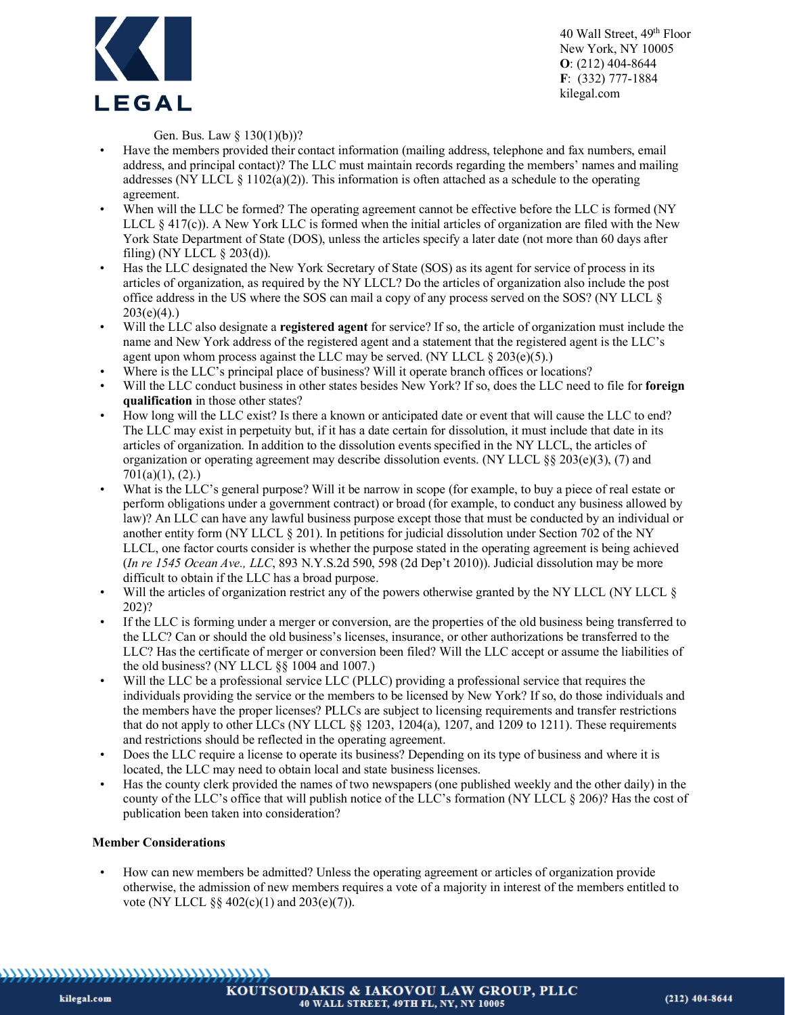

Gen. Bus. Law § 130(1)(b))?

- Have the members provided their contact information (mailing address, telephone and fax numbers, email address, and principal contact)? The LLC must maintain records regarding the members' names and mailing addresses (NY LLCL  $\S$  1102(a)(2)). This information is often attached as a schedule to the operating agreement.
- When will the LLC be formed? The operating agreement cannot be effective before the LLC is formed (NY) LLCL § 417(c)). A New York LLC is formed when the initial articles of organization are filed with the New York State Department of State (DOS), unless the articles specify a later date (not more than 60 days after filing) (NY LLCL  $\S$  203(d)).
- Has the LLC designated the New York Secretary of State (SOS) as its agent for service of process in its articles of organization, as required by the NY LLCL? Do the articles of organization also include the post office address in the US where the SOS can mail a copy of any process served on the SOS? (NY LLCL §  $203(e)(4)$ .)
- Will the LLC also designate a **registered agent** for service? If so, the article of organization must include the name and New York address of the registered agent and a statement that the registered agent is the LLC's agent upon whom process against the LLC may be served. (NY LLCL  $\S 203(e)(5)$ .)
- Where is the LLC's principal place of business? Will it operate branch offices or locations?
- Will the LLC conduct business in other states besides New York? If so, does the LLC need to file for **foreign qualification** in those other states?
- How long will the LLC exist? Is there a known or anticipated date or event that will cause the LLC to end? The LLC may exist in perpetuity but, if it has a date certain for dissolution, it must include that date in its articles of organization. In addition to the dissolution events specified in the NY LLCL, the articles of organization or operating agreement may describe dissolution events. (NY LLCL  $\S$ § 203(e)(3), (7) and 701(a)(1), (2).)
- What is the LLC's general purpose? Will it be narrow in scope (for example, to buy a piece of real estate or perform obligations under a government contract) or broad (for example, to conduct any business allowed by law)? An LLC can have any lawful business purpose except those that must be conducted by an individual or another entity form (NY LLCL § 201). In petitions for judicial dissolution under Section 702 of the NY LLCL, one factor courts consider is whether the purpose stated in the operating agreement is being achieved (*In re 1545 Ocean Ave., LLC*, 893 N.Y.S.2d 590, 598 (2d Dep't 2010)). Judicial dissolution may be more difficult to obtain if the LLC has a broad purpose.
- Will the articles of organization restrict any of the powers otherwise granted by the NY LLCL (NY LLCL § 202)?
- If the LLC is forming under a merger or conversion, are the properties of the old business being transferred to the LLC? Can or should the old business's licenses, insurance, or other authorizations be transferred to the LLC? Has the certificate of merger or conversion been filed? Will the LLC accept or assume the liabilities of the old business? (NY LLCL §§ 1004 and 1007.)
- Will the LLC be a professional service LLC (PLLC) providing a professional service that requires the individuals providing the service or the members to be licensed by New York? If so, do those individuals and the members have the proper licenses? PLLCs are subject to licensing requirements and transfer restrictions that do not apply to other LLCs (NY LLCL §§ 1203, 1204(a), 1207, and 1209 to 1211). These requirements and restrictions should be reflected in the operating agreement.
- Does the LLC require a license to operate its business? Depending on its type of business and where it is located, the LLC may need to obtain local and state business licenses.
- Has the county clerk provided the names of two newspapers (one published weekly and the other daily) in the county of the LLC's office that will publish notice of the LLC's formation (NY LLCL § 206)? Has the cost of publication been taken into consideration?

# **Member Considerations**

• How can new members be admitted? Unless the operating agreement or articles of organization provide otherwise, the admission of new members requires a vote of a majority in interest of the members entitled to vote (NY LLCL §§ 402(c)(1) and 203(e)(7)).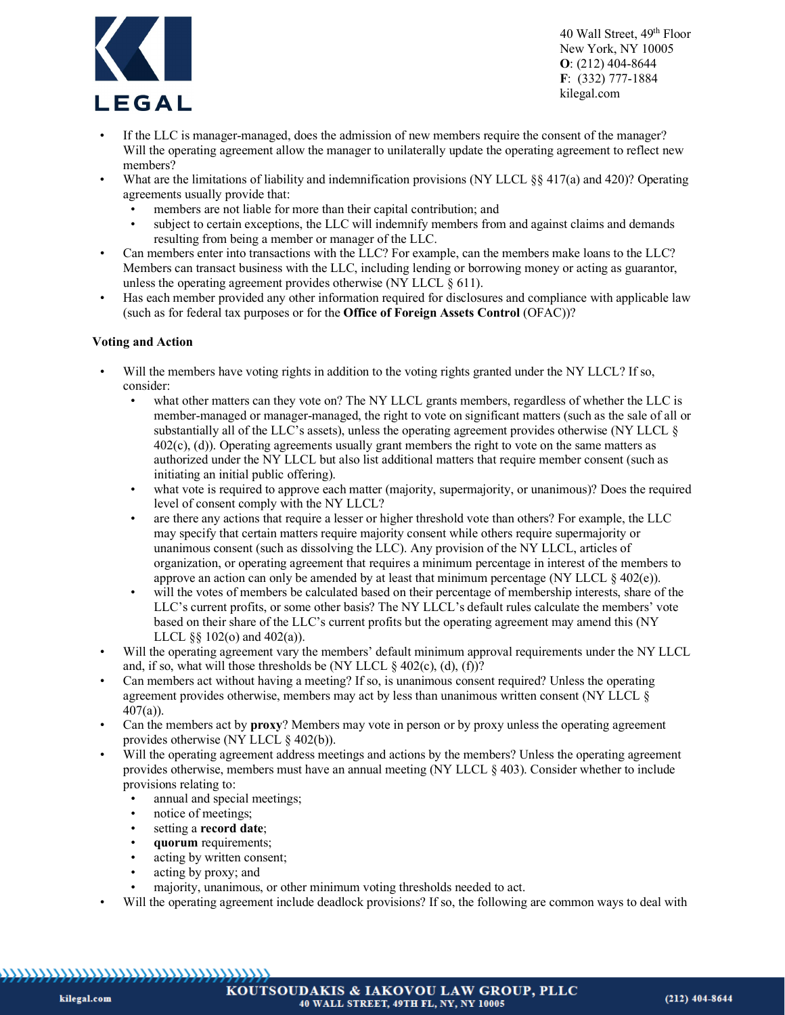

- If the LLC is manager-managed, does the admission of new members require the consent of the manager? Will the operating agreement allow the manager to unilaterally update the operating agreement to reflect new members?
- What are the limitations of liability and indemnification provisions (NY LLCL §§ 417(a) and 420)? Operating agreements usually provide that:
	- members are not liable for more than their capital contribution; and
	- subject to certain exceptions, the LLC will indemnify members from and against claims and demands resulting from being a member or manager of the LLC.
- Can members enter into transactions with the LLC? For example, can the members make loans to the LLC? Members can transact business with the LLC, including lending or borrowing money or acting as guarantor, unless the operating agreement provides otherwise (NY LLCL  $\S$  611).
- Has each member provided any other information required for disclosures and compliance with applicable law (such as for federal tax purposes or for the **Office of Foreign Assets Control** (OFAC))?

# **Voting and Action**

- Will the members have voting rights in addition to the voting rights granted under the NY LLCL? If so, consider:
	- what other matters can they vote on? The NY LLCL grants members, regardless of whether the LLC is member-managed or manager-managed, the right to vote on significant matters (such as the sale of all or substantially all of the LLC's assets), unless the operating agreement provides otherwise (NY LLCL § 402(c), (d)). Operating agreements usually grant members the right to vote on the same matters as authorized under the NY LLCL but also list additional matters that require member consent (such as initiating an initial public offering).
	- what vote is required to approve each matter (majority, supermajority, or unanimous)? Does the required level of consent comply with the NY LLCL?
	- are there any actions that require a lesser or higher threshold vote than others? For example, the LLC may specify that certain matters require majority consent while others require supermajority or unanimous consent (such as dissolving the LLC). Any provision of the NY LLCL, articles of organization, or operating agreement that requires a minimum percentage in interest of the members to approve an action can only be amended by at least that minimum percentage (NY LLCL  $\S$  402(e)).
	- will the votes of members be calculated based on their percentage of membership interests, share of the LLC's current profits, or some other basis? The NY LLCL's default rules calculate the members' vote based on their share of the LLC's current profits but the operating agreement may amend this (NY LLCL  $\S$ § 102(o) and 402(a)).
- Will the operating agreement vary the members' default minimum approval requirements under the NY LLCL and, if so, what will those thresholds be (NY LLCL  $\&$  402(c), (d), (f))?
- Can members act without having a meeting? If so, is unanimous consent required? Unless the operating agreement provides otherwise, members may act by less than unanimous written consent (NY LLCL §  $407(a)$ ).
- Can the members act by **proxy**? Members may vote in person or by proxy unless the operating agreement provides otherwise (NY LLCL § 402(b)).
- Will the operating agreement address meetings and actions by the members? Unless the operating agreement provides otherwise, members must have an annual meeting (NY LLCL § 403). Consider whether to include provisions relating to:
	- annual and special meetings;
	- notice of meetings;
	- setting a **record date**;
	- **quorum** requirements;
	- acting by written consent;
	- acting by proxy; and
	- majority, unanimous, or other minimum voting thresholds needed to act.
- Will the operating agreement include deadlock provisions? If so, the following are common ways to deal with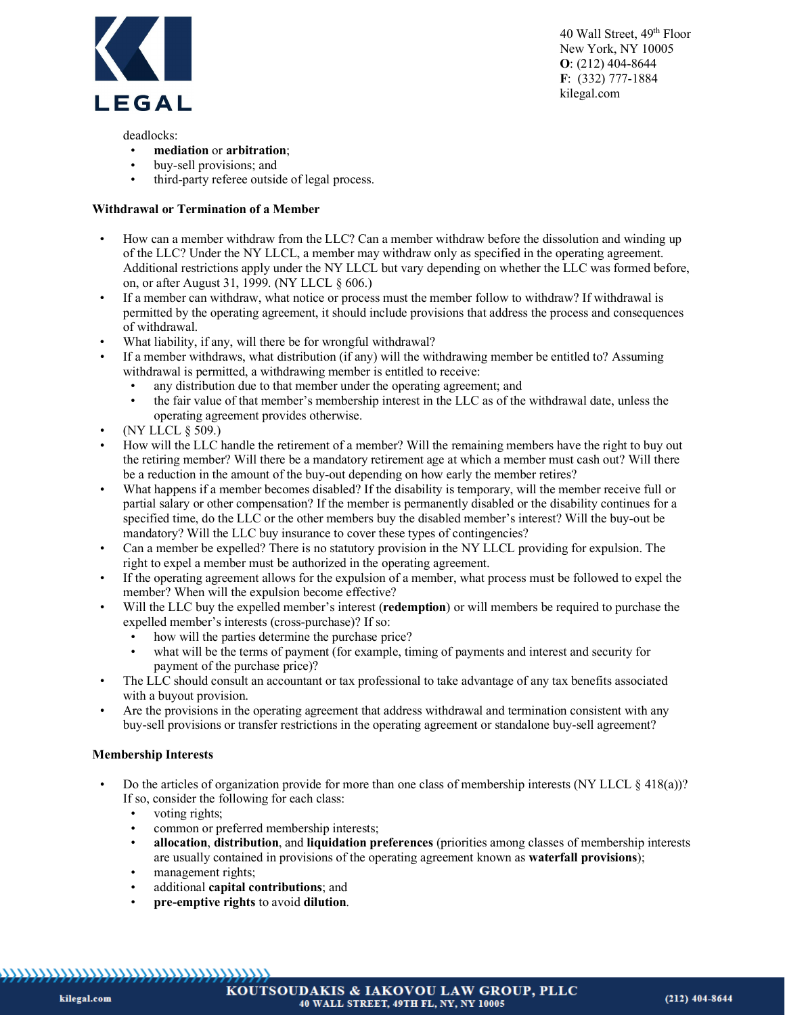

deadlocks:

- **mediation** or **arbitration**;
- buy-sell provisions; and
- third-party referee outside of legal process.

#### **Withdrawal or Termination of a Member**

- How can a member withdraw from the LLC? Can a member withdraw before the dissolution and winding up of the LLC? Under the NY LLCL, a member may withdraw only as specified in the operating agreement. Additional restrictions apply under the NY LLCL but vary depending on whether the LLC was formed before, on, or after August 31, 1999. (NY LLCL § 606.)
- If a member can withdraw, what notice or process must the member follow to withdraw? If withdrawal is permitted by the operating agreement, it should include provisions that address the process and consequences of withdrawal.
- What liability, if any, will there be for wrongful withdrawal?
- If a member withdraws, what distribution (if any) will the withdrawing member be entitled to? Assuming withdrawal is permitted, a withdrawing member is entitled to receive:
	- any distribution due to that member under the operating agreement; and<br>• the fair value of that member's membership interest in the LLC as of the
	- the fair value of that member's membership interest in the LLC as of the withdrawal date, unless the operating agreement provides otherwise.
- (NY LLCL § 509.)
- How will the LLC handle the retirement of a member? Will the remaining members have the right to buy out the retiring member? Will there be a mandatory retirement age at which a member must cash out? Will there be a reduction in the amount of the buy-out depending on how early the member retires?
- What happens if a member becomes disabled? If the disability is temporary, will the member receive full or partial salary or other compensation? If the member is permanently disabled or the disability continues for a specified time, do the LLC or the other members buy the disabled member's interest? Will the buy-out be mandatory? Will the LLC buy insurance to cover these types of contingencies?
- Can a member be expelled? There is no statutory provision in the NY LLCL providing for expulsion. The right to expel a member must be authorized in the operating agreement.
- If the operating agreement allows for the expulsion of a member, what process must be followed to expel the member? When will the expulsion become effective?
- Will the LLC buy the expelled member's interest (**redemption**) or will members be required to purchase the expelled member's interests (cross-purchase)? If so:
	- how will the parties determine the purchase price?
	- what will be the terms of payment (for example, timing of payments and interest and security for payment of the purchase price)?
- The LLC should consult an accountant or tax professional to take advantage of any tax benefits associated with a buyout provision.
- Are the provisions in the operating agreement that address withdrawal and termination consistent with any buy-sell provisions or transfer restrictions in the operating agreement or standalone buy-sell agreement?

# **Membership Interests**

- Do the articles of organization provide for more than one class of membership interests (NY LLCL  $\S$  418(a))? If so, consider the following for each class:
	- voting rights;
	- common or preferred membership interests;
	- **allocation**, **distribution**, and **liquidation preferences** (priorities among classes of membership interests are usually contained in provisions of the operating agreement known as **waterfall provisions**);
	- management rights;
	- additional **capital contributions**; and
	- **pre-emptive rights** to avoid **dilution**.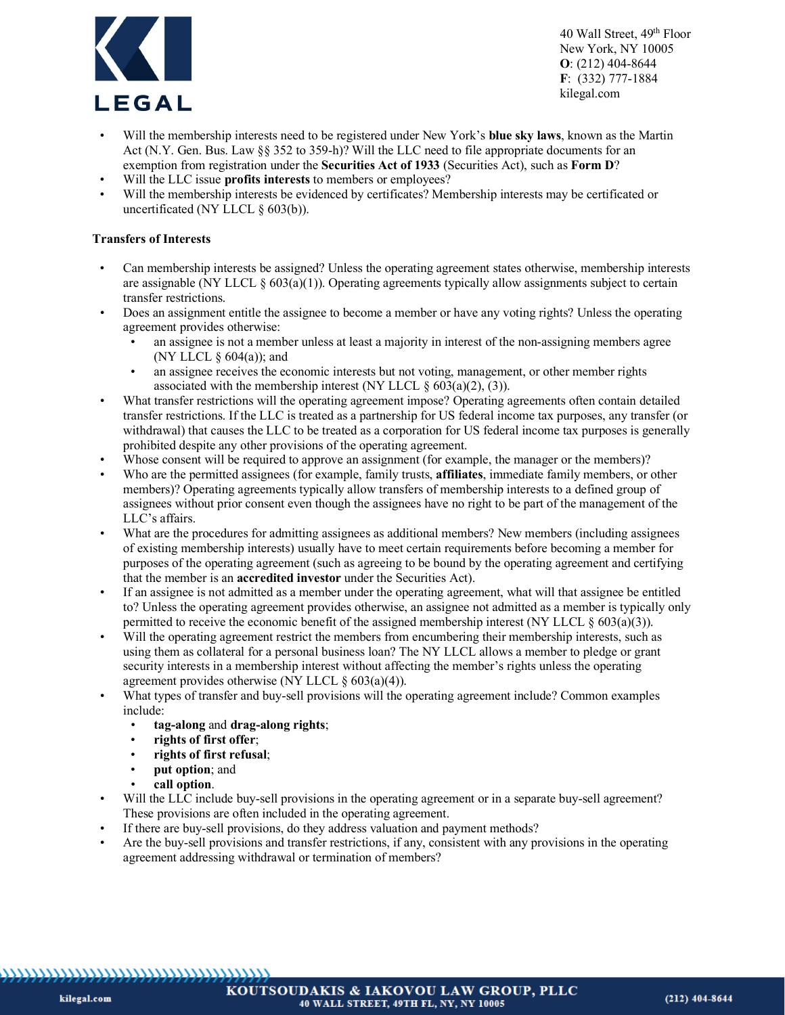

- Will the membership interests need to be registered under New York's **blue sky laws**, known as the Martin Act (N.Y. Gen. Bus. Law §§ 352 to 359-h)? Will the LLC need to file appropriate documents for an exemption from registration under the **Securities Act of 1933** (Securities Act), such as **Form D**?
- Will the LLC issue **profits interests** to members or employees?
- Will the membership interests be evidenced by certificates? Membership interests may be certificated or uncertificated (NY LLCL § 603(b)).

### **Transfers of Interests**

- Can membership interests be assigned? Unless the operating agreement states otherwise, membership interests are assignable (NY LLCL  $\S 603(a)(1)$ ). Operating agreements typically allow assignments subject to certain transfer restrictions.
- Does an assignment entitle the assignee to become a member or have any voting rights? Unless the operating agreement provides otherwise:
	- an assignee is not a member unless at least a majority in interest of the non-assigning members agree (NY LLCL  $\S$  604(a)); and
	- an assignee receives the economic interests but not voting, management, or other member rights associated with the membership interest (NY LLCL  $\S 603(a)(2)$ , (3)).
- What transfer restrictions will the operating agreement impose? Operating agreements often contain detailed transfer restrictions. If the LLC is treated as a partnership for US federal income tax purposes, any transfer (or withdrawal) that causes the LLC to be treated as a corporation for US federal income tax purposes is generally prohibited despite any other provisions of the operating agreement.
- Whose consent will be required to approve an assignment (for example, the manager or the members)?
- Who are the permitted assignees (for example, family trusts, **affiliates**, immediate family members, or other members)? Operating agreements typically allow transfers of membership interests to a defined group of assignees without prior consent even though the assignees have no right to be part of the management of the LLC's affairs.
- What are the procedures for admitting assignees as additional members? New members (including assignees of existing membership interests) usually have to meet certain requirements before becoming a member for purposes of the operating agreement (such as agreeing to be bound by the operating agreement and certifying that the member is an **accredited investor** under the Securities Act).
- If an assignee is not admitted as a member under the operating agreement, what will that assignee be entitled to? Unless the operating agreement provides otherwise, an assignee not admitted as a member is typically only permitted to receive the economic benefit of the assigned membership interest (NY LLCL  $\delta$  603(a)(3)).
- Will the operating agreement restrict the members from encumbering their membership interests, such as using them as collateral for a personal business loan? The NY LLCL allows a member to pledge or grant security interests in a membership interest without affecting the member's rights unless the operating agreement provides otherwise (NY LLCL  $\S 603(a)(4)$ ).
- What types of transfer and buy-sell provisions will the operating agreement include? Common examples include:
	- **tag-along** and **drag-along rights**;
	- **rights of first offer**;
	- **rights of first refusal**;
	- **put option**; and
	- **call option**.
- Will the LLC include buy-sell provisions in the operating agreement or in a separate buy-sell agreement? These provisions are often included in the operating agreement.
- If there are buy-sell provisions, do they address valuation and payment methods?
- Are the buy-sell provisions and transfer restrictions, if any, consistent with any provisions in the operating agreement addressing withdrawal or termination of members?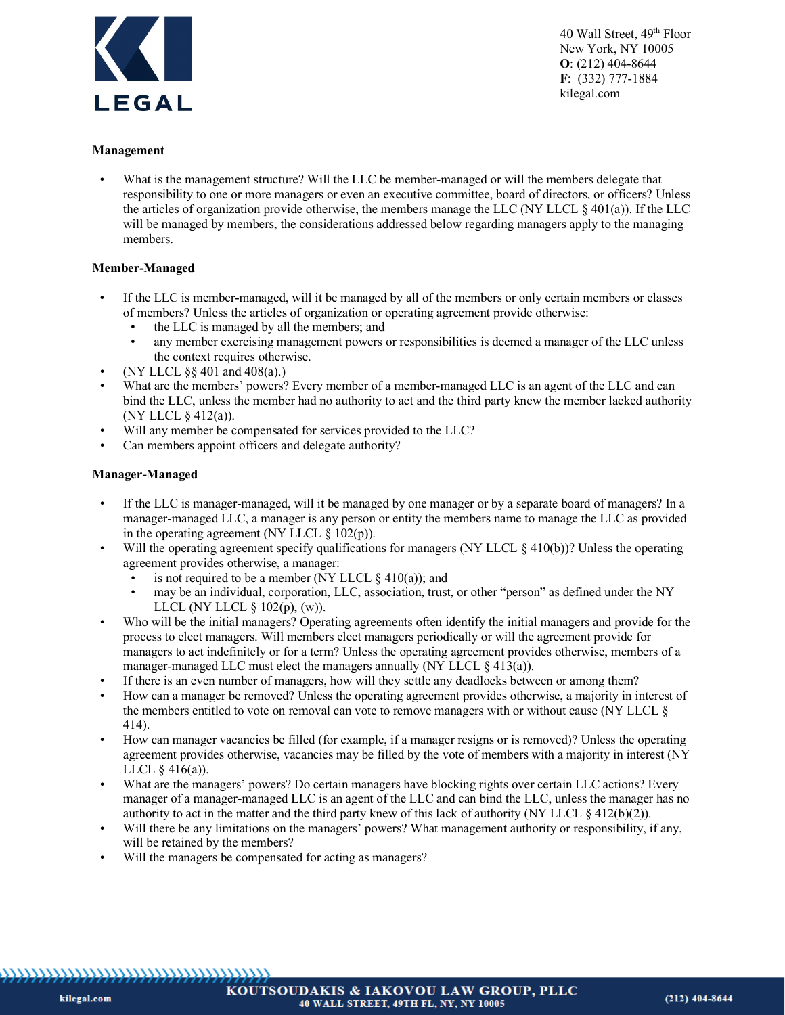

#### **Management**

What is the management structure? Will the LLC be member-managed or will the members delegate that responsibility to one or more managers or even an executive committee, board of directors, or officers? Unless the articles of organization provide otherwise, the members manage the LLC (NY LLCL § 401(a)). If the LLC will be managed by members, the considerations addressed below regarding managers apply to the managing members.

#### **Member-Managed**

- If the LLC is member-managed, will it be managed by all of the members or only certain members or classes of members? Unless the articles of organization or operating agreement provide otherwise:
	- the LLC is managed by all the members; and
	- any member exercising management powers or responsibilities is deemed a manager of the LLC unless the context requires otherwise.
- (NY LLCL §§ 401 and 408(a).)
- What are the members' powers? Every member of a member-managed LLC is an agent of the LLC and can bind the LLC, unless the member had no authority to act and the third party knew the member lacked authority (NY LLCL § 412(a)).
- Will any member be compensated for services provided to the LLC?
- Can members appoint officers and delegate authority?

#### **Manager-Managed**

- If the LLC is manager-managed, will it be managed by one manager or by a separate board of managers? In a manager-managed LLC, a manager is any person or entity the members name to manage the LLC as provided in the operating agreement (NY LLCL  $\S$  102(p)).
- Will the operating agreement specify qualifications for managers (NY LLCL § 410(b))? Unless the operating agreement provides otherwise, a manager:
	- is not required to be a member (NY LLCL  $\S$  410(a)); and
	- may be an individual, corporation, LLC, association, trust, or other "person" as defined under the NY LLCL (NY LLCL  $\S$  102(p), (w)).
- Who will be the initial managers? Operating agreements often identify the initial managers and provide for the process to elect managers. Will members elect managers periodically or will the agreement provide for managers to act indefinitely or for a term? Unless the operating agreement provides otherwise, members of a manager-managed LLC must elect the managers annually (NY LLCL  $\S$  413(a)).
- If there is an even number of managers, how will they settle any deadlocks between or among them?
- How can a manager be removed? Unless the operating agreement provides otherwise, a majority in interest of the members entitled to vote on removal can vote to remove managers with or without cause (NY LLCL § 414).
- How can manager vacancies be filled (for example, if a manager resigns or is removed)? Unless the operating agreement provides otherwise, vacancies may be filled by the vote of members with a majority in interest (NY LLCL  $\S$  416(a)).
- What are the managers' powers? Do certain managers have blocking rights over certain LLC actions? Every manager of a manager-managed LLC is an agent of the LLC and can bind the LLC, unless the manager has no authority to act in the matter and the third party knew of this lack of authority (NY LLCL  $\S$  412(b)(2)).
- Will there be any limitations on the managers' powers? What management authority or responsibility, if any, will be retained by the members?
- Will the managers be compensated for acting as managers?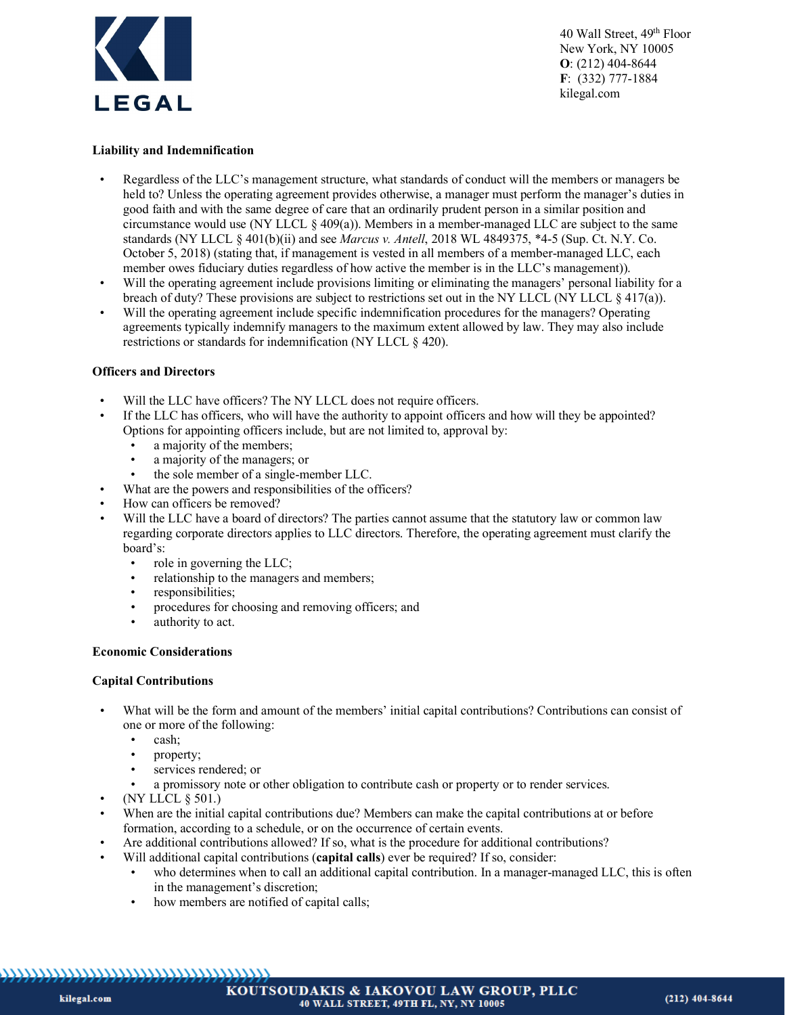

### **Liability and Indemnification**

- Regardless of the LLC's management structure, what standards of conduct will the members or managers be held to? Unless the operating agreement provides otherwise, a manager must perform the manager's duties in good faith and with the same degree of care that an ordinarily prudent person in a similar position and circumstance would use (NY LLCL  $\S$  409(a)). Members in a member-managed LLC are subject to the same standards (NY LLCL § 401(b)(ii) and see *Marcus v. Antell*, 2018 WL 4849375, \*4-5 (Sup. Ct. N.Y. Co. October 5, 2018) (stating that, if management is vested in all members of a member-managed LLC, each member owes fiduciary duties regardless of how active the member is in the LLC's management)).
- Will the operating agreement include provisions limiting or eliminating the managers' personal liability for a breach of duty? These provisions are subject to restrictions set out in the NY LLCL (NY LLCL  $\frac{1}{2}(417(a))$ ).
- Will the operating agreement include specific indemnification procedures for the managers? Operating agreements typically indemnify managers to the maximum extent allowed by law. They may also include restrictions or standards for indemnification (NY LLCL § 420).

#### **Officers and Directors**

- Will the LLC have officers? The NY LLCL does not require officers.
- If the LLC has officers, who will have the authority to appoint officers and how will they be appointed? Options for appointing officers include, but are not limited to, approval by:
	- a majority of the members;
	- a majority of the managers; or
	- the sole member of a single-member LLC.
- What are the powers and responsibilities of the officers?
- How can officers be removed?
- Will the LLC have a board of directors? The parties cannot assume that the statutory law or common law regarding corporate directors applies to LLC directors. Therefore, the operating agreement must clarify the board's:
	- role in governing the LLC;
	- relationship to the managers and members;
	- responsibilities;
	- procedures for choosing and removing officers; and
	- authority to act.

#### **Economic Considerations**

#### **Capital Contributions**

- What will be the form and amount of the members' initial capital contributions? Contributions can consist of one or more of the following:
	- cash;
	- property;
	- services rendered; or
		- a promissory note or other obligation to contribute cash or property or to render services.
- (NY LLCL § 501.)
- When are the initial capital contributions due? Members can make the capital contributions at or before formation, according to a schedule, or on the occurrence of certain events.
- Are additional contributions allowed? If so, what is the procedure for additional contributions?
- Will additional capital contributions (**capital calls**) ever be required? If so, consider:
	- who determines when to call an additional capital contribution. In a manager-managed LLC, this is often in the management's discretion;
	- how members are notified of capital calls;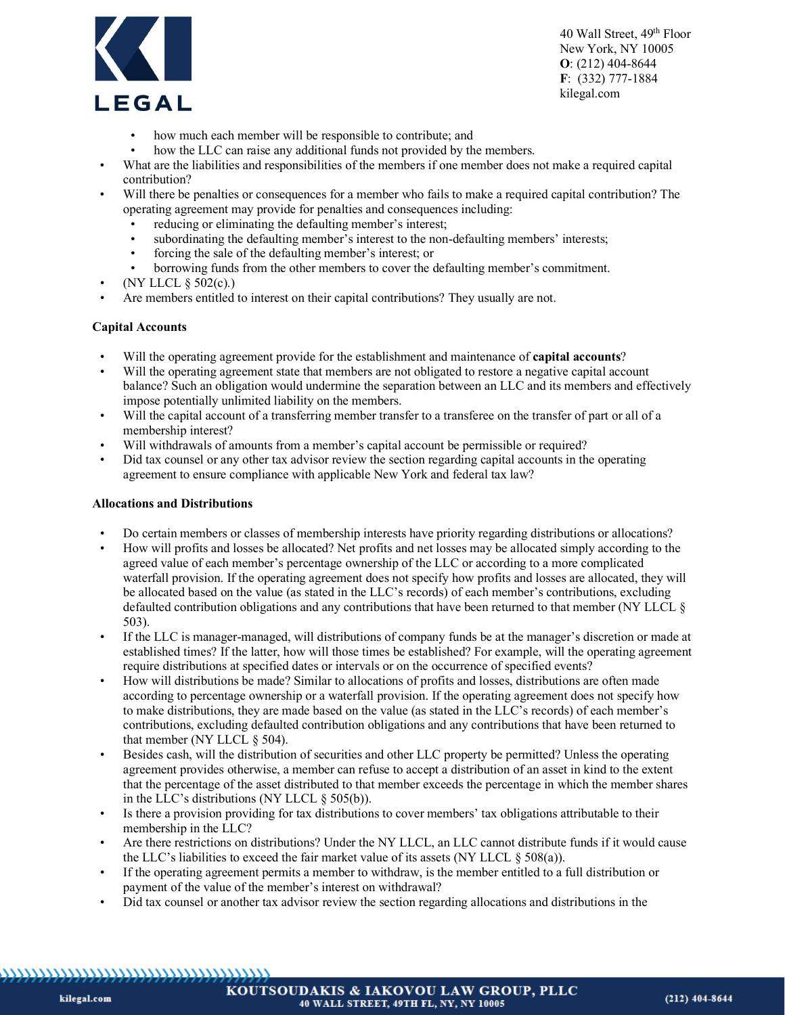

- how much each member will be responsible to contribute; and
- how the LLC can raise any additional funds not provided by the members.
- What are the liabilities and responsibilities of the members if one member does not make a required capital contribution?
- Will there be penalties or consequences for a member who fails to make a required capital contribution? The operating agreement may provide for penalties and consequences including:
	- reducing or eliminating the defaulting member's interest;
	- subordinating the defaulting member's interest to the non-defaulting members' interests;
	- forcing the sale of the defaulting member's interest; or
	- borrowing funds from the other members to cover the defaulting member's commitment.
- (NY LLCL § 502(c).)
- Are members entitled to interest on their capital contributions? They usually are not.

#### **Capital Accounts**

- Will the operating agreement provide for the establishment and maintenance of **capital accounts**?
- Will the operating agreement state that members are not obligated to restore a negative capital account balance? Such an obligation would undermine the separation between an LLC and its members and effectively impose potentially unlimited liability on the members.
- Will the capital account of a transferring member transfer to a transferee on the transfer of part or all of a membership interest?
- Will withdrawals of amounts from a member's capital account be permissible or required?
- Did tax counsel or any other tax advisor review the section regarding capital accounts in the operating agreement to ensure compliance with applicable New York and federal tax law?

#### **Allocations and Distributions**

- Do certain members or classes of membership interests have priority regarding distributions or allocations?
- How will profits and losses be allocated? Net profits and net losses may be allocated simply according to the agreed value of each member's percentage ownership of the LLC or according to a more complicated waterfall provision. If the operating agreement does not specify how profits and losses are allocated, they will be allocated based on the value (as stated in the LLC's records) of each member's contributions, excluding defaulted contribution obligations and any contributions that have been returned to that member (NY LLCL § 503).
- If the LLC is manager-managed, will distributions of company funds be at the manager's discretion or made at established times? If the latter, how will those times be established? For example, will the operating agreement require distributions at specified dates or intervals or on the occurrence of specified events?
- How will distributions be made? Similar to allocations of profits and losses, distributions are often made according to percentage ownership or a waterfall provision. If the operating agreement does not specify how to make distributions, they are made based on the value (as stated in the LLC's records) of each member's contributions, excluding defaulted contribution obligations and any contributions that have been returned to that member (NY LLCL § 504).
- Besides cash, will the distribution of securities and other LLC property be permitted? Unless the operating agreement provides otherwise, a member can refuse to accept a distribution of an asset in kind to the extent that the percentage of the asset distributed to that member exceeds the percentage in which the member shares in the LLC's distributions (NY LLCL § 505(b)).
- Is there a provision providing for tax distributions to cover members' tax obligations attributable to their membership in the LLC?
- Are there restrictions on distributions? Under the NY LLCL, an LLC cannot distribute funds if it would cause the LLC's liabilities to exceed the fair market value of its assets (NY LLCL  $\S$  508(a)).
- If the operating agreement permits a member to withdraw, is the member entitled to a full distribution or payment of the value of the member's interest on withdrawal?
- Did tax counsel or another tax advisor review the section regarding allocations and distributions in the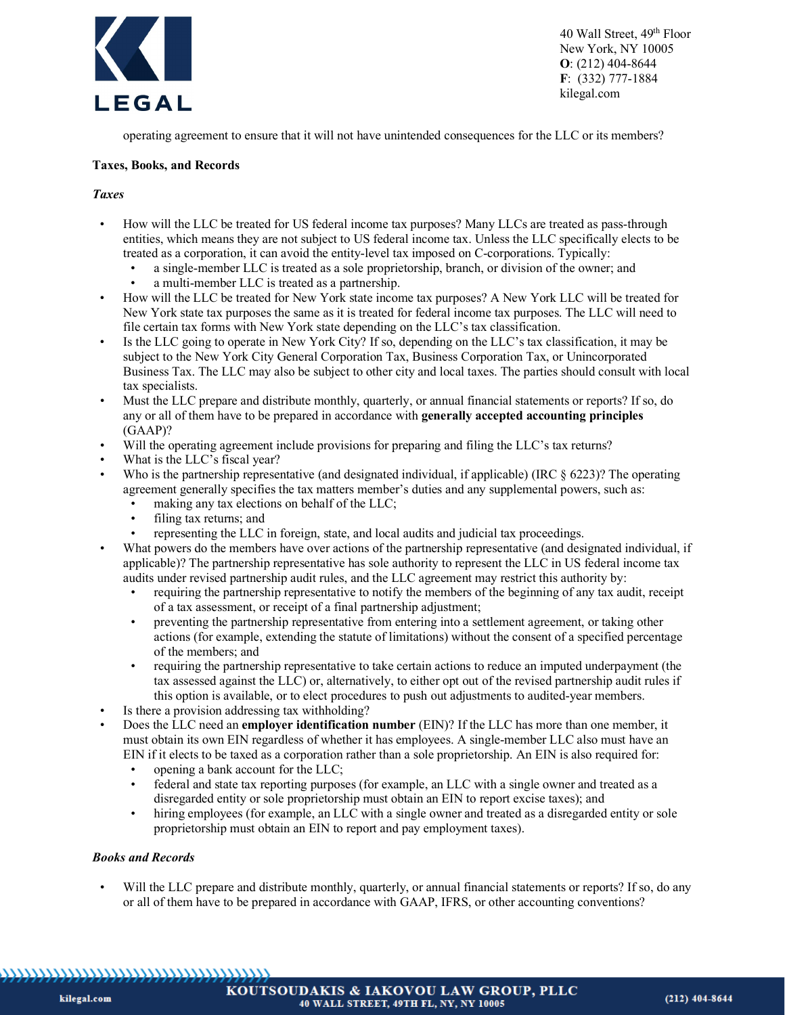

operating agreement to ensure that it will not have unintended consequences for the LLC or its members?

#### **Taxes, Books, and Records**

### *Taxes*

- How will the LLC be treated for US federal income tax purposes? Many LLCs are treated as pass-through entities, which means they are not subject to US federal income tax. Unless the LLC specifically elects to be treated as a corporation, it can avoid the entity-level tax imposed on C-corporations. Typically:
	- a single-member LLC is treated as a sole proprietorship, branch, or division of the owner; and
	- a multi-member LLC is treated as a partnership.
- How will the LLC be treated for New York state income tax purposes? A New York LLC will be treated for New York state tax purposes the same as it is treated for federal income tax purposes. The LLC will need to file certain tax forms with New York state depending on the LLC's tax classification.
- Is the LLC going to operate in New York City? If so, depending on the LLC's tax classification, it may be subject to the New York City General Corporation Tax, Business Corporation Tax, or Unincorporated Business Tax. The LLC may also be subject to other city and local taxes. The parties should consult with local tax specialists.
- Must the LLC prepare and distribute monthly, quarterly, or annual financial statements or reports? If so, do any or all of them have to be prepared in accordance with **generally accepted accounting principles** (GAAP)?
- Will the operating agreement include provisions for preparing and filing the LLC's tax returns?
- What is the LLC's fiscal year?
- Who is the partnership representative (and designated individual, if applicable) (IRC § 6223)? The operating agreement generally specifies the tax matters member's duties and any supplemental powers, such as:
	- making any tax elections on behalf of the LLC;
	- filing tax returns; and
	- representing the LLC in foreign, state, and local audits and judicial tax proceedings.
- What powers do the members have over actions of the partnership representative (and designated individual, if applicable)? The partnership representative has sole authority to represent the LLC in US federal income tax audits under revised partnership audit rules, and the LLC agreement may restrict this authority by:
	- requiring the partnership representative to notify the members of the beginning of any tax audit, receipt of a tax assessment, or receipt of a final partnership adjustment;
	- preventing the partnership representative from entering into a settlement agreement, or taking other actions (for example, extending the statute of limitations) without the consent of a specified percentage of the members; and
	- requiring the partnership representative to take certain actions to reduce an imputed underpayment (the tax assessed against the LLC) or, alternatively, to either opt out of the revised partnership audit rules if this option is available, or to elect procedures to push out adjustments to audited-year members.
- Is there a provision addressing tax withholding?
- Does the LLC need an **employer identification number** (EIN)? If the LLC has more than one member, it must obtain its own EIN regardless of whether it has employees. A single-member LLC also must have an EIN if it elects to be taxed as a corporation rather than a sole proprietorship. An EIN is also required for:
	- opening a bank account for the LLC;
	- federal and state tax reporting purposes (for example, an LLC with a single owner and treated as a disregarded entity or sole proprietorship must obtain an EIN to report excise taxes); and
	- hiring employees (for example, an LLC with a single owner and treated as a disregarded entity or sole proprietorship must obtain an EIN to report and pay employment taxes).

#### *Books and Records*

• Will the LLC prepare and distribute monthly, quarterly, or annual financial statements or reports? If so, do any or all of them have to be prepared in accordance with GAAP, IFRS, or other accounting conventions?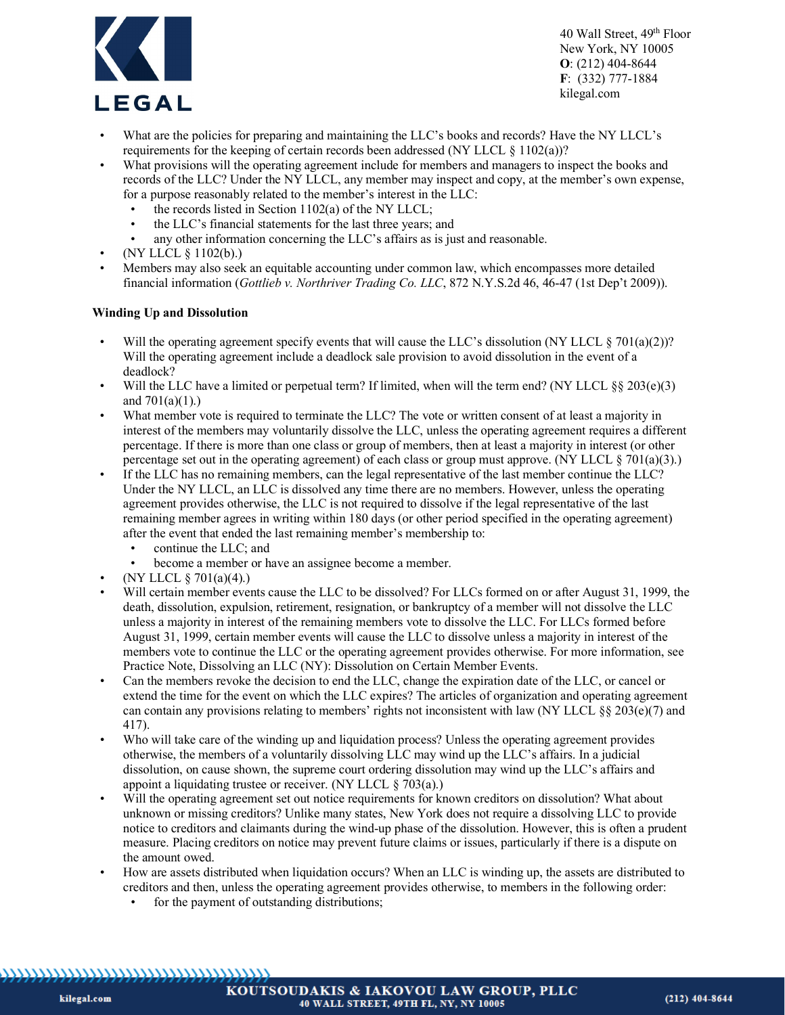

- What are the policies for preparing and maintaining the LLC's books and records? Have the NY LLCL's requirements for the keeping of certain records been addressed (NY LLCL  $\S$  1102(a))?
- What provisions will the operating agreement include for members and managers to inspect the books and records of the LLC? Under the NY LLCL, any member may inspect and copy, at the member's own expense, for a purpose reasonably related to the member's interest in the LLC:
	- the records listed in Section  $1102(a)$  of the NY LLCL;
	- the LLC's financial statements for the last three years; and
	- any other information concerning the LLC's affairs as is just and reasonable.
- (NY LLCL § 1102(b).)
- Members may also seek an equitable accounting under common law, which encompasses more detailed financial information (*Gottlieb v. Northriver Trading Co. LLC*, 872 N.Y.S.2d 46, 46-47 (1st Dep't 2009)).

# **Winding Up and Dissolution**

- Will the operating agreement specify events that will cause the LLC's dissolution (NY LLCL  $\S$  701(a)(2))? Will the operating agreement include a deadlock sale provision to avoid dissolution in the event of a deadlock?
- Will the LLC have a limited or perpetual term? If limited, when will the term end? (NY LLCL  $\S$ § 203(e)(3) and  $701(a)(1)$ .)
- What member vote is required to terminate the LLC? The vote or written consent of at least a majority in interest of the members may voluntarily dissolve the LLC, unless the operating agreement requires a different percentage. If there is more than one class or group of members, then at least a majority in interest (or other percentage set out in the operating agreement) of each class or group must approve. (NY LLCL  $\S$  701(a)(3).)
- If the LLC has no remaining members, can the legal representative of the last member continue the LLC? Under the NY LLCL, an LLC is dissolved any time there are no members. However, unless the operating agreement provides otherwise, the LLC is not required to dissolve if the legal representative of the last remaining member agrees in writing within 180 days (or other period specified in the operating agreement) after the event that ended the last remaining member's membership to:
	- continue the LLC; and
	- become a member or have an assignee become a member.
- (NY LLCL  $\S 701(a)(4)$ .)
- Will certain member events cause the LLC to be dissolved? For LLCs formed on or after August 31, 1999, the death, dissolution, expulsion, retirement, resignation, or bankruptcy of a member will not dissolve the LLC unless a majority in interest of the remaining members vote to dissolve the LLC. For LLCs formed before August 31, 1999, certain member events will cause the LLC to dissolve unless a majority in interest of the members vote to continue the LLC or the operating agreement provides otherwise. For more information, see Practice Note, Dissolving an LLC (NY): Dissolution on Certain Member Events.
- Can the members revoke the decision to end the LLC, change the expiration date of the LLC, or cancel or extend the time for the event on which the LLC expires? The articles of organization and operating agreement can contain any provisions relating to members' rights not inconsistent with law (NY LLCL §§ 203(e)(7) and 417).
- Who will take care of the winding up and liquidation process? Unless the operating agreement provides otherwise, the members of a voluntarily dissolving LLC may wind up the LLC's affairs. In a judicial dissolution, on cause shown, the supreme court ordering dissolution may wind up the LLC's affairs and appoint a liquidating trustee or receiver. (NY LLCL  $\S$  703(a).)
- Will the operating agreement set out notice requirements for known creditors on dissolution? What about unknown or missing creditors? Unlike many states, New York does not require a dissolving LLC to provide notice to creditors and claimants during the wind-up phase of the dissolution. However, this is often a prudent measure. Placing creditors on notice may prevent future claims or issues, particularly if there is a dispute on the amount owed.
- How are assets distributed when liquidation occurs? When an LLC is winding up, the assets are distributed to creditors and then, unless the operating agreement provides otherwise, to members in the following order:
	- for the payment of outstanding distributions;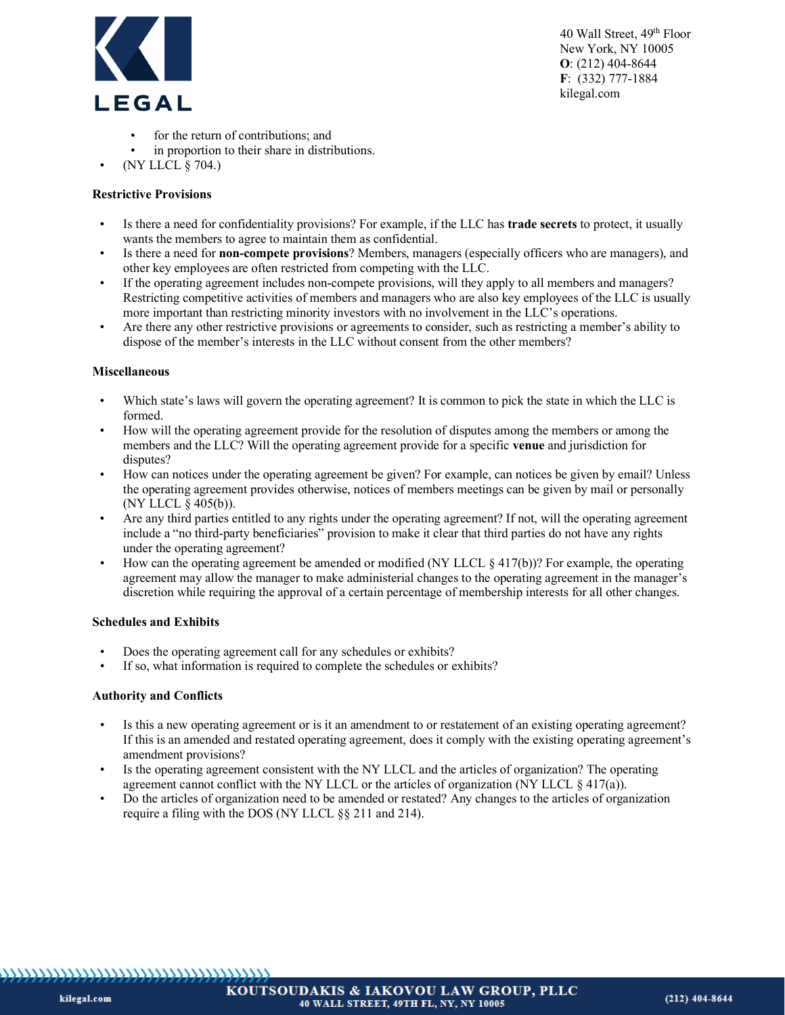

- for the return of contributions; and
- in proportion to their share in distributions.
- (NY LLCL § 704.)

### **Restrictive Provisions**

- Is there a need for confidentiality provisions? For example, if the LLC has **trade secrets** to protect, it usually wants the members to agree to maintain them as confidential.
- Is there a need for **non-compete provisions**? Members, managers (especially officers who are managers), and other key employees are often restricted from competing with the LLC.
- If the operating agreement includes non-compete provisions, will they apply to all members and managers? Restricting competitive activities of members and managers who are also key employees of the LLC is usually more important than restricting minority investors with no involvement in the LLC's operations.
- Are there any other restrictive provisions or agreements to consider, such as restricting a member's ability to dispose of the member's interests in the LLC without consent from the other members?

#### **Miscellaneous**

- Which state's laws will govern the operating agreement? It is common to pick the state in which the LLC is formed.
- How will the operating agreement provide for the resolution of disputes among the members or among the members and the LLC? Will the operating agreement provide for a specific **venue** and jurisdiction for disputes?
- How can notices under the operating agreement be given? For example, can notices be given by email? Unless the operating agreement provides otherwise, notices of members meetings can be given by mail or personally (NY LLCL § 405(b)).
- Are any third parties entitled to any rights under the operating agreement? If not, will the operating agreement include a "no third-party beneficiaries" provision to make it clear that third parties do not have any rights under the operating agreement?
- How can the operating agreement be amended or modified (NY LLCL  $\S$  417(b))? For example, the operating agreement may allow the manager to make administerial changes to the operating agreement in the manager's discretion while requiring the approval of a certain percentage of membership interests for all other changes.

#### **Schedules and Exhibits**

- Does the operating agreement call for any schedules or exhibits?
- If so, what information is required to complete the schedules or exhibits?

#### **Authority and Conflicts**

- Is this a new operating agreement or is it an amendment to or restatement of an existing operating agreement? If this is an amended and restated operating agreement, does it comply with the existing operating agreement's amendment provisions?
- Is the operating agreement consistent with the NY LLCL and the articles of organization? The operating agreement cannot conflict with the NY LLCL or the articles of organization (NY LLCL  $\S 417(a)$ ).
- Do the articles of organization need to be amended or restated? Any changes to the articles of organization require a filing with the DOS (NY LLCL §§ 211 and 214).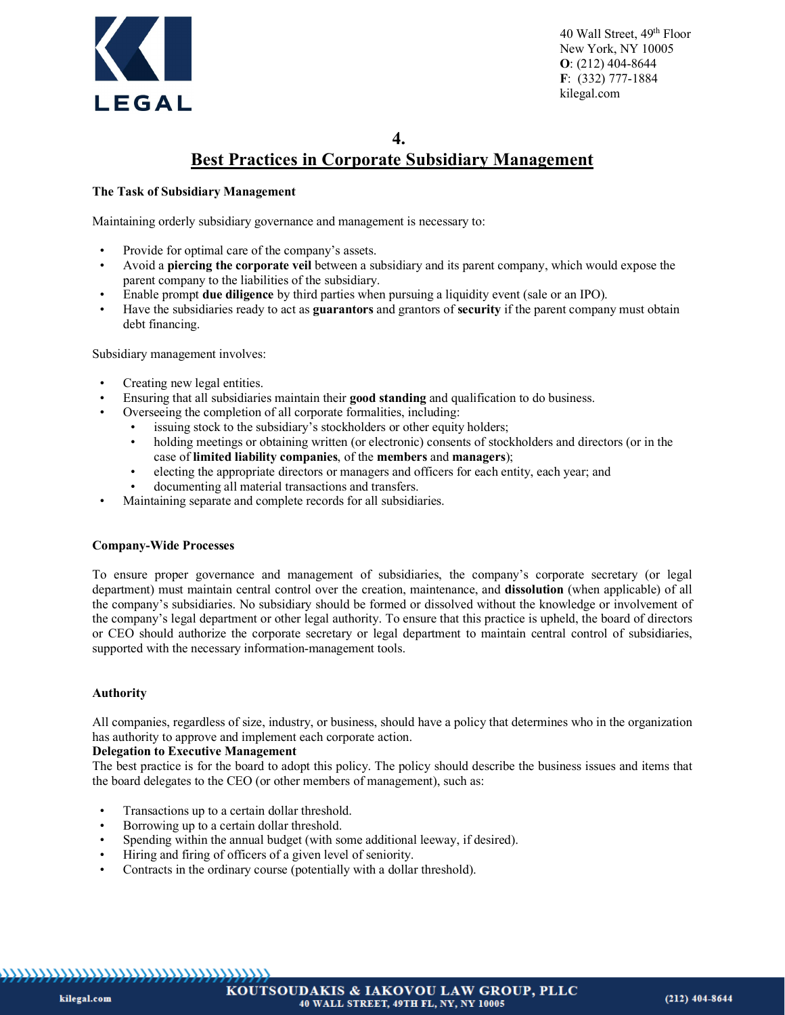

**4.**

# **Best Practices in Corporate Subsidiary Management**

# **The Task of Subsidiary Management**

Maintaining orderly subsidiary governance and management is necessary to:

- Provide for optimal care of the company's assets.
- Avoid a **piercing the corporate veil** between a subsidiary and its parent company, which would expose the parent company to the liabilities of the subsidiary.
- Enable prompt **due diligence** by third parties when pursuing a liquidity event (sale or an IPO).
- Have the subsidiaries ready to act as **guarantors** and grantors of **security** if the parent company must obtain debt financing.

Subsidiary management involves:

- Creating new legal entities.
- Ensuring that all subsidiaries maintain their **good standing** and qualification to do business.
- Overseeing the completion of all corporate formalities, including:
	- issuing stock to the subsidiary's stockholders or other equity holders;
	- holding meetings or obtaining written (or electronic) consents of stockholders and directors (or in the case of **limited liability companies**, of the **members** and **managers**);
	- electing the appropriate directors or managers and officers for each entity, each year; and
	- documenting all material transactions and transfers.
- Maintaining separate and complete records for all subsidiaries.

#### **Company-Wide Processes**

To ensure proper governance and management of subsidiaries, the company's corporate secretary (or legal department) must maintain central control over the creation, maintenance, and **dissolution** (when applicable) of all the company's subsidiaries. No subsidiary should be formed or dissolved without the knowledge or involvement of the company's legal department or other legal authority. To ensure that this practice is upheld, the board of directors or CEO should authorize the corporate secretary or legal department to maintain central control of subsidiaries, supported with the necessary information-management tools.

#### **Authority**

All companies, regardless of size, industry, or business, should have a policy that determines who in the organization has authority to approve and implement each corporate action.

#### **Delegation to Executive Management**

The best practice is for the board to adopt this policy. The policy should describe the business issues and items that the board delegates to the CEO (or other members of management), such as:

- Transactions up to a certain dollar threshold.
- Borrowing up to a certain dollar threshold.
- Spending within the annual budget (with some additional leeway, if desired).
- Hiring and firing of officers of a given level of seniority.
- Contracts in the ordinary course (potentially with a dollar threshold).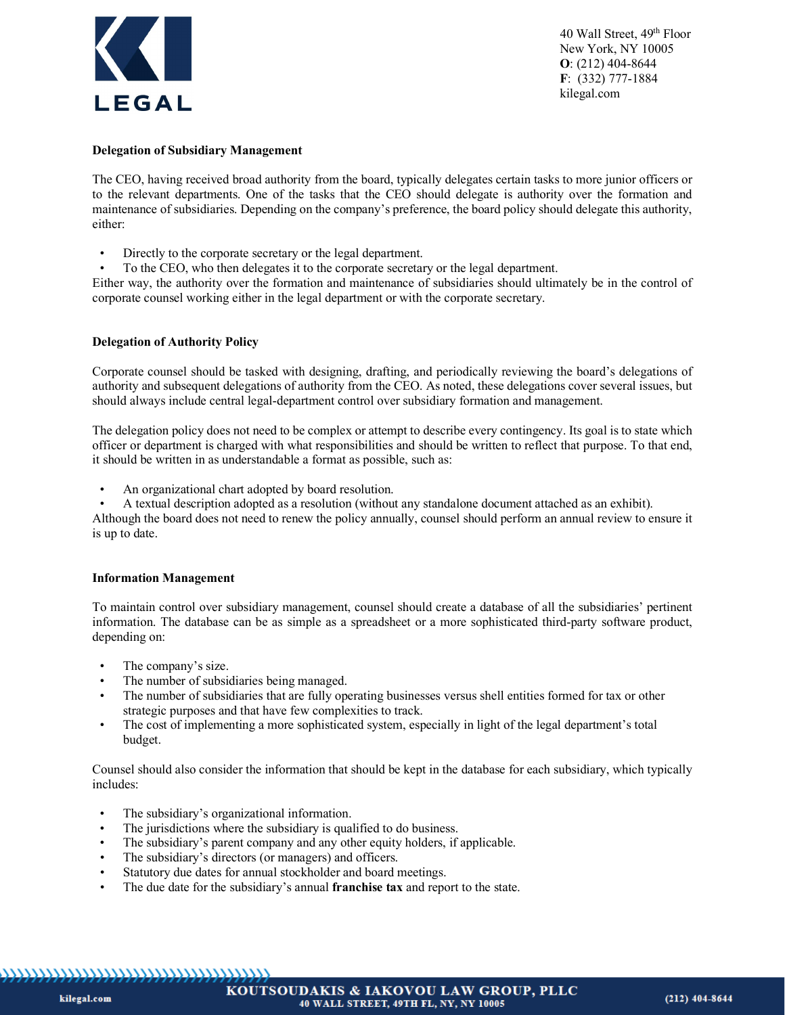

#### **Delegation of Subsidiary Management**

The CEO, having received broad authority from the board, typically delegates certain tasks to more junior officers or to the relevant departments. One of the tasks that the CEO should delegate is authority over the formation and maintenance of subsidiaries. Depending on the company's preference, the board policy should delegate this authority, either:

- Directly to the corporate secretary or the legal department.
- To the CEO, who then delegates it to the corporate secretary or the legal department.

Either way, the authority over the formation and maintenance of subsidiaries should ultimately be in the control of corporate counsel working either in the legal department or with the corporate secretary.

#### **Delegation of Authority Policy**

Corporate counsel should be tasked with designing, drafting, and periodically reviewing the board's delegations of authority and subsequent delegations of authority from the CEO. As noted, these delegations cover several issues, but should always include central legal-department control over subsidiary formation and management.

The delegation policy does not need to be complex or attempt to describe every contingency. Its goal is to state which officer or department is charged with what responsibilities and should be written to reflect that purpose. To that end, it should be written in as understandable a format as possible, such as:

- An organizational chart adopted by board resolution.
- A textual description adopted as a resolution (without any standalone document attached as an exhibit).

Although the board does not need to renew the policy annually, counsel should perform an annual review to ensure it is up to date.

#### **Information Management**

To maintain control over subsidiary management, counsel should create a database of all the subsidiaries' pertinent information. The database can be as simple as a spreadsheet or a more sophisticated third-party software product, depending on:

- The company's size.
- The number of subsidiaries being managed.
- The number of subsidiaries that are fully operating businesses versus shell entities formed for tax or other strategic purposes and that have few complexities to track.
- The cost of implementing a more sophisticated system, especially in light of the legal department's total budget.

Counsel should also consider the information that should be kept in the database for each subsidiary, which typically includes:

- The subsidiary's organizational information.
- The jurisdictions where the subsidiary is qualified to do business.
- The subsidiary's parent company and any other equity holders, if applicable.
- The subsidiary's directors (or managers) and officers.
- Statutory due dates for annual stockholder and board meetings.
- The due date for the subsidiary's annual **franchise tax** and report to the state.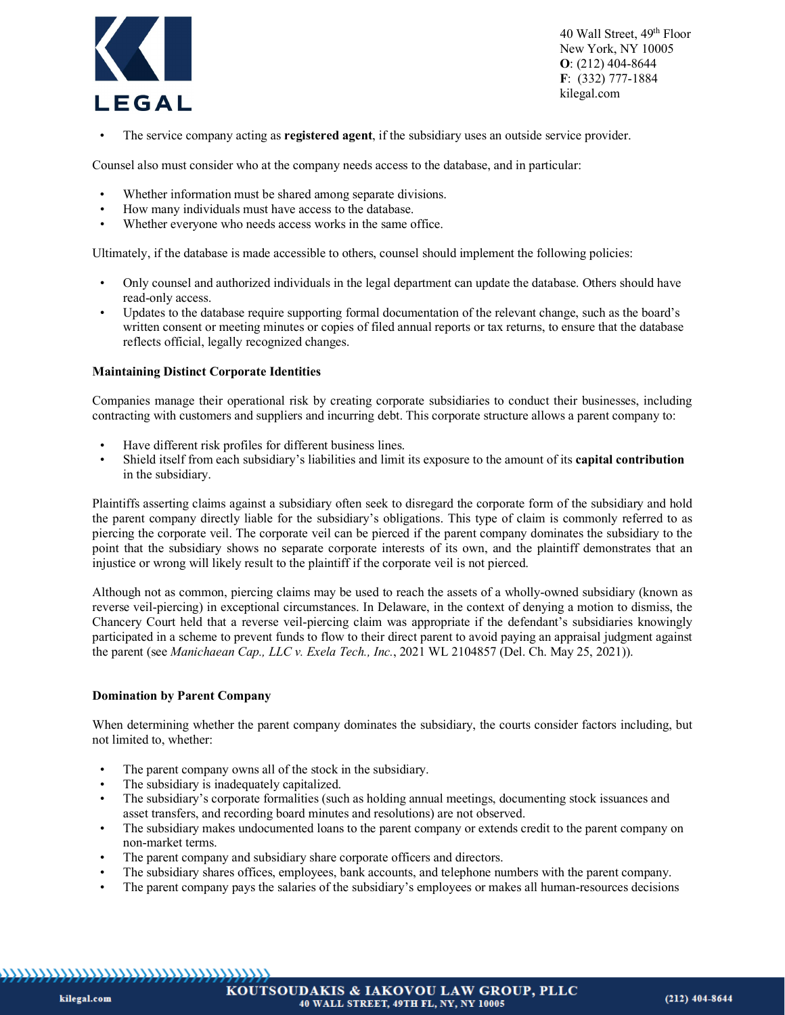

• The service company acting as **registered agent**, if the subsidiary uses an outside service provider.

Counsel also must consider who at the company needs access to the database, and in particular:

- Whether information must be shared among separate divisions.
- How many individuals must have access to the database.
- Whether everyone who needs access works in the same office.

Ultimately, if the database is made accessible to others, counsel should implement the following policies:

- Only counsel and authorized individuals in the legal department can update the database. Others should have read-only access.
- Updates to the database require supporting formal documentation of the relevant change, such as the board's written consent or meeting minutes or copies of filed annual reports or tax returns, to ensure that the database reflects official, legally recognized changes.

#### **Maintaining Distinct Corporate Identities**

Companies manage their operational risk by creating corporate subsidiaries to conduct their businesses, including contracting with customers and suppliers and incurring debt. This corporate structure allows a parent company to:

- Have different risk profiles for different business lines.
- Shield itself from each subsidiary's liabilities and limit its exposure to the amount of its **capital contribution** in the subsidiary.

Plaintiffs asserting claims against a subsidiary often seek to disregard the corporate form of the subsidiary and hold the parent company directly liable for the subsidiary's obligations. This type of claim is commonly referred to as piercing the corporate veil. The corporate veil can be pierced if the parent company dominates the subsidiary to the point that the subsidiary shows no separate corporate interests of its own, and the plaintiff demonstrates that an injustice or wrong will likely result to the plaintiff if the corporate veil is not pierced.

Although not as common, piercing claims may be used to reach the assets of a wholly-owned subsidiary (known as reverse veil-piercing) in exceptional circumstances. In Delaware, in the context of denying a motion to dismiss, the Chancery Court held that a reverse veil-piercing claim was appropriate if the defendant's subsidiaries knowingly participated in a scheme to prevent funds to flow to their direct parent to avoid paying an appraisal judgment against the parent (see *Manichaean Cap., LLC v. Exela Tech., Inc.*, 2021 WL 2104857 (Del. Ch. May 25, 2021)).

#### **Domination by Parent Company**

When determining whether the parent company dominates the subsidiary, the courts consider factors including, but not limited to, whether:

- The parent company owns all of the stock in the subsidiary.
- The subsidiary is inadequately capitalized.
- The subsidiary's corporate formalities (such as holding annual meetings, documenting stock issuances and asset transfers, and recording board minutes and resolutions) are not observed.
- The subsidiary makes undocumented loans to the parent company or extends credit to the parent company on non-market terms.
- The parent company and subsidiary share corporate officers and directors.
- The subsidiary shares offices, employees, bank accounts, and telephone numbers with the parent company.
- The parent company pays the salaries of the subsidiary's employees or makes all human-resources decisions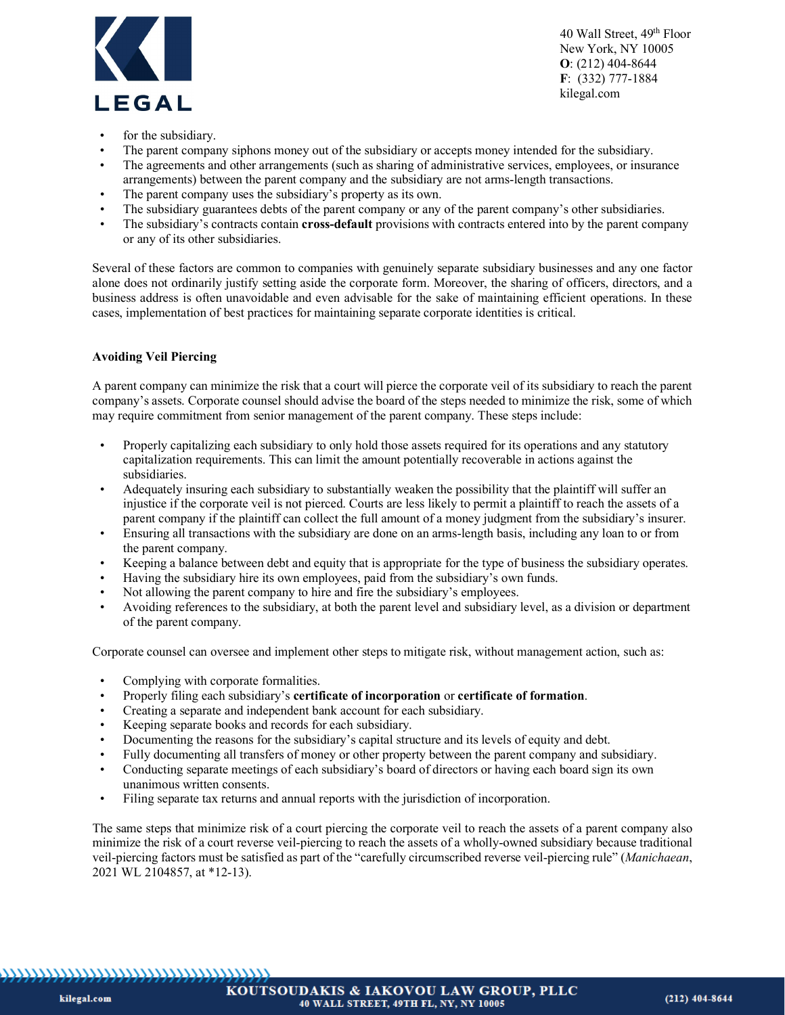

- for the subsidiary.
- The parent company siphons money out of the subsidiary or accepts money intended for the subsidiary.
- The agreements and other arrangements (such as sharing of administrative services, employees, or insurance arrangements) between the parent company and the subsidiary are not arms-length transactions.
- The parent company uses the subsidiary's property as its own.
- The subsidiary guarantees debts of the parent company or any of the parent company's other subsidiaries.
- The subsidiary's contracts contain **cross-default** provisions with contracts entered into by the parent company or any of its other subsidiaries.

Several of these factors are common to companies with genuinely separate subsidiary businesses and any one factor alone does not ordinarily justify setting aside the corporate form. Moreover, the sharing of officers, directors, and a business address is often unavoidable and even advisable for the sake of maintaining efficient operations. In these cases, implementation of best practices for maintaining separate corporate identities is critical.

#### **Avoiding Veil Piercing**

A parent company can minimize the risk that a court will pierce the corporate veil of its subsidiary to reach the parent company's assets. Corporate counsel should advise the board of the steps needed to minimize the risk, some of which may require commitment from senior management of the parent company. These steps include:

- Properly capitalizing each subsidiary to only hold those assets required for its operations and any statutory capitalization requirements. This can limit the amount potentially recoverable in actions against the subsidiaries.
- Adequately insuring each subsidiary to substantially weaken the possibility that the plaintiff will suffer an injustice if the corporate veil is not pierced. Courts are less likely to permit a plaintiff to reach the assets of a parent company if the plaintiff can collect the full amount of a money judgment from the subsidiary's insurer.
- Ensuring all transactions with the subsidiary are done on an arms-length basis, including any loan to or from the parent company.
- Keeping a balance between debt and equity that is appropriate for the type of business the subsidiary operates.
- Having the subsidiary hire its own employees, paid from the subsidiary's own funds.
- Not allowing the parent company to hire and fire the subsidiary's employees.
- Avoiding references to the subsidiary, at both the parent level and subsidiary level, as a division or department of the parent company.

Corporate counsel can oversee and implement other steps to mitigate risk, without management action, such as:

- Complying with corporate formalities.
- Properly filing each subsidiary's **certificate of incorporation** or **certificate of formation**.
- Creating a separate and independent bank account for each subsidiary.
- Keeping separate books and records for each subsidiary.
- Documenting the reasons for the subsidiary's capital structure and its levels of equity and debt.
- Fully documenting all transfers of money or other property between the parent company and subsidiary.
- Conducting separate meetings of each subsidiary's board of directors or having each board sign its own unanimous written consents.
- Filing separate tax returns and annual reports with the jurisdiction of incorporation.

The same steps that minimize risk of a court piercing the corporate veil to reach the assets of a parent company also minimize the risk of a court reverse veil-piercing to reach the assets of a wholly-owned subsidiary because traditional veil-piercing factors must be satisfied as part of the "carefully circumscribed reverse veil-piercing rule" (*Manichaean*, 2021 WL 2104857, at \*12-13).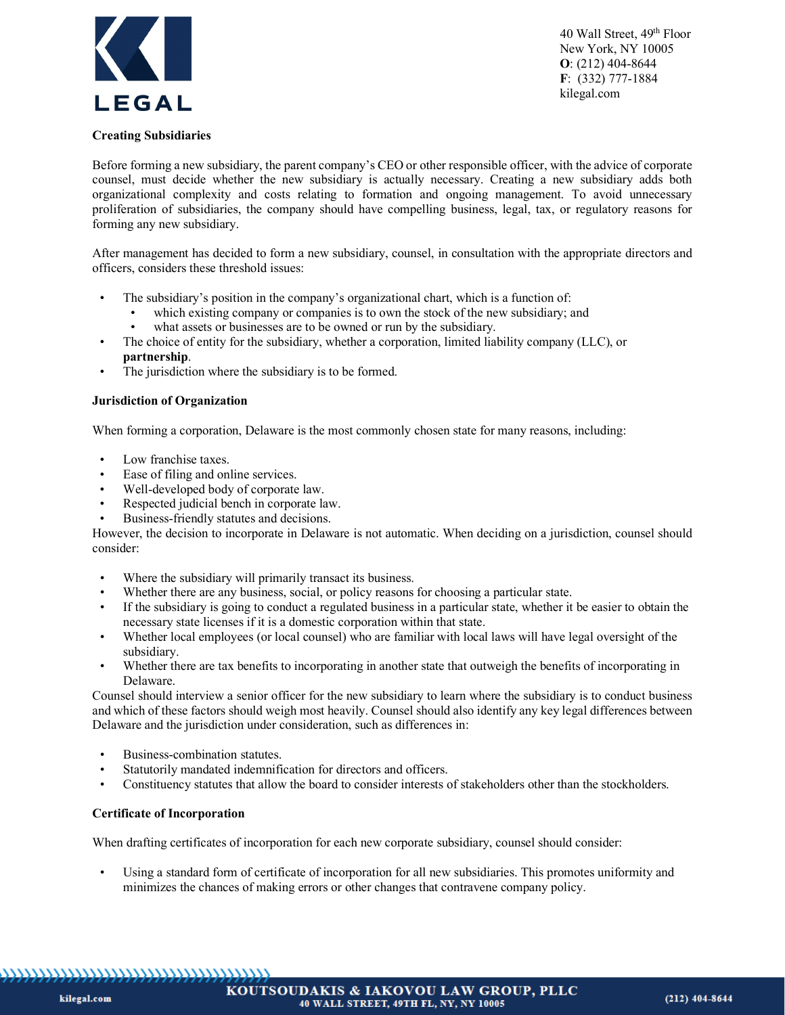

### **Creating Subsidiaries**

Before forming a new subsidiary, the parent company's CEO or other responsible officer, with the advice of corporate counsel, must decide whether the new subsidiary is actually necessary. Creating a new subsidiary adds both organizational complexity and costs relating to formation and ongoing management. To avoid unnecessary proliferation of subsidiaries, the company should have compelling business, legal, tax, or regulatory reasons for forming any new subsidiary.

After management has decided to form a new subsidiary, counsel, in consultation with the appropriate directors and officers, considers these threshold issues:

- The subsidiary's position in the company's organizational chart, which is a function of:
	- which existing company or companies is to own the stock of the new subsidiary; and
		- what assets or businesses are to be owned or run by the subsidiary.
- The choice of entity for the subsidiary, whether a corporation, limited liability company (LLC), or **partnership**.
- The jurisdiction where the subsidiary is to be formed.

#### **Jurisdiction of Organization**

When forming a corporation, Delaware is the most commonly chosen state for many reasons, including:

- Low franchise taxes.
- Ease of filing and online services.
- Well-developed body of corporate law.
- Respected judicial bench in corporate law.
- Business-friendly statutes and decisions.

However, the decision to incorporate in Delaware is not automatic. When deciding on a jurisdiction, counsel should consider:

- Where the subsidiary will primarily transact its business.
- Whether there are any business, social, or policy reasons for choosing a particular state.
- If the subsidiary is going to conduct a regulated business in a particular state, whether it be easier to obtain the necessary state licenses if it is a domestic corporation within that state.
- Whether local employees (or local counsel) who are familiar with local laws will have legal oversight of the subsidiary.
- Whether there are tax benefits to incorporating in another state that outweigh the benefits of incorporating in Delaware.

Counsel should interview a senior officer for the new subsidiary to learn where the subsidiary is to conduct business and which of these factors should weigh most heavily. Counsel should also identify any key legal differences between Delaware and the jurisdiction under consideration, such as differences in:

- Business-combination statutes.
- Statutorily mandated indemnification for directors and officers.
- Constituency statutes that allow the board to consider interests of stakeholders other than the stockholders.

#### **Certificate of Incorporation**

When drafting certificates of incorporation for each new corporate subsidiary, counsel should consider:

• Using a standard form of certificate of incorporation for all new subsidiaries. This promotes uniformity and minimizes the chances of making errors or other changes that contravene company policy.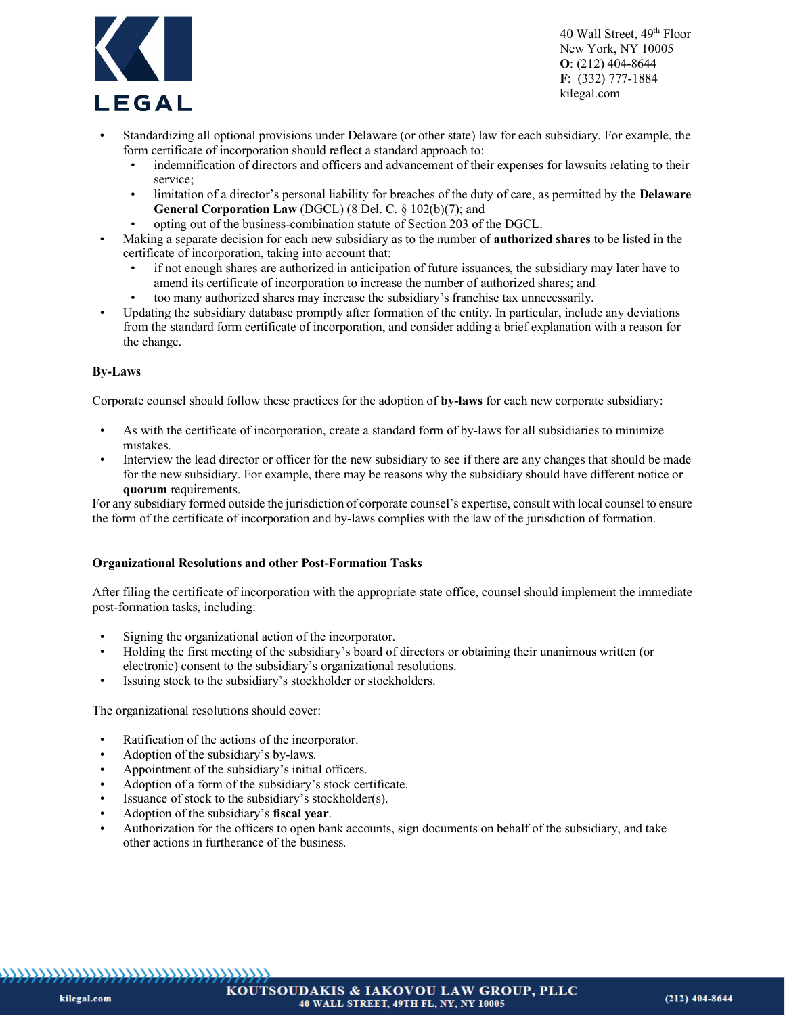

- Standardizing all optional provisions under Delaware (or other state) law for each subsidiary. For example, the form certificate of incorporation should reflect a standard approach to:
	- indemnification of directors and officers and advancement of their expenses for lawsuits relating to their service;
	- limitation of a director's personal liability for breaches of the duty of care, as permitted by the **Delaware General Corporation Law** (DGCL) (8 Del. C. § 102(b)(7); and
	- opting out of the business-combination statute of Section 203 of the DGCL.
- Making a separate decision for each new subsidiary as to the number of **authorized shares** to be listed in the certificate of incorporation, taking into account that:
	- if not enough shares are authorized in anticipation of future issuances, the subsidiary may later have to amend its certificate of incorporation to increase the number of authorized shares; and
		- too many authorized shares may increase the subsidiary's franchise tax unnecessarily.
- Updating the subsidiary database promptly after formation of the entity. In particular, include any deviations from the standard form certificate of incorporation, and consider adding a brief explanation with a reason for the change.

#### **By-Laws**

Corporate counsel should follow these practices for the adoption of **by-laws** for each new corporate subsidiary:

- As with the certificate of incorporation, create a standard form of by-laws for all subsidiaries to minimize mistakes.
- Interview the lead director or officer for the new subsidiary to see if there are any changes that should be made for the new subsidiary. For example, there may be reasons why the subsidiary should have different notice or **quorum** requirements.

For any subsidiary formed outside the jurisdiction of corporate counsel's expertise, consult with local counsel to ensure the form of the certificate of incorporation and by-laws complies with the law of the jurisdiction of formation.

#### **Organizational Resolutions and other Post-Formation Tasks**

After filing the certificate of incorporation with the appropriate state office, counsel should implement the immediate post-formation tasks, including:

- Signing the organizational action of the incorporator.
- Holding the first meeting of the subsidiary's board of directors or obtaining their unanimous written (or electronic) consent to the subsidiary's organizational resolutions.
- Issuing stock to the subsidiary's stockholder or stockholders.

The organizational resolutions should cover:

- Ratification of the actions of the incorporator.
- Adoption of the subsidiary's by-laws.
- Appointment of the subsidiary's initial officers.
- Adoption of a form of the subsidiary's stock certificate.
- Issuance of stock to the subsidiary's stockholder(s).
- Adoption of the subsidiary's **fiscal year**.
- Authorization for the officers to open bank accounts, sign documents on behalf of the subsidiary, and take other actions in furtherance of the business.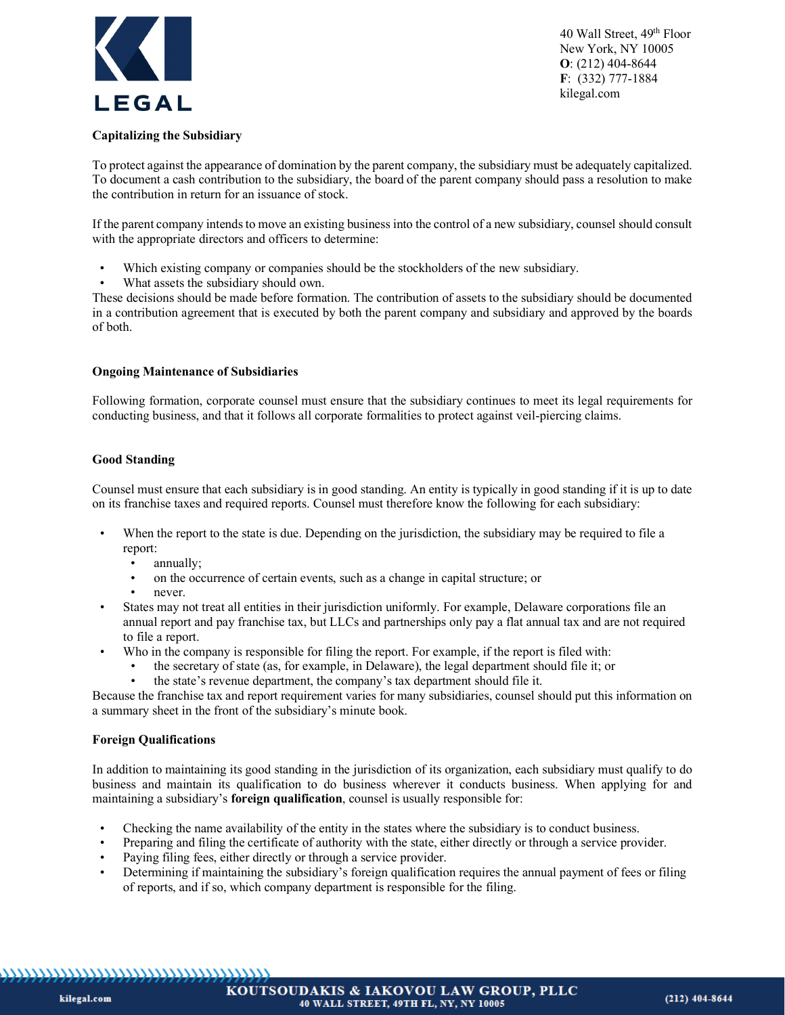

# **Capitalizing the Subsidiary**

To protect against the appearance of domination by the parent company, the subsidiary must be adequately capitalized. To document a cash contribution to the subsidiary, the board of the parent company should pass a resolution to make the contribution in return for an issuance of stock.

If the parent company intends to move an existing business into the control of a new subsidiary, counsel should consult with the appropriate directors and officers to determine:

- Which existing company or companies should be the stockholders of the new subsidiary.
- What assets the subsidiary should own.

These decisions should be made before formation. The contribution of assets to the subsidiary should be documented in a contribution agreement that is executed by both the parent company and subsidiary and approved by the boards of both.

# **Ongoing Maintenance of Subsidiaries**

Following formation, corporate counsel must ensure that the subsidiary continues to meet its legal requirements for conducting business, and that it follows all corporate formalities to protect against veil-piercing claims.

# **Good Standing**

Counsel must ensure that each subsidiary is in good standing. An entity is typically in good standing if it is up to date on its franchise taxes and required reports. Counsel must therefore know the following for each subsidiary:

- When the report to the state is due. Depending on the jurisdiction, the subsidiary may be required to file a report:
	- annually;<br>• on the occ
	- on the occurrence of certain events, such as a change in capital structure; or
	- never.
- States may not treat all entities in their jurisdiction uniformly. For example, Delaware corporations file an annual report and pay franchise tax, but LLCs and partnerships only pay a flat annual tax and are not required to file a report.
- Who in the company is responsible for filing the report. For example, if the report is filed with:
	- the secretary of state (as, for example, in Delaware), the legal department should file it; or • the state's revenue department, the company's tax department should file it.
- Because the franchise tax and report requirement varies for many subsidiaries, counsel should put this information on

a summary sheet in the front of the subsidiary's minute book.

# **Foreign Qualifications**

In addition to maintaining its good standing in the jurisdiction of its organization, each subsidiary must qualify to do business and maintain its qualification to do business wherever it conducts business. When applying for and maintaining a subsidiary's **foreign qualification**, counsel is usually responsible for:

- Checking the name availability of the entity in the states where the subsidiary is to conduct business.
- Preparing and filing the certificate of authority with the state, either directly or through a service provider.
- Paying filing fees, either directly or through a service provider.
- Determining if maintaining the subsidiary's foreign qualification requires the annual payment of fees or filing of reports, and if so, which company department is responsible for the filing.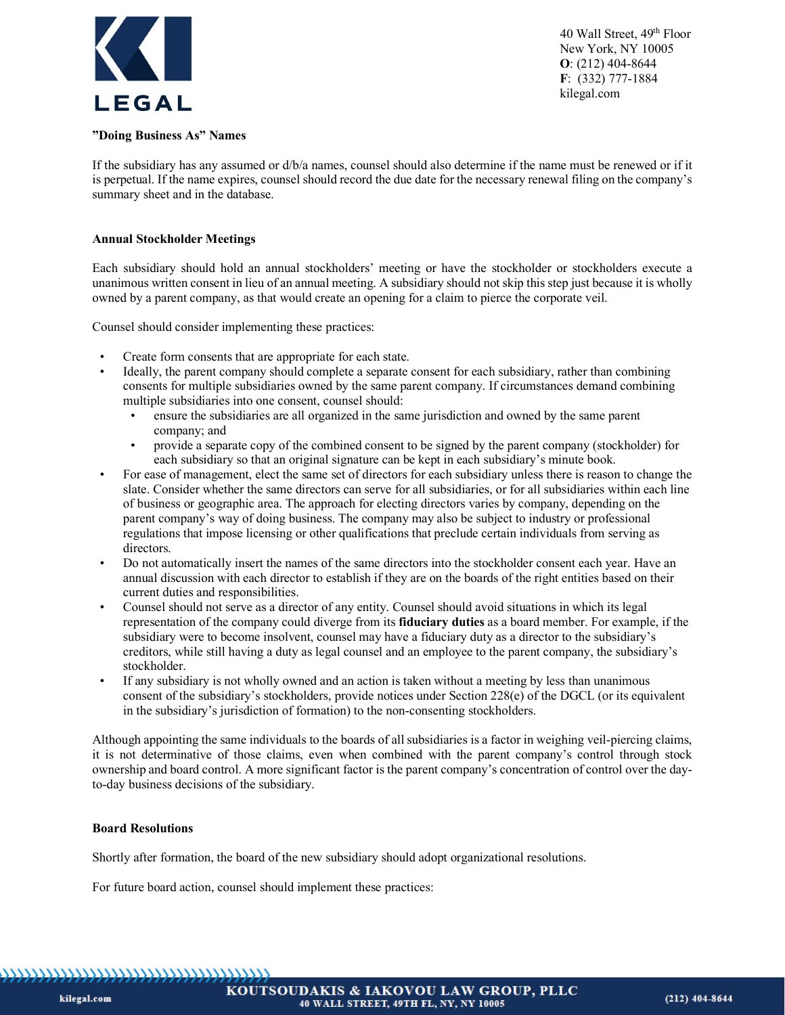

#### **"Doing Business As" Names**

If the subsidiary has any assumed or d/b/a names, counsel should also determine if the name must be renewed or if it is perpetual. If the name expires, counsel should record the due date for the necessary renewal filing on the company's summary sheet and in the database.

#### **Annual Stockholder Meetings**

Each subsidiary should hold an annual stockholders' meeting or have the stockholder or stockholders execute a unanimous written consent in lieu of an annual meeting. A subsidiary should not skip this step just because it is wholly owned by a parent company, as that would create an opening for a claim to pierce the corporate veil.

Counsel should consider implementing these practices:

- Create form consents that are appropriate for each state.
- Ideally, the parent company should complete a separate consent for each subsidiary, rather than combining consents for multiple subsidiaries owned by the same parent company. If circumstances demand combining multiple subsidiaries into one consent, counsel should:
	- ensure the subsidiaries are all organized in the same jurisdiction and owned by the same parent company; and
	- provide a separate copy of the combined consent to be signed by the parent company (stockholder) for each subsidiary so that an original signature can be kept in each subsidiary's minute book.
- For ease of management, elect the same set of directors for each subsidiary unless there is reason to change the slate. Consider whether the same directors can serve for all subsidiaries, or for all subsidiaries within each line of business or geographic area. The approach for electing directors varies by company, depending on the parent company's way of doing business. The company may also be subject to industry or professional regulations that impose licensing or other qualifications that preclude certain individuals from serving as directors.
- Do not automatically insert the names of the same directors into the stockholder consent each year. Have an annual discussion with each director to establish if they are on the boards of the right entities based on their current duties and responsibilities.
- Counsel should not serve as a director of any entity. Counsel should avoid situations in which its legal representation of the company could diverge from its **fiduciary duties** as a board member. For example, if the subsidiary were to become insolvent, counsel may have a fiduciary duty as a director to the subsidiary's creditors, while still having a duty as legal counsel and an employee to the parent company, the subsidiary's stockholder.
- If any subsidiary is not wholly owned and an action is taken without a meeting by less than unanimous consent of the subsidiary's stockholders, provide notices under Section 228(e) of the DGCL (or its equivalent in the subsidiary's jurisdiction of formation) to the non-consenting stockholders.

Although appointing the same individuals to the boards of all subsidiaries is a factor in weighing veil-piercing claims, it is not determinative of those claims, even when combined with the parent company's control through stock ownership and board control. A more significant factor is the parent company's concentration of control over the dayto-day business decisions of the subsidiary.

#### **Board Resolutions**

Shortly after formation, the board of the new subsidiary should adopt organizational resolutions.

For future board action, counsel should implement these practices: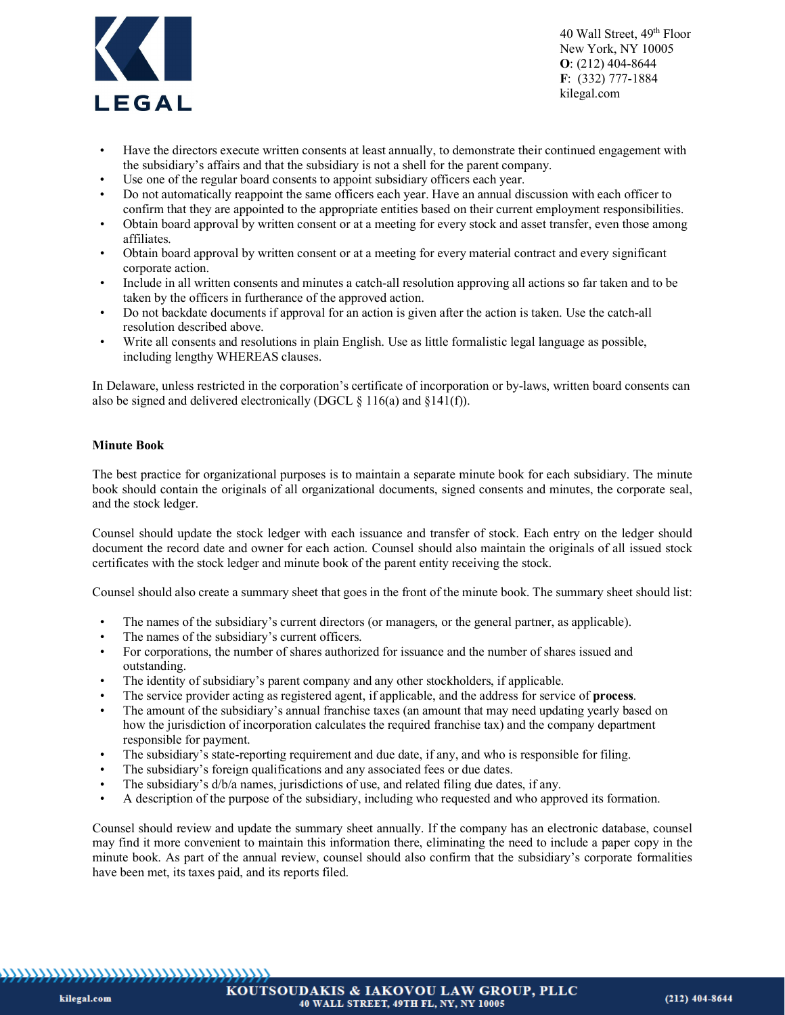

- Have the directors execute written consents at least annually, to demonstrate their continued engagement with the subsidiary's affairs and that the subsidiary is not a shell for the parent company.
- Use one of the regular board consents to appoint subsidiary officers each year.
- Do not automatically reappoint the same officers each year. Have an annual discussion with each officer to confirm that they are appointed to the appropriate entities based on their current employment responsibilities.
- Obtain board approval by written consent or at a meeting for every stock and asset transfer, even those among affiliates.
- Obtain board approval by written consent or at a meeting for every material contract and every significant corporate action.
- Include in all written consents and minutes a catch-all resolution approving all actions so far taken and to be taken by the officers in furtherance of the approved action.
- Do not backdate documents if approval for an action is given after the action is taken. Use the catch-all resolution described above.
- Write all consents and resolutions in plain English. Use as little formalistic legal language as possible, including lengthy WHEREAS clauses.

In Delaware, unless restricted in the corporation's certificate of incorporation or by-laws, written board consents can also be signed and delivered electronically (DGCL  $\S$  116(a) and  $\S$ 141(f)).

#### **Minute Book**

The best practice for organizational purposes is to maintain a separate minute book for each subsidiary. The minute book should contain the originals of all organizational documents, signed consents and minutes, the corporate seal, and the stock ledger.

Counsel should update the stock ledger with each issuance and transfer of stock. Each entry on the ledger should document the record date and owner for each action. Counsel should also maintain the originals of all issued stock certificates with the stock ledger and minute book of the parent entity receiving the stock.

Counsel should also create a summary sheet that goes in the front of the minute book. The summary sheet should list:

- The names of the subsidiary's current directors (or managers, or the general partner, as applicable).
- The names of the subsidiary's current officers.
- For corporations, the number of shares authorized for issuance and the number of shares issued and outstanding.
- The identity of subsidiary's parent company and any other stockholders, if applicable.
- The service provider acting as registered agent, if applicable, and the address for service of **process**.
- The amount of the subsidiary's annual franchise taxes (an amount that may need updating yearly based on how the jurisdiction of incorporation calculates the required franchise tax) and the company department responsible for payment.
- The subsidiary's state-reporting requirement and due date, if any, and who is responsible for filing.
- The subsidiary's foreign qualifications and any associated fees or due dates.
- The subsidiary's d/b/a names, jurisdictions of use, and related filing due dates, if any.
- A description of the purpose of the subsidiary, including who requested and who approved its formation.

Counsel should review and update the summary sheet annually. If the company has an electronic database, counsel may find it more convenient to maintain this information there, eliminating the need to include a paper copy in the minute book. As part of the annual review, counsel should also confirm that the subsidiary's corporate formalities have been met, its taxes paid, and its reports filed.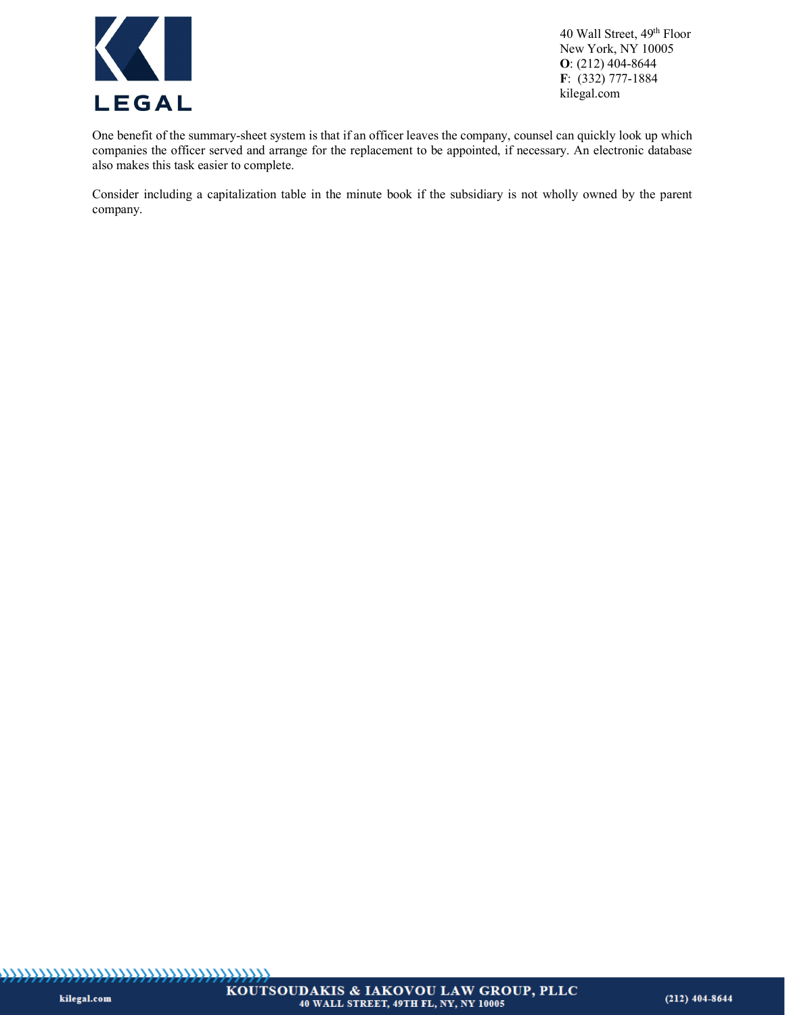

One benefit of the summary-sheet system is that if an officer leaves the company, counsel can quickly look up which companies the officer served and arrange for the replacement to be appointed, if necessary. An electronic database also makes this task easier to complete.

Consider including a capitalization table in the minute book if the subsidiary is not wholly owned by the parent company.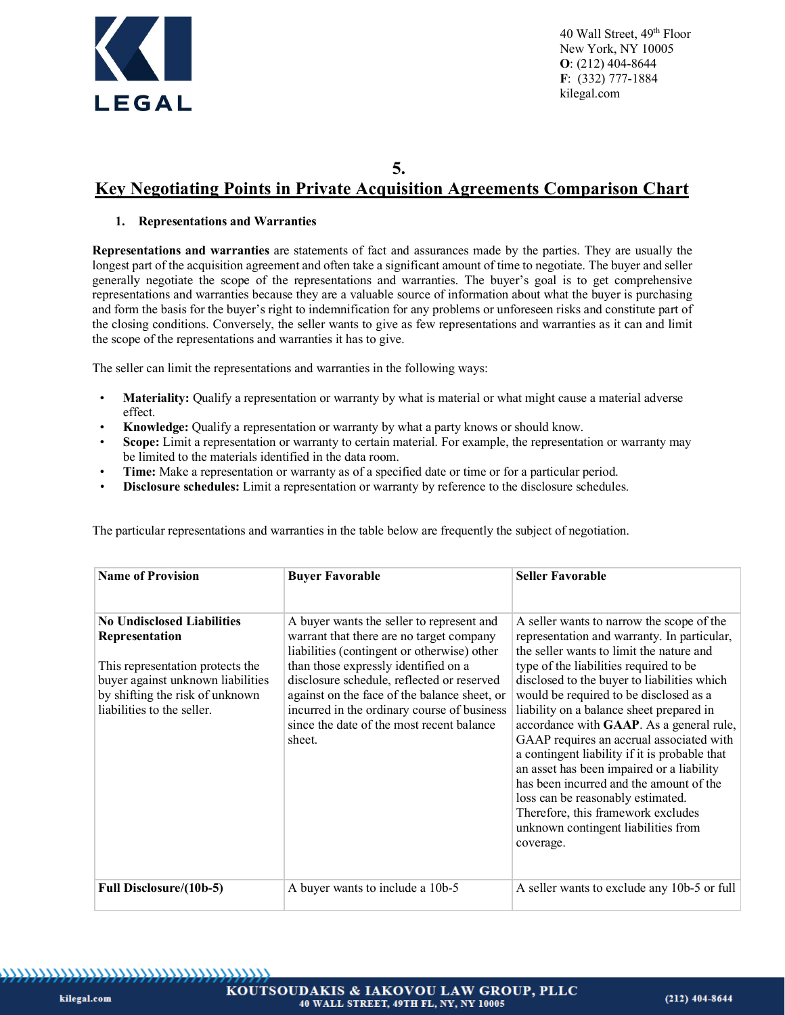

**5.**

# **Key Negotiating Points in Private Acquisition Agreements Comparison Chart**

# **1. Representations and Warranties**

**Representations and warranties** are statements of fact and assurances made by the parties. They are usually the longest part of the acquisition agreement and often take a significant amount of time to negotiate. The buyer and seller generally negotiate the scope of the representations and warranties. The buyer's goal is to get comprehensive representations and warranties because they are a valuable source of information about what the buyer is purchasing and form the basis for the buyer's right to indemnification for any problems or unforeseen risks and constitute part of the closing conditions. Conversely, the seller wants to give as few representations and warranties as it can and limit the scope of the representations and warranties it has to give.

The seller can limit the representations and warranties in the following ways:

- **Materiality:** Qualify a representation or warranty by what is material or what might cause a material adverse effect.
- **Knowledge:** Qualify a representation or warranty by what a party knows or should know.
- **Scope:** Limit a representation or warranty to certain material. For example, the representation or warranty may be limited to the materials identified in the data room.
- **Time:** Make a representation or warranty as of a specified date or time or for a particular period.
- **Disclosure schedules:** Limit a representation or warranty by reference to the disclosure schedules.

| The particular representations and warranties in the table below are frequently the subject of negotiation. |  |  |  |  |  |  |  |  |
|-------------------------------------------------------------------------------------------------------------|--|--|--|--|--|--|--|--|
|-------------------------------------------------------------------------------------------------------------|--|--|--|--|--|--|--|--|

| <b>Name of Provision</b>                                                                                                                                                                      | <b>Buyer Favorable</b>                                                                                                                                                                                                                                                                                                                                                           | <b>Seller Favorable</b>                                                                                                                                                                                                                                                                                                                                                                                                                                                                                                                                                                                                                                                             |
|-----------------------------------------------------------------------------------------------------------------------------------------------------------------------------------------------|----------------------------------------------------------------------------------------------------------------------------------------------------------------------------------------------------------------------------------------------------------------------------------------------------------------------------------------------------------------------------------|-------------------------------------------------------------------------------------------------------------------------------------------------------------------------------------------------------------------------------------------------------------------------------------------------------------------------------------------------------------------------------------------------------------------------------------------------------------------------------------------------------------------------------------------------------------------------------------------------------------------------------------------------------------------------------------|
| <b>No Undisclosed Liabilities</b><br>Representation<br>This representation protects the<br>buyer against unknown liabilities<br>by shifting the risk of unknown<br>liabilities to the seller. | A buyer wants the seller to represent and<br>warrant that there are no target company<br>liabilities (contingent or otherwise) other<br>than those expressly identified on a<br>disclosure schedule, reflected or reserved<br>against on the face of the balance sheet, or<br>incurred in the ordinary course of business<br>since the date of the most recent balance<br>sheet. | A seller wants to narrow the scope of the<br>representation and warranty. In particular,<br>the seller wants to limit the nature and<br>type of the liabilities required to be<br>disclosed to the buyer to liabilities which<br>would be required to be disclosed as a<br>liability on a balance sheet prepared in<br>accordance with GAAP. As a general rule,<br>GAAP requires an accrual associated with<br>a contingent liability if it is probable that<br>an asset has been impaired or a liability<br>has been incurred and the amount of the<br>loss can be reasonably estimated.<br>Therefore, this framework excludes<br>unknown contingent liabilities from<br>coverage. |
| Full Disclosure/(10b-5)                                                                                                                                                                       | A buyer wants to include a 10b-5                                                                                                                                                                                                                                                                                                                                                 | A seller wants to exclude any 10b-5 or full                                                                                                                                                                                                                                                                                                                                                                                                                                                                                                                                                                                                                                         |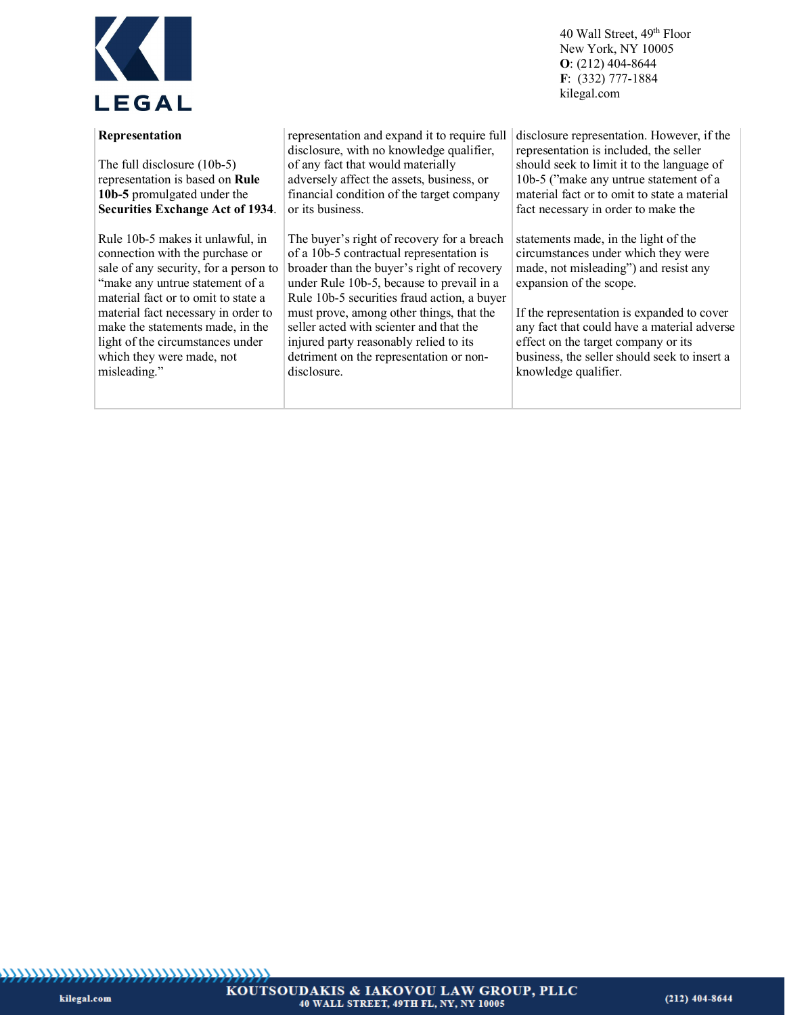

#### **Representation**

The full disclosure (10b-5) representation is based on **Rule 10b-5** promulgated under the **Securities Exchange Act of 1934**.

Rule 10b-5 makes it unlawful, in connection with the purchase or sale of any security, for a person to "make any untrue statement of a material fact or to omit to state a material fact necessary in order to make the statements made, in the light of the circumstances under which they were made, not misleading."

representation and expand it to require full disclosure, with no knowledge qualifier, of any fact that would materially adversely affect the assets, business, or financial condition of the target company or its business.

The buyer's right of recovery for a breach of a 10b-5 contractual representation is broader than the buyer's right of recovery under Rule 10b-5, because to prevail in a Rule 10b-5 securities fraud action, a buyer must prove, among other things, that the seller acted with scienter and that the injured party reasonably relied to its detriment on the representation or nondisclosure.

 40 Wall Street, 49th Floor New York, NY 10005 **O**: (212) 404-8644 **F**: (332) 777-1884 kilegal.com

disclosure representation. However, if the representation is included, the seller should seek to limit it to the language of 10b-5 ("make any untrue statement of a material fact or to omit to state a material fact necessary in order to make the

statements made, in the light of the circumstances under which they were made, not misleading") and resist any expansion of the scope.

If the representation is expanded to cover any fact that could have a material adverse effect on the target company or its business, the seller should seek to insert a knowledge qualifier.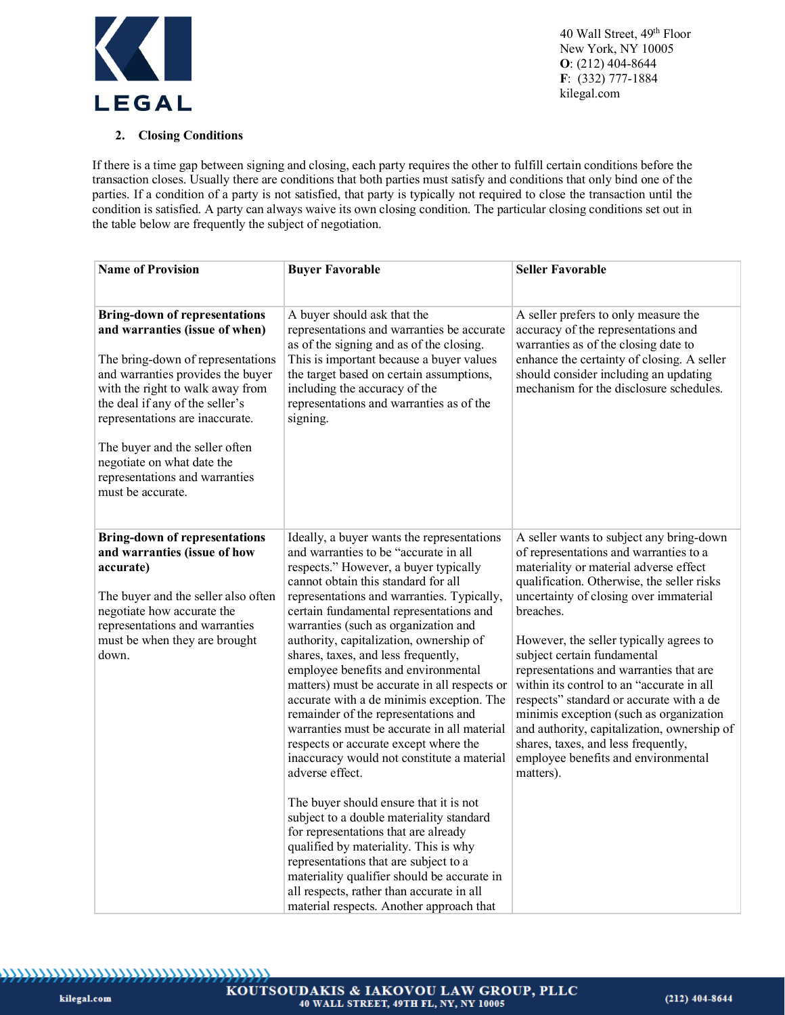

# **2. Closing Conditions**

If there is a time gap between signing and closing, each party requires the other to fulfill certain conditions before the transaction closes. Usually there are conditions that both parties must satisfy and conditions that only bind one of the parties. If a condition of a party is not satisfied, that party is typically not required to close the transaction until the condition is satisfied. A party can always waive its own closing condition. The particular closing conditions set out in the table below are frequently the subject of negotiation.

| <b>Name of Provision</b>                                                                                                                                                                                                                                                                                                                                                          | <b>Buyer Favorable</b>                                                                                                                                                                                                                                                                                                                                                                                                                                                                                                                                                                                                                                                                                                                                                                                                                                                                                                                                                                                                                                                              | <b>Seller Favorable</b>                                                                                                                                                                                                                                                                                                                                                                                                                                                                                                                                                                                                              |
|-----------------------------------------------------------------------------------------------------------------------------------------------------------------------------------------------------------------------------------------------------------------------------------------------------------------------------------------------------------------------------------|-------------------------------------------------------------------------------------------------------------------------------------------------------------------------------------------------------------------------------------------------------------------------------------------------------------------------------------------------------------------------------------------------------------------------------------------------------------------------------------------------------------------------------------------------------------------------------------------------------------------------------------------------------------------------------------------------------------------------------------------------------------------------------------------------------------------------------------------------------------------------------------------------------------------------------------------------------------------------------------------------------------------------------------------------------------------------------------|--------------------------------------------------------------------------------------------------------------------------------------------------------------------------------------------------------------------------------------------------------------------------------------------------------------------------------------------------------------------------------------------------------------------------------------------------------------------------------------------------------------------------------------------------------------------------------------------------------------------------------------|
|                                                                                                                                                                                                                                                                                                                                                                                   |                                                                                                                                                                                                                                                                                                                                                                                                                                                                                                                                                                                                                                                                                                                                                                                                                                                                                                                                                                                                                                                                                     |                                                                                                                                                                                                                                                                                                                                                                                                                                                                                                                                                                                                                                      |
| <b>Bring-down of representations</b><br>and warranties (issue of when)<br>The bring-down of representations<br>and warranties provides the buyer<br>with the right to walk away from<br>the deal if any of the seller's<br>representations are inaccurate.<br>The buyer and the seller often<br>negotiate on what date the<br>representations and warranties<br>must be accurate. | A buyer should ask that the<br>representations and warranties be accurate<br>as of the signing and as of the closing.<br>This is important because a buyer values<br>the target based on certain assumptions,<br>including the accuracy of the<br>representations and warranties as of the<br>signing.                                                                                                                                                                                                                                                                                                                                                                                                                                                                                                                                                                                                                                                                                                                                                                              | A seller prefers to only measure the<br>accuracy of the representations and<br>warranties as of the closing date to<br>enhance the certainty of closing. A seller<br>should consider including an updating<br>mechanism for the disclosure schedules.                                                                                                                                                                                                                                                                                                                                                                                |
| <b>Bring-down of representations</b><br>and warranties (issue of how<br>accurate)<br>The buyer and the seller also often<br>negotiate how accurate the<br>representations and warranties<br>must be when they are brought<br>down.                                                                                                                                                | Ideally, a buyer wants the representations<br>and warranties to be "accurate in all<br>respects." However, a buyer typically<br>cannot obtain this standard for all<br>representations and warranties. Typically,<br>certain fundamental representations and<br>warranties (such as organization and<br>authority, capitalization, ownership of<br>shares, taxes, and less frequently,<br>employee benefits and environmental<br>matters) must be accurate in all respects or<br>accurate with a de minimis exception. The<br>remainder of the representations and<br>warranties must be accurate in all material<br>respects or accurate except where the<br>inaccuracy would not constitute a material<br>adverse effect.<br>The buyer should ensure that it is not<br>subject to a double materiality standard<br>for representations that are already<br>qualified by materiality. This is why<br>representations that are subject to a<br>materiality qualifier should be accurate in<br>all respects, rather than accurate in all<br>material respects. Another approach that | A seller wants to subject any bring-down<br>of representations and warranties to a<br>materiality or material adverse effect<br>qualification. Otherwise, the seller risks<br>uncertainty of closing over immaterial<br>breaches.<br>However, the seller typically agrees to<br>subject certain fundamental<br>representations and warranties that are<br>within its control to an "accurate in all<br>respects" standard or accurate with a de<br>minimis exception (such as organization<br>and authority, capitalization, ownership of<br>shares, taxes, and less frequently,<br>employee benefits and environmental<br>matters). |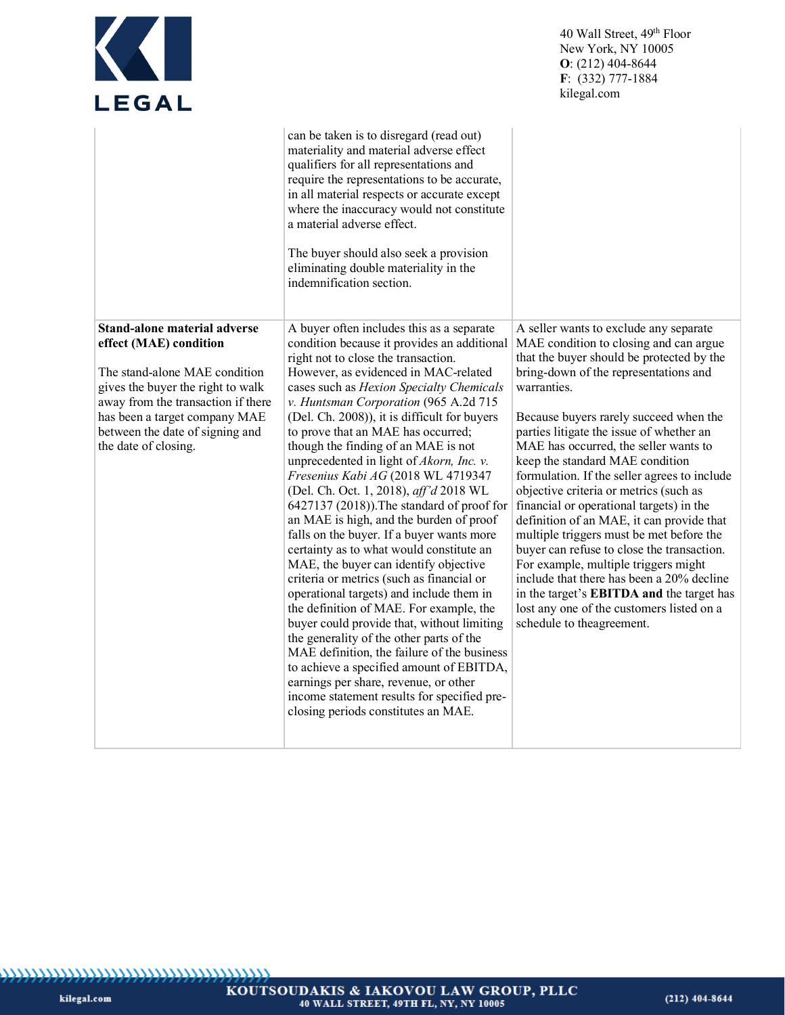| K<br><b>LEGAL</b>                                                                                                                                                                                                                                                     |                                                                                                                                                                                                                                                                                                                                                                                                                                                                                                                                                                                                                                                                                                                                                                                                                                                                                                                                                                                                                                                                                                                                                                                                                                                           | 40 Wall Street, 49 <sup>th</sup> Floor<br>New York, NY 10005<br>$O: (212)$ 404-8644<br>$F: (332) 777-1884$<br>kilegal.com                                                                                                                                                                                                                                                                                                                                                                                                                                                                                                                                                                                                                                                                              |
|-----------------------------------------------------------------------------------------------------------------------------------------------------------------------------------------------------------------------------------------------------------------------|-----------------------------------------------------------------------------------------------------------------------------------------------------------------------------------------------------------------------------------------------------------------------------------------------------------------------------------------------------------------------------------------------------------------------------------------------------------------------------------------------------------------------------------------------------------------------------------------------------------------------------------------------------------------------------------------------------------------------------------------------------------------------------------------------------------------------------------------------------------------------------------------------------------------------------------------------------------------------------------------------------------------------------------------------------------------------------------------------------------------------------------------------------------------------------------------------------------------------------------------------------------|--------------------------------------------------------------------------------------------------------------------------------------------------------------------------------------------------------------------------------------------------------------------------------------------------------------------------------------------------------------------------------------------------------------------------------------------------------------------------------------------------------------------------------------------------------------------------------------------------------------------------------------------------------------------------------------------------------------------------------------------------------------------------------------------------------|
|                                                                                                                                                                                                                                                                       | can be taken is to disregard (read out)<br>materiality and material adverse effect<br>qualifiers for all representations and<br>require the representations to be accurate,<br>in all material respects or accurate except<br>where the inaccuracy would not constitute<br>a material adverse effect.<br>The buyer should also seek a provision<br>eliminating double materiality in the<br>indemnification section.                                                                                                                                                                                                                                                                                                                                                                                                                                                                                                                                                                                                                                                                                                                                                                                                                                      |                                                                                                                                                                                                                                                                                                                                                                                                                                                                                                                                                                                                                                                                                                                                                                                                        |
| <b>Stand-alone material adverse</b><br>effect (MAE) condition<br>The stand-alone MAE condition<br>gives the buyer the right to walk<br>away from the transaction if there<br>has been a target company MAE<br>between the date of signing and<br>the date of closing. | A buyer often includes this as a separate<br>condition because it provides an additional   MAE condition to closing and can argue<br>right not to close the transaction.<br>However, as evidenced in MAC-related<br>cases such as Hexion Specialty Chemicals<br>v. Huntsman Corporation (965 A.2d 715<br>(Del. Ch. 2008)), it is difficult for buyers<br>to prove that an MAE has occurred;<br>though the finding of an MAE is not<br>unprecedented in light of <i>Akorn</i> , Inc. v.<br>Fresenius Kabi AG (2018 WL 4719347<br>(Del. Ch. Oct. 1, 2018), aff'd 2018 WL<br>6427137 (2018)). The standard of proof for<br>an MAE is high, and the burden of proof<br>falls on the buyer. If a buyer wants more<br>certainty as to what would constitute an<br>MAE, the buyer can identify objective<br>criteria or metrics (such as financial or<br>operational targets) and include them in<br>the definition of MAE. For example, the<br>buyer could provide that, without limiting<br>the generality of the other parts of the<br>MAE definition, the failure of the business<br>to achieve a specified amount of EBITDA,<br>earnings per share, revenue, or other<br>income statement results for specified pre-<br>closing periods constitutes an MAE. | A seller wants to exclude any separate<br>that the buyer should be protected by the<br>bring-down of the representations and<br>warranties.<br>Because buyers rarely succeed when the<br>parties litigate the issue of whether an<br>MAE has occurred, the seller wants to<br>keep the standard MAE condition<br>formulation. If the seller agrees to include<br>objective criteria or metrics (such as<br>financial or operational targets) in the<br>definition of an MAE, it can provide that<br>multiple triggers must be met before the<br>buyer can refuse to close the transaction.<br>For example, multiple triggers might<br>include that there has been a 20% decline<br>in the target's EBITDA and the target has<br>lost any one of the customers listed on a<br>schedule to theagreement. |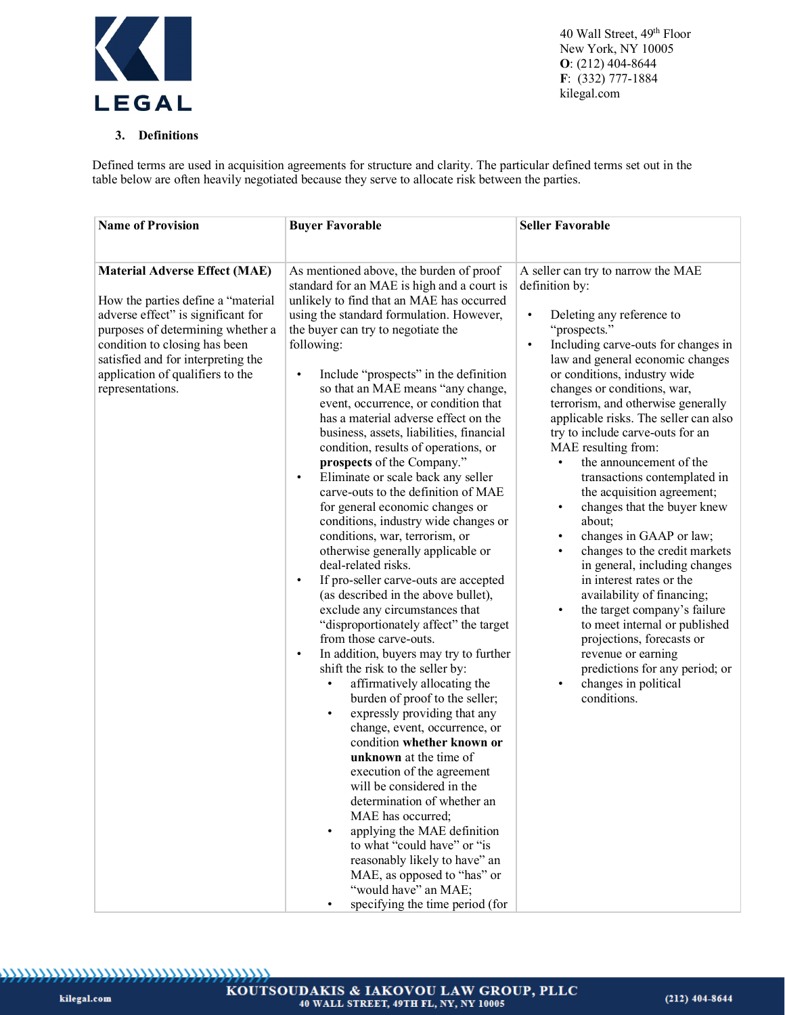

# **3. Definitions**

Defined terms are used in acquisition agreements for structure and clarity. The particular defined terms set out in the table below are often heavily negotiated because they serve to allocate risk between the parties.

| <b>Name of Provision</b>                                                                                                                                                                                                                                                             | <b>Buyer Favorable</b>                                                                                                                                                                                                                                                                                                                                                                                                                                                                                                                                                                                                                                                                                                                                                                                                                                                                                                                                                                                                                                                                                                                                                                                                                                                                                                                                                                                                                                                                                                                                                                                                                     | <b>Seller Favorable</b>                                                                                                                                                                                                                                                                                                                                                                                                                                                                                                                                                                                                                                                                                                                                                                                                                                                                                                                      |
|--------------------------------------------------------------------------------------------------------------------------------------------------------------------------------------------------------------------------------------------------------------------------------------|--------------------------------------------------------------------------------------------------------------------------------------------------------------------------------------------------------------------------------------------------------------------------------------------------------------------------------------------------------------------------------------------------------------------------------------------------------------------------------------------------------------------------------------------------------------------------------------------------------------------------------------------------------------------------------------------------------------------------------------------------------------------------------------------------------------------------------------------------------------------------------------------------------------------------------------------------------------------------------------------------------------------------------------------------------------------------------------------------------------------------------------------------------------------------------------------------------------------------------------------------------------------------------------------------------------------------------------------------------------------------------------------------------------------------------------------------------------------------------------------------------------------------------------------------------------------------------------------------------------------------------------------|----------------------------------------------------------------------------------------------------------------------------------------------------------------------------------------------------------------------------------------------------------------------------------------------------------------------------------------------------------------------------------------------------------------------------------------------------------------------------------------------------------------------------------------------------------------------------------------------------------------------------------------------------------------------------------------------------------------------------------------------------------------------------------------------------------------------------------------------------------------------------------------------------------------------------------------------|
| <b>Material Adverse Effect (MAE)</b><br>How the parties define a "material<br>adverse effect" is significant for<br>purposes of determining whether a<br>condition to closing has been<br>satisfied and for interpreting the<br>application of qualifiers to the<br>representations. | As mentioned above, the burden of proof<br>standard for an MAE is high and a court is<br>unlikely to find that an MAE has occurred<br>using the standard formulation. However,<br>the buyer can try to negotiate the<br>following:<br>Include "prospects" in the definition<br>$\bullet$<br>so that an MAE means "any change,<br>event, occurrence, or condition that<br>has a material adverse effect on the<br>business, assets, liabilities, financial<br>condition, results of operations, or<br>prospects of the Company."<br>Eliminate or scale back any seller<br>$\bullet$<br>carve-outs to the definition of MAE<br>for general economic changes or<br>conditions, industry wide changes or<br>conditions, war, terrorism, or<br>otherwise generally applicable or<br>deal-related risks.<br>If pro-seller carve-outs are accepted<br>$\bullet$<br>(as described in the above bullet),<br>exclude any circumstances that<br>"disproportionately affect" the target<br>from those carve-outs.<br>In addition, buyers may try to further<br>$\bullet$<br>shift the risk to the seller by:<br>affirmatively allocating the<br>$\bullet$<br>burden of proof to the seller;<br>expressly providing that any<br>$\bullet$<br>change, event, occurrence, or<br>condition whether known or<br>unknown at the time of<br>execution of the agreement<br>will be considered in the<br>determination of whether an<br>MAE has occurred;<br>applying the MAE definition<br>$\bullet$<br>to what "could have" or "is<br>reasonably likely to have" an<br>MAE, as opposed to "has" or<br>"would have" an MAE;<br>specifying the time period (for | A seller can try to narrow the MAE<br>definition by:<br>Deleting any reference to<br>$\bullet$<br>"prospects."<br>Including carve-outs for changes in<br>$\bullet$<br>law and general economic changes<br>or conditions, industry wide<br>changes or conditions, war,<br>terrorism, and otherwise generally<br>applicable risks. The seller can also<br>try to include carve-outs for an<br>MAE resulting from:<br>the announcement of the<br>transactions contemplated in<br>the acquisition agreement;<br>changes that the buyer knew<br>$\bullet$<br>about;<br>changes in GAAP or law;<br>changes to the credit markets<br>in general, including changes<br>in interest rates or the<br>availability of financing;<br>the target company's failure<br>$\bullet$<br>to meet internal or published<br>projections, forecasts or<br>revenue or earning<br>predictions for any period; or<br>changes in political<br>$\bullet$<br>conditions. |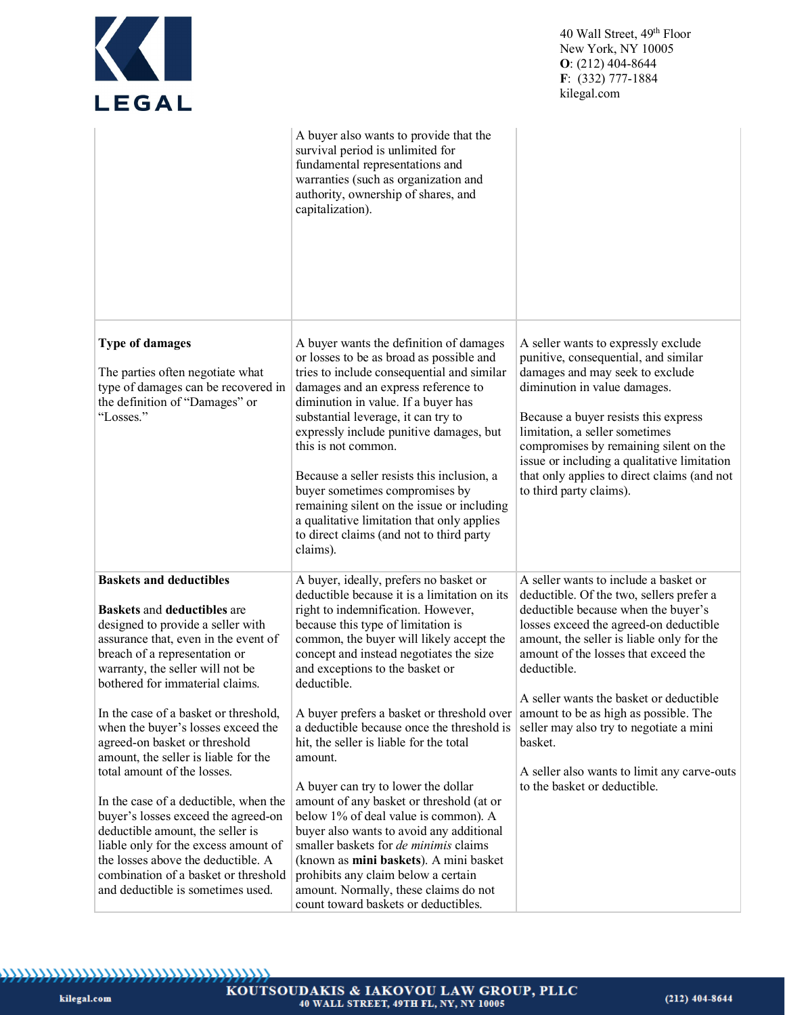| KT<br><b>LEGAL</b>                                                                                                                                                                                                                                                                                                                                                                                                                                                 |                                                                                                                                                                                                                                                                                                                                                                                                                                                                                                                                                              | 40 Wall Street, 49 <sup>th</sup> Floor<br>New York, NY 10005<br>$O: (212)$ 404-8644<br>$F: (332) 777-1884$<br>kilegal.com                                                                                                                                                                                                                                                                   |
|--------------------------------------------------------------------------------------------------------------------------------------------------------------------------------------------------------------------------------------------------------------------------------------------------------------------------------------------------------------------------------------------------------------------------------------------------------------------|--------------------------------------------------------------------------------------------------------------------------------------------------------------------------------------------------------------------------------------------------------------------------------------------------------------------------------------------------------------------------------------------------------------------------------------------------------------------------------------------------------------------------------------------------------------|---------------------------------------------------------------------------------------------------------------------------------------------------------------------------------------------------------------------------------------------------------------------------------------------------------------------------------------------------------------------------------------------|
|                                                                                                                                                                                                                                                                                                                                                                                                                                                                    | A buyer also wants to provide that the<br>survival period is unlimited for<br>fundamental representations and<br>warranties (such as organization and<br>authority, ownership of shares, and<br>capitalization).                                                                                                                                                                                                                                                                                                                                             |                                                                                                                                                                                                                                                                                                                                                                                             |
| <b>Type of damages</b><br>The parties often negotiate what<br>type of damages can be recovered in<br>the definition of "Damages" or<br>"Losses."                                                                                                                                                                                                                                                                                                                   | A buyer wants the definition of damages<br>or losses to be as broad as possible and<br>tries to include consequential and similar<br>damages and an express reference to<br>diminution in value. If a buyer has<br>substantial leverage, it can try to<br>expressly include punitive damages, but<br>this is not common.<br>Because a seller resists this inclusion, a<br>buyer sometimes compromises by<br>remaining silent on the issue or including<br>a qualitative limitation that only applies<br>to direct claims (and not to third party<br>claims). | A seller wants to expressly exclude<br>punitive, consequential, and similar<br>damages and may seek to exclude<br>diminution in value damages.<br>Because a buyer resists this express<br>limitation, a seller sometimes<br>compromises by remaining silent on the<br>issue or including a qualitative limitation<br>that only applies to direct claims (and not<br>to third party claims). |
| <b>Baskets and deductibles</b><br><b>Baskets and deductibles are</b><br>designed to provide a seller with<br>assurance that, even in the event of<br>breach of a representation or<br>warranty, the seller will not be<br>bothered for immaterial claims.                                                                                                                                                                                                          | A buyer, ideally, prefers no basket or<br>deductible because it is a limitation on its<br>right to indemnification. However,<br>because this type of limitation is<br>common, the buyer will likely accept the<br>concept and instead negotiates the size<br>and exceptions to the basket or<br>deductible.                                                                                                                                                                                                                                                  | A seller wants to include a basket or<br>deductible. Of the two, sellers prefer a<br>deductible because when the buyer's<br>losses exceed the agreed-on deductible<br>amount, the seller is liable only for the<br>amount of the losses that exceed the<br>deductible.<br>A seller wants the basket or deductible                                                                           |
| In the case of a basket or threshold,<br>when the buyer's losses exceed the<br>agreed-on basket or threshold<br>amount, the seller is liable for the<br>total amount of the losses.<br>In the case of a deductible, when the<br>buyer's losses exceed the agreed-on<br>deductible amount, the seller is<br>liable only for the excess amount of<br>the losses above the deductible. A<br>combination of a basket or threshold<br>and deductible is sometimes used. | A buyer prefers a basket or threshold over<br>a deductible because once the threshold is<br>hit, the seller is liable for the total<br>amount.<br>A buyer can try to lower the dollar<br>amount of any basket or threshold (at or<br>below 1% of deal value is common). A<br>buyer also wants to avoid any additional<br>smaller baskets for de minimis claims<br>(known as mini baskets). A mini basket<br>prohibits any claim below a certain<br>amount. Normally, these claims do not<br>count toward baskets or deductibles.                             | amount to be as high as possible. The<br>seller may also try to negotiate a mini<br>basket.<br>A seller also wants to limit any carve-outs<br>to the basket or deductible.                                                                                                                                                                                                                  |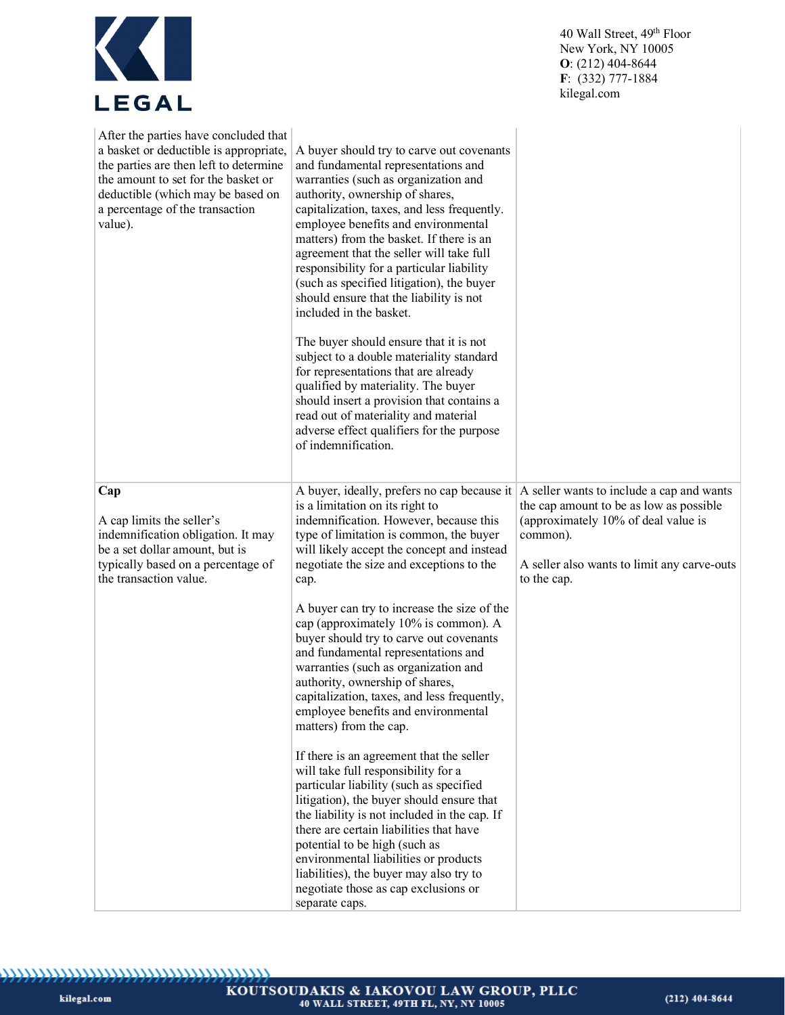| EGAI<br>L |
|-----------|

| After the parties have concluded that<br>a basket or deductible is appropriate,<br>the parties are then left to determine<br>the amount to set for the basket or<br>deductible (which may be based on<br>a percentage of the transaction<br>value). | A buyer should try to carve out covenants<br>and fundamental representations and<br>warranties (such as organization and<br>authority, ownership of shares,<br>capitalization, taxes, and less frequently.<br>employee benefits and environmental<br>matters) from the basket. If there is an<br>agreement that the seller will take full<br>responsibility for a particular liability<br>(such as specified litigation), the buyer<br>should ensure that the liability is not<br>included in the basket.<br>The buyer should ensure that it is not<br>subject to a double materiality standard<br>for representations that are already<br>qualified by materiality. The buyer<br>should insert a provision that contains a<br>read out of materiality and material<br>adverse effect qualifiers for the purpose<br>of indemnification. |                                                                                                                                                          |
|-----------------------------------------------------------------------------------------------------------------------------------------------------------------------------------------------------------------------------------------------------|-----------------------------------------------------------------------------------------------------------------------------------------------------------------------------------------------------------------------------------------------------------------------------------------------------------------------------------------------------------------------------------------------------------------------------------------------------------------------------------------------------------------------------------------------------------------------------------------------------------------------------------------------------------------------------------------------------------------------------------------------------------------------------------------------------------------------------------------|----------------------------------------------------------------------------------------------------------------------------------------------------------|
| Cap<br>A cap limits the seller's<br>indemnification obligation. It may<br>be a set dollar amount, but is<br>typically based on a percentage of<br>the transaction value.                                                                            | A buyer, ideally, prefers no cap because it $ A \rangle$ seller wants to include a cap and wants<br>is a limitation on its right to<br>indemnification. However, because this<br>type of limitation is common, the buyer<br>will likely accept the concept and instead<br>negotiate the size and exceptions to the<br>cap.<br>A buyer can try to increase the size of the<br>cap (approximately 10% is common). A<br>buyer should try to carve out covenants<br>and fundamental representations and<br>warranties (such as organization and<br>authority, ownership of shares,<br>capitalization, taxes, and less frequently,<br>employee benefits and environmental<br>matters) from the cap.                                                                                                                                          | the cap amount to be as low as possible<br>(approximately 10% of deal value is<br>common).<br>A seller also wants to limit any carve-outs<br>to the cap. |
|                                                                                                                                                                                                                                                     | If there is an agreement that the seller<br>will take full responsibility for a<br>particular liability (such as specified<br>litigation), the buyer should ensure that<br>the liability is not included in the cap. If<br>there are certain liabilities that have<br>potential to be high (such as<br>environmental liabilities or products<br>liabilities), the buyer may also try to<br>negotiate those as cap exclusions or<br>separate caps.                                                                                                                                                                                                                                                                                                                                                                                       |                                                                                                                                                          |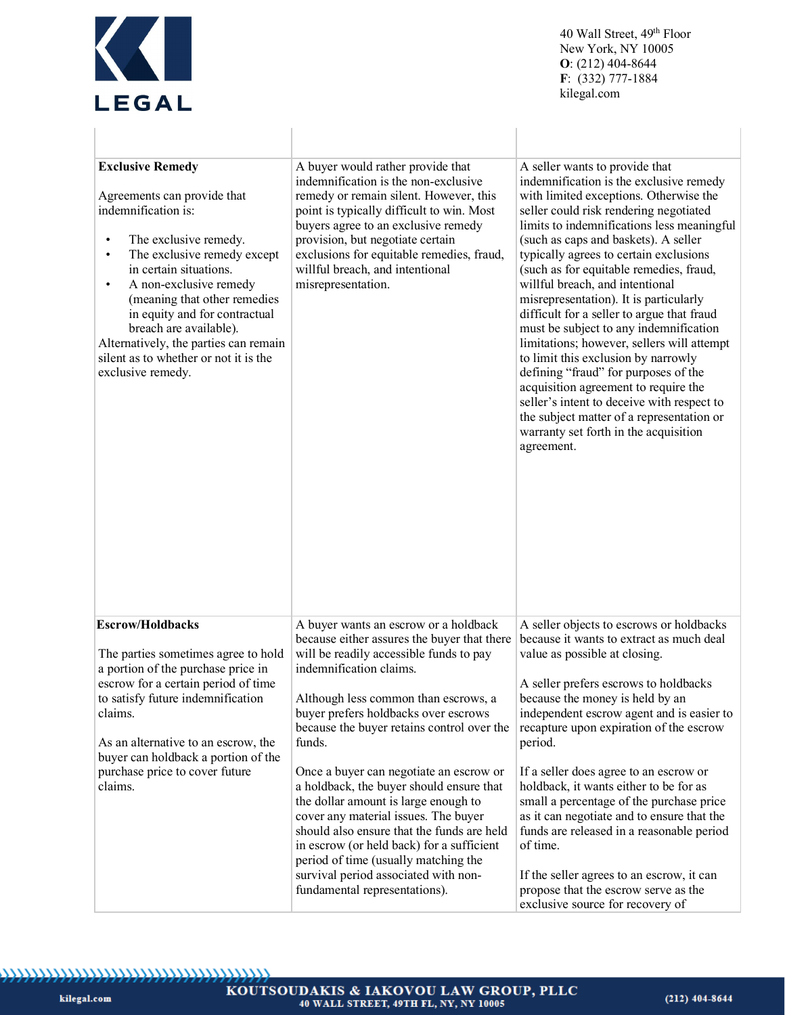

 $\begin{array}{c} \hline \end{array}$ 

 $\mathbb{L}$ 

40 Wall Street, 49th Floor New York, NY 10005  $O: (212)$  404-8644 F: (332) 777-1884 kilegal.com

 $\begin{array}{c} \hline \end{array}$ 

 $\overline{\phantom{a}}$ 

| <b>Exclusive Remedy</b><br>Agreements can provide that<br>indemnification is:<br>The exclusive remedy.<br>$\bullet$<br>The exclusive remedy except<br>$\bullet$<br>in certain situations.<br>A non-exclusive remedy<br>$\bullet$<br>(meaning that other remedies<br>in equity and for contractual<br>breach are available).<br>Alternatively, the parties can remain<br>silent as to whether or not it is the<br>exclusive remedy. | A buyer would rather provide that<br>indemnification is the non-exclusive<br>remedy or remain silent. However, this<br>point is typically difficult to win. Most<br>buyers agree to an exclusive remedy<br>provision, but negotiate certain<br>exclusions for equitable remedies, fraud,<br>willful breach, and intentional<br>misrepresentation. | A seller wants to provide that<br>indemnification is the exclusive remedy<br>with limited exceptions. Otherwise the<br>seller could risk rendering negotiated<br>limits to indemnifications less meaningful<br>(such as caps and baskets). A seller<br>typically agrees to certain exclusions<br>(such as for equitable remedies, fraud,<br>willful breach, and intentional<br>misrepresentation). It is particularly<br>difficult for a seller to argue that fraud<br>must be subject to any indemnification<br>limitations; however, sellers will attempt<br>to limit this exclusion by narrowly<br>defining "fraud" for purposes of the<br>acquisition agreement to require the<br>seller's intent to deceive with respect to<br>the subject matter of a representation or<br>warranty set forth in the acquisition<br>agreement. |
|------------------------------------------------------------------------------------------------------------------------------------------------------------------------------------------------------------------------------------------------------------------------------------------------------------------------------------------------------------------------------------------------------------------------------------|---------------------------------------------------------------------------------------------------------------------------------------------------------------------------------------------------------------------------------------------------------------------------------------------------------------------------------------------------|--------------------------------------------------------------------------------------------------------------------------------------------------------------------------------------------------------------------------------------------------------------------------------------------------------------------------------------------------------------------------------------------------------------------------------------------------------------------------------------------------------------------------------------------------------------------------------------------------------------------------------------------------------------------------------------------------------------------------------------------------------------------------------------------------------------------------------------|
| <b>Escrow/Holdbacks</b>                                                                                                                                                                                                                                                                                                                                                                                                            | A buyer wants an escrow or a holdback                                                                                                                                                                                                                                                                                                             | A seller objects to escrows or holdbacks                                                                                                                                                                                                                                                                                                                                                                                                                                                                                                                                                                                                                                                                                                                                                                                             |
| The parties sometimes agree to hold<br>a portion of the purchase price in                                                                                                                                                                                                                                                                                                                                                          | because either assures the buyer that there<br>will be readily accessible funds to pay<br>indemnification claims.                                                                                                                                                                                                                                 | because it wants to extract as much deal<br>value as possible at closing.                                                                                                                                                                                                                                                                                                                                                                                                                                                                                                                                                                                                                                                                                                                                                            |
| escrow for a certain period of time                                                                                                                                                                                                                                                                                                                                                                                                |                                                                                                                                                                                                                                                                                                                                                   | A seller prefers escrows to holdbacks                                                                                                                                                                                                                                                                                                                                                                                                                                                                                                                                                                                                                                                                                                                                                                                                |
| to satisfy future indemnification<br>claims.                                                                                                                                                                                                                                                                                                                                                                                       | Although less common than escrows, a<br>buyer prefers holdbacks over escrows                                                                                                                                                                                                                                                                      | because the money is held by an<br>independent escrow agent and is easier to                                                                                                                                                                                                                                                                                                                                                                                                                                                                                                                                                                                                                                                                                                                                                         |
|                                                                                                                                                                                                                                                                                                                                                                                                                                    | because the buyer retains control over the                                                                                                                                                                                                                                                                                                        | recapture upon expiration of the escrow                                                                                                                                                                                                                                                                                                                                                                                                                                                                                                                                                                                                                                                                                                                                                                                              |
| As an alternative to an escrow, the                                                                                                                                                                                                                                                                                                                                                                                                | funds.                                                                                                                                                                                                                                                                                                                                            | period.                                                                                                                                                                                                                                                                                                                                                                                                                                                                                                                                                                                                                                                                                                                                                                                                                              |
| buyer can holdback a portion of the<br>purchase price to cover future                                                                                                                                                                                                                                                                                                                                                              | Once a buyer can negotiate an escrow or                                                                                                                                                                                                                                                                                                           | If a seller does agree to an escrow or                                                                                                                                                                                                                                                                                                                                                                                                                                                                                                                                                                                                                                                                                                                                                                                               |
| claims.                                                                                                                                                                                                                                                                                                                                                                                                                            | a holdback, the buyer should ensure that                                                                                                                                                                                                                                                                                                          | holdback, it wants either to be for as                                                                                                                                                                                                                                                                                                                                                                                                                                                                                                                                                                                                                                                                                                                                                                                               |
|                                                                                                                                                                                                                                                                                                                                                                                                                                    | the dollar amount is large enough to                                                                                                                                                                                                                                                                                                              | small a percentage of the purchase price                                                                                                                                                                                                                                                                                                                                                                                                                                                                                                                                                                                                                                                                                                                                                                                             |
|                                                                                                                                                                                                                                                                                                                                                                                                                                    | cover any material issues. The buyer<br>should also ensure that the funds are held                                                                                                                                                                                                                                                                | as it can negotiate and to ensure that the<br>funds are released in a reasonable period                                                                                                                                                                                                                                                                                                                                                                                                                                                                                                                                                                                                                                                                                                                                              |
|                                                                                                                                                                                                                                                                                                                                                                                                                                    | in escrow (or held back) for a sufficient                                                                                                                                                                                                                                                                                                         | of time.                                                                                                                                                                                                                                                                                                                                                                                                                                                                                                                                                                                                                                                                                                                                                                                                                             |
|                                                                                                                                                                                                                                                                                                                                                                                                                                    | period of time (usually matching the                                                                                                                                                                                                                                                                                                              |                                                                                                                                                                                                                                                                                                                                                                                                                                                                                                                                                                                                                                                                                                                                                                                                                                      |
|                                                                                                                                                                                                                                                                                                                                                                                                                                    | survival period associated with non-<br>fundamental representations).                                                                                                                                                                                                                                                                             | If the seller agrees to an escrow, it can<br>propose that the escrow serve as the                                                                                                                                                                                                                                                                                                                                                                                                                                                                                                                                                                                                                                                                                                                                                    |
|                                                                                                                                                                                                                                                                                                                                                                                                                                    |                                                                                                                                                                                                                                                                                                                                                   | exclusive source for recovery of                                                                                                                                                                                                                                                                                                                                                                                                                                                                                                                                                                                                                                                                                                                                                                                                     |